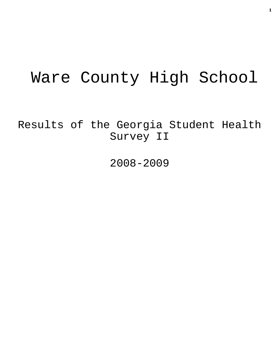# Ware County High School

Results of the Georgia Student Health Survey II

2008-2009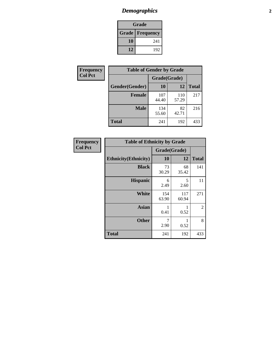# *Demographics* **2**

| Grade                    |     |  |  |
|--------------------------|-----|--|--|
| <b>Grade   Frequency</b> |     |  |  |
| 10                       | 241 |  |  |
| 12                       | 192 |  |  |

| Frequency      | <b>Table of Gender by Grade</b> |              |              |              |
|----------------|---------------------------------|--------------|--------------|--------------|
| <b>Col Pct</b> |                                 | Grade(Grade) |              |              |
|                | Gender(Gender)                  | 10           | 12           | <b>Total</b> |
|                | <b>Female</b>                   | 107<br>44.40 | 110<br>57.29 | 217          |
|                | <b>Male</b>                     | 134<br>55.60 | 82<br>42.71  | 216          |
|                | <b>Total</b>                    | 241          | 192          | 433          |

| <b>Frequency</b><br>Col Pct |
|-----------------------------|
|                             |

| <b>Table of Ethnicity by Grade</b> |              |              |              |  |  |  |
|------------------------------------|--------------|--------------|--------------|--|--|--|
|                                    | Grade(Grade) |              |              |  |  |  |
| <b>Ethnicity</b> (Ethnicity)       | 10           | 12           | <b>Total</b> |  |  |  |
| <b>Black</b>                       | 73<br>30.29  | 68<br>35.42  | 141          |  |  |  |
| <b>Hispanic</b>                    | 6<br>2.49    | 5<br>2.60    | 11           |  |  |  |
| White                              | 154<br>63.90 | 117<br>60.94 | 271          |  |  |  |
| <b>Asian</b>                       | 1<br>0.41    | 0.52         | 2            |  |  |  |
| <b>Other</b>                       | 7<br>2.90    | 1<br>0.52    | 8            |  |  |  |
| <b>Total</b>                       | 241          | 192          | 433          |  |  |  |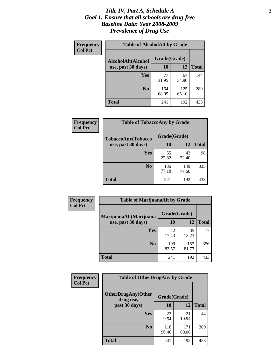### *Title IV, Part A, Schedule A* **3** *Goal 1: Ensure that all schools are drug-free Baseline Data: Year 2008-2009 Prevalence of Drug Use*

| Frequency<br><b>Col Pct</b> | <b>Table of AlcoholAlt by Grade</b> |              |              |              |  |  |
|-----------------------------|-------------------------------------|--------------|--------------|--------------|--|--|
|                             | AlcoholAlt(Alcohol                  | Grade(Grade) |              |              |  |  |
|                             | use, past 30 days)                  | <b>10</b>    | 12           | <b>Total</b> |  |  |
|                             | Yes                                 | 77<br>31.95  | 67<br>34.90  | 144          |  |  |
|                             | N <sub>0</sub>                      | 164<br>68.05 | 125<br>65.10 | 289          |  |  |
|                             | Total                               | 241          | 192          | 433          |  |  |

| Frequency      | <b>Table of TobaccoAny by Grade</b> |              |              |              |  |
|----------------|-------------------------------------|--------------|--------------|--------------|--|
| <b>Col Pct</b> | TobaccoAny(Tobacco                  | Grade(Grade) |              |              |  |
|                | use, past 30 days)                  | <b>10</b>    | 12           | <b>Total</b> |  |
|                | Yes                                 | 55<br>22.82  | 43<br>22.40  | 98           |  |
|                | N <sub>0</sub>                      | 186<br>77.18 | 149<br>77.60 | 335          |  |
|                | Total                               | 241          | 192          | 433          |  |

| Frequency<br><b>Col Pct</b> | <b>Table of MarijuanaAlt by Grade</b> |              |              |              |  |
|-----------------------------|---------------------------------------|--------------|--------------|--------------|--|
|                             | MarijuanaAlt(Marijuana                | Grade(Grade) |              |              |  |
|                             | use, past 30 days)                    | <b>10</b>    | 12           | <b>Total</b> |  |
|                             | <b>Yes</b>                            | 42<br>17.43  | 35<br>18.23  | 77           |  |
|                             | N <sub>0</sub>                        | 199<br>82.57 | 157<br>81.77 | 356          |  |
|                             | <b>Total</b>                          | 241          | 192          | 433          |  |

| Frequency      | <b>Table of OtherDrugAny by Grade</b>  |              |              |              |  |  |
|----------------|----------------------------------------|--------------|--------------|--------------|--|--|
| <b>Col Pct</b> | <b>OtherDrugAny(Other</b><br>drug use, | Grade(Grade) |              |              |  |  |
|                | past 30 days)                          | 10           | 12           | <b>Total</b> |  |  |
|                | Yes                                    | 23<br>9.54   | 21<br>10.94  | 44           |  |  |
|                | N <sub>0</sub>                         | 218<br>90.46 | 171<br>89.06 | 389          |  |  |
|                | <b>Total</b>                           | 241          | 192          | 433          |  |  |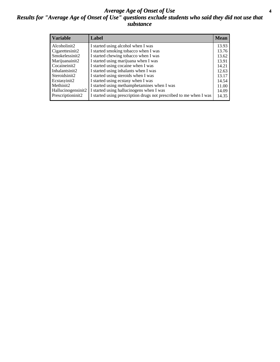### *Average Age of Onset of Use* **4** *Results for "Average Age of Onset of Use" questions exclude students who said they did not use that substance*

| <b>Variable</b>    | Label                                                              | <b>Mean</b> |
|--------------------|--------------------------------------------------------------------|-------------|
| Alcoholinit2       | I started using alcohol when I was                                 | 13.93       |
| Cigarettesinit2    | I started smoking tobacco when I was                               | 13.76       |
| Smokelessinit2     | I started chewing tobacco when I was                               | 13.62       |
| Marijuanainit2     | I started using marijuana when I was                               | 13.91       |
| Cocaineinit2       | I started using cocaine when I was                                 | 14.21       |
| Inhalantsinit2     | I started using inhalants when I was                               | 12.63       |
| Steroidsinit2      | I started using steroids when I was                                | 13.17       |
| Ecstasyinit2       | I started using ecstasy when I was                                 | 14.54       |
| Methinit2          | I started using methamphetamines when I was                        | 11.00       |
| Hallucinogensinit2 | I started using hallucinogens when I was                           | 14.09       |
| Prescriptioninit2  | I started using prescription drugs not prescribed to me when I was | 14.35       |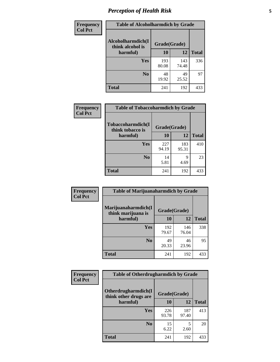# *Perception of Health Risk* **5**

| <b>Frequency</b> | <b>Table of Alcoholharmdich by Grade</b> |              |              |              |  |
|------------------|------------------------------------------|--------------|--------------|--------------|--|
| <b>Col Pct</b>   | Alcoholharmdich(I<br>think alcohol is    | Grade(Grade) |              |              |  |
|                  | harmful)                                 | 10           | 12           | <b>Total</b> |  |
|                  | Yes                                      | 193<br>80.08 | 143<br>74.48 | 336          |  |
|                  | N <sub>0</sub>                           | 48<br>19.92  | 49<br>25.52  | 97           |  |
|                  | <b>Total</b>                             | 241          | 192          | 433          |  |

| Frequency      | <b>Table of Tobaccoharmdich by Grade</b> |              |              |              |  |
|----------------|------------------------------------------|--------------|--------------|--------------|--|
| <b>Col Pct</b> | Tobaccoharmdich(I<br>think tobacco is    | Grade(Grade) |              |              |  |
|                | harmful)                                 | 10           | 12           | <b>Total</b> |  |
|                | <b>Yes</b>                               | 227<br>94.19 | 183<br>95.31 | 410          |  |
|                | N <sub>0</sub>                           | 14<br>5.81   | 9<br>4.69    | 23           |  |
|                | <b>Total</b>                             | 241          | 192          | 433          |  |

| <b>Frequency</b> | <b>Table of Marijuanaharmdich by Grade</b>                |              |              |              |  |  |
|------------------|-----------------------------------------------------------|--------------|--------------|--------------|--|--|
| <b>Col Pct</b>   | Marijuanaharmdich(I<br>Grade(Grade)<br>think marijuana is |              |              |              |  |  |
|                  | harmful)                                                  | 10           | 12           | <b>Total</b> |  |  |
|                  | Yes                                                       | 192<br>79.67 | 146<br>76.04 | 338          |  |  |
|                  | N <sub>0</sub>                                            | 49<br>20.33  | 46<br>23.96  | 95           |  |  |
|                  | <b>Total</b>                                              | 241          | 192          | 433          |  |  |

| Frequency      | <b>Table of Otherdrugharmdich by Grade</b>   |              |              |              |  |  |  |
|----------------|----------------------------------------------|--------------|--------------|--------------|--|--|--|
| <b>Col Pct</b> | Otherdrugharmdich(I<br>think other drugs are | Grade(Grade) |              |              |  |  |  |
|                | harmful)                                     | <b>10</b>    | 12           | <b>Total</b> |  |  |  |
|                | <b>Yes</b>                                   | 226<br>93.78 | 187<br>97.40 | 413          |  |  |  |
|                | N <sub>0</sub>                               | 15<br>6.22   | 5<br>2.60    | 20           |  |  |  |
|                | <b>Total</b>                                 | 241          | 192          | 433          |  |  |  |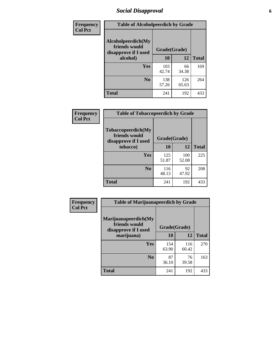# *Social Disapproval* **6**

| <b>Frequency</b> |                                                             | <b>Table of Alcoholpeerdich by Grade</b> |              |              |  |  |  |  |
|------------------|-------------------------------------------------------------|------------------------------------------|--------------|--------------|--|--|--|--|
| <b>Col Pct</b>   | Alcoholpeerdich(My<br>friends would<br>disapprove if I used | Grade(Grade)                             |              |              |  |  |  |  |
|                  | alcohol)                                                    | 10                                       | 12           | <b>Total</b> |  |  |  |  |
|                  | <b>Yes</b>                                                  | 103<br>42.74                             | 66<br>34.38  | 169          |  |  |  |  |
|                  | N <sub>0</sub>                                              | 138<br>57.26                             | 126<br>65.63 | 264          |  |  |  |  |
|                  | <b>Total</b>                                                | 241                                      | 192          | 433          |  |  |  |  |

| <b>Frequency</b> |
|------------------|
| <b>Col Pct</b>   |

| <b>Table of Tobaccopeerdich by Grade</b>                            |              |              |              |  |  |  |
|---------------------------------------------------------------------|--------------|--------------|--------------|--|--|--|
| <b>Tobaccopeerdich</b> (My<br>friends would<br>disapprove if I used |              | Grade(Grade) |              |  |  |  |
| tobacco)                                                            | 10           | 12           | <b>Total</b> |  |  |  |
| <b>Yes</b>                                                          | 125<br>51.87 | 100<br>52.08 | 225          |  |  |  |
| N <sub>0</sub>                                                      | 116<br>48.13 | 92<br>47.92  | 208          |  |  |  |
| <b>Total</b>                                                        | 241          | 192          | 433          |  |  |  |

| Frequency      | <b>Table of Marijuanapeerdich by Grade</b>                    |              |              |              |  |  |  |  |
|----------------|---------------------------------------------------------------|--------------|--------------|--------------|--|--|--|--|
| <b>Col Pct</b> | Marijuanapeerdich(My<br>friends would<br>disapprove if I used | Grade(Grade) |              |              |  |  |  |  |
|                | marijuana)                                                    | 10           | 12           | <b>Total</b> |  |  |  |  |
|                | <b>Yes</b>                                                    | 154<br>63.90 | 116<br>60.42 | 270          |  |  |  |  |
|                | N <sub>0</sub>                                                | 87<br>36.10  | 76<br>39.58  | 163          |  |  |  |  |
|                | <b>Total</b>                                                  | 241          | 192          | 433          |  |  |  |  |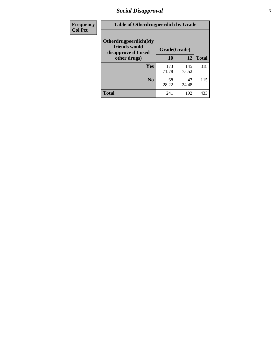# *Social Disapproval* **7**

| Frequency      | <b>Table of Otherdrugpeerdich by Grade</b>                    |              |              |              |  |  |  |  |
|----------------|---------------------------------------------------------------|--------------|--------------|--------------|--|--|--|--|
| <b>Col Pct</b> | Otherdrugpeerdich(My<br>friends would<br>disapprove if I used |              | Grade(Grade) |              |  |  |  |  |
|                | other drugs)                                                  | 10           | 12           | <b>Total</b> |  |  |  |  |
|                | Yes                                                           | 173<br>71.78 | 145<br>75.52 | 318          |  |  |  |  |
|                | N <sub>0</sub>                                                | 68<br>28.22  | 47<br>24.48  | 115          |  |  |  |  |
|                | <b>Total</b>                                                  | 241          | 192          | 433          |  |  |  |  |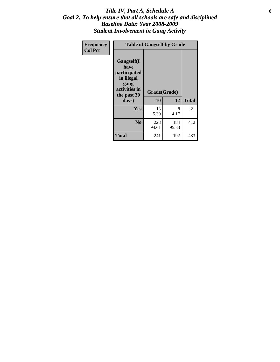### Title IV, Part A, Schedule A **8** *Goal 2: To help ensure that all schools are safe and disciplined Baseline Data: Year 2008-2009 Student Involvement in Gang Activity*

| Frequency      | <b>Table of Gangself by Grade</b>                                                                 |                    |              |              |
|----------------|---------------------------------------------------------------------------------------------------|--------------------|--------------|--------------|
| <b>Col Pct</b> | Gangself(I<br>have<br>participated<br>in illegal<br>gang<br>activities in<br>the past 30<br>days) | Grade(Grade)<br>10 | 12           | <b>Total</b> |
|                | Yes                                                                                               | 13<br>5.39         | 8<br>4.17    | 21           |
|                | N <sub>0</sub>                                                                                    | 228<br>94.61       | 184<br>95.83 | 412          |
|                | <b>Total</b>                                                                                      | 241                | 192          | 433          |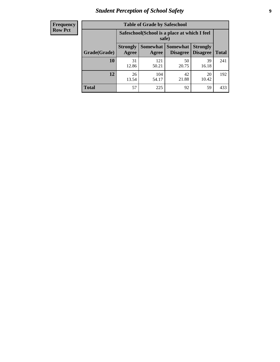# *Student Perception of School Safety* **9**

| <b>Frequency</b><br>Row Pct |
|-----------------------------|
|                             |

| <b>Table of Grade by Safeschool</b> |                                                        |                          |                             |                                    |              |  |  |
|-------------------------------------|--------------------------------------------------------|--------------------------|-----------------------------|------------------------------------|--------------|--|--|
|                                     | Safeschool (School is a place at which I feel<br>safe) |                          |                             |                                    |              |  |  |
| Grade(Grade)                        | <b>Strongly</b><br>Agree                               | <b>Somewhat</b><br>Agree | <b>Somewhat</b><br>Disagree | <b>Strongly</b><br><b>Disagree</b> | <b>Total</b> |  |  |
| 10                                  | 31<br>12.86                                            | 121<br>50.21             | 50<br>20.75                 | 39<br>16.18                        | 241          |  |  |
| 12                                  | 26<br>13.54                                            | 104<br>54.17             | 42<br>21.88                 | 20<br>10.42                        | 192          |  |  |
| <b>Total</b>                        | 57                                                     | 225                      | 92                          | 59                                 | 433          |  |  |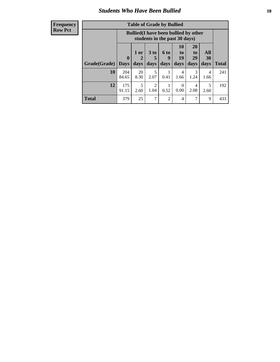### *Students Who Have Been Bullied* **10**

| Frequency |
|-----------|
| Row Pct   |

| <b>Table of Grade by Bullied</b> |                             |                                                                               |                              |                   |                        |                               |                          |              |
|----------------------------------|-----------------------------|-------------------------------------------------------------------------------|------------------------------|-------------------|------------------------|-------------------------------|--------------------------|--------------|
|                                  |                             | <b>Bullied</b> (I have been bullied by other<br>students in the past 30 days) |                              |                   |                        |                               |                          |              |
| Grade(Grade)                     | $\mathbf{0}$<br><b>Days</b> | 1 or<br>2<br>days                                                             | 3 <sub>to</sub><br>5<br>days | 6 to<br>9<br>days | 10<br>to<br>19<br>days | <b>20</b><br>to<br>29<br>days | <b>All</b><br>30<br>days | <b>Total</b> |
| 10                               | 204<br>84.65                | 20<br>8.30                                                                    | 5<br>2.07                    | 0.41              | 4<br>1.66              | 3<br>1.24                     | 4<br>1.66                | 241          |
| 12                               | 175<br>91.15                | 5<br>2.60                                                                     | 2<br>1.04                    | 0.52              | $\Omega$<br>0.00       | 4<br>2.08                     | 5<br>2.60                | 192          |
| <b>Total</b>                     | 379                         | 25                                                                            | 7                            | $\overline{2}$    | 4                      | 7                             | 9                        | 433          |

 $\blacksquare$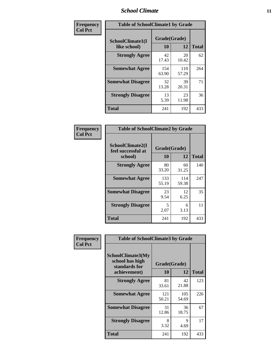### *School Climate* **11**

| <b>Frequency</b> | <b>Table of SchoolClimate1 by Grade</b> |                    |              |              |  |  |
|------------------|-----------------------------------------|--------------------|--------------|--------------|--|--|
| <b>Col Pct</b>   | SchoolClimate1(I<br>like school)        | Grade(Grade)<br>10 | 12           | <b>Total</b> |  |  |
|                  | <b>Strongly Agree</b>                   | 42<br>17.43        | 20<br>10.42  | 62           |  |  |
|                  | <b>Somewhat Agree</b>                   | 154<br>63.90       | 110<br>57.29 | 264          |  |  |
|                  | <b>Somewhat Disagree</b>                | 32<br>13.28        | 39<br>20.31  | 71           |  |  |
|                  | <b>Strongly Disagree</b>                | 13<br>5.39         | 23<br>11.98  | 36           |  |  |
|                  | <b>Total</b>                            | 241                | 192          | 433          |  |  |

| <b>Frequency</b> |
|------------------|
| <b>Col Pct</b>   |

| <b>Table of SchoolClimate2 by Grade</b>           |                    |              |              |  |  |
|---------------------------------------------------|--------------------|--------------|--------------|--|--|
| SchoolClimate2(I<br>feel successful at<br>school) | Grade(Grade)<br>10 | 12           | <b>Total</b> |  |  |
| <b>Strongly Agree</b>                             | 80<br>33.20        | 60<br>31.25  | 140          |  |  |
| <b>Somewhat Agree</b>                             | 133<br>55.19       | 114<br>59.38 | 247          |  |  |
| <b>Somewhat Disagree</b>                          | 23<br>9.54         | 12<br>6.25   | 35           |  |  |
| <b>Strongly Disagree</b>                          | 5<br>2.07          | 6<br>3.13    | 11           |  |  |
| <b>Total</b>                                      | 241                | 192          | 433          |  |  |

| Frequency      | <b>Table of SchoolClimate3 by Grade</b>                                      |                          |              |              |  |  |
|----------------|------------------------------------------------------------------------------|--------------------------|--------------|--------------|--|--|
| <b>Col Pct</b> | <b>SchoolClimate3(My</b><br>school has high<br>standards for<br>achievement) | Grade(Grade)<br>10<br>12 |              | <b>Total</b> |  |  |
|                | <b>Strongly Agree</b>                                                        | 81<br>33.61              | 42<br>21.88  | 123          |  |  |
|                | <b>Somewhat Agree</b>                                                        | 121<br>50.21             | 105<br>54.69 | 226          |  |  |
|                | <b>Somewhat Disagree</b>                                                     | 31<br>12.86              | 36<br>18.75  | 67           |  |  |
|                | <b>Strongly Disagree</b>                                                     | 8<br>3.32                | 9<br>4.69    | 17           |  |  |
|                | Total                                                                        | 241                      | 192          | 433          |  |  |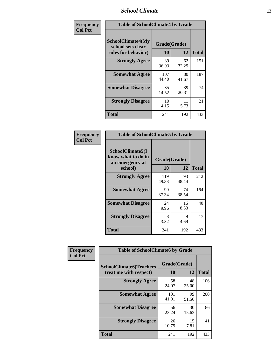### *School Climate* **12**

| Frequency      | <b>Table of SchoolClimate4 by Grade</b>                       |                    |             |              |
|----------------|---------------------------------------------------------------|--------------------|-------------|--------------|
| <b>Col Pct</b> | SchoolClimate4(My<br>school sets clear<br>rules for behavior) | Grade(Grade)<br>10 | 12          | <b>Total</b> |
|                | <b>Strongly Agree</b>                                         | 89<br>36.93        | 62<br>32.29 | 151          |
|                | <b>Somewhat Agree</b>                                         | 107<br>44.40       | 80<br>41.67 | 187          |
|                | <b>Somewhat Disagree</b>                                      | 35<br>14.52        | 39<br>20.31 | 74           |
|                | <b>Strongly Disagree</b>                                      | 10<br>4.15         | 11<br>5.73  | 21           |
|                | <b>Total</b>                                                  | 241                | 192         | 433          |

| <b>Table of SchoolClimate5 by Grade</b>                   |              |             |              |  |  |  |
|-----------------------------------------------------------|--------------|-------------|--------------|--|--|--|
| SchoolClimate5(I<br>know what to do in<br>an emergency at | Grade(Grade) |             |              |  |  |  |
| school)                                                   | 10           | 12          | <b>Total</b> |  |  |  |
| <b>Strongly Agree</b>                                     | 119<br>49.38 | 93<br>48.44 | 212          |  |  |  |
| <b>Somewhat Agree</b>                                     | 90<br>37.34  | 74<br>38.54 | 164          |  |  |  |
| <b>Somewhat Disagree</b>                                  | 24<br>9.96   | 16<br>8.33  | 40           |  |  |  |
| <b>Strongly Disagree</b>                                  | 8<br>3.32    | 9<br>4.69   | 17           |  |  |  |
| Total                                                     | 241          | 192         | 433          |  |  |  |

| Frequency      | <b>Table of SchoolClimate6 by Grade</b>                  |                    |             |              |  |
|----------------|----------------------------------------------------------|--------------------|-------------|--------------|--|
| <b>Col Pct</b> | <b>SchoolClimate6(Teachers</b><br>treat me with respect) | Grade(Grade)<br>10 | 12          | <b>Total</b> |  |
|                | <b>Strongly Agree</b>                                    | 58<br>24.07        | 48<br>25.00 | 106          |  |
|                | <b>Somewhat Agree</b>                                    | 101<br>41.91       | 99<br>51.56 | 200          |  |
|                | <b>Somewhat Disagree</b>                                 | 56<br>23.24        | 30<br>15.63 | 86           |  |
|                | <b>Strongly Disagree</b>                                 | 26<br>10.79        | 15<br>7.81  | 41           |  |
|                | <b>Total</b>                                             | 241                | 192         | 433          |  |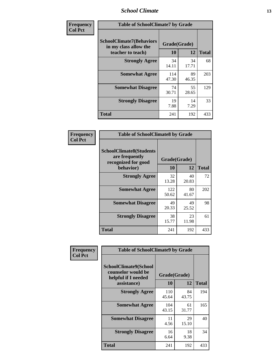### *School Climate* **13**

| Frequency      | <b>Table of SchoolClimate7 by Grade</b>                                       |                           |             |              |  |
|----------------|-------------------------------------------------------------------------------|---------------------------|-------------|--------------|--|
| <b>Col Pct</b> | <b>SchoolClimate7(Behaviors</b><br>in my class allow the<br>teacher to teach) | Grade(Grade)<br><b>10</b> | 12          | <b>Total</b> |  |
|                | <b>Strongly Agree</b>                                                         | 34<br>14.11               | 34<br>17.71 | 68           |  |
|                | <b>Somewhat Agree</b>                                                         | 114<br>47.30              | 89<br>46.35 | 203          |  |
|                | <b>Somewhat Disagree</b>                                                      | 74<br>30.71               | 55<br>28.65 | 129          |  |
|                | <b>Strongly Disagree</b>                                                      | 19<br>7.88                | 14<br>7.29  | 33           |  |
|                | <b>Total</b>                                                                  | 241                       | 192         | 433          |  |

| Frequency      | <b>Table of SchoolClimate8 by Grade</b>                                 |              |             |              |  |
|----------------|-------------------------------------------------------------------------|--------------|-------------|--------------|--|
| <b>Col Pct</b> | <b>SchoolClimate8(Students</b><br>are frequently<br>recognized for good | Grade(Grade) |             |              |  |
|                | behavior)                                                               | 10           | 12          | <b>Total</b> |  |
|                | <b>Strongly Agree</b>                                                   | 32<br>13.28  | 40<br>20.83 | 72           |  |
|                | <b>Somewhat Agree</b>                                                   | 122<br>50.62 | 80<br>41.67 | 202          |  |
|                | <b>Somewhat Disagree</b>                                                | 49<br>20.33  | 49<br>25.52 | 98           |  |
|                | <b>Strongly Disagree</b>                                                | 38<br>15.77  | 23<br>11.98 | 61           |  |
|                | <b>Total</b>                                                            | 241          | 192         | 433          |  |

| Frequency      | <b>Table of SchoolClimate9 by Grade</b>                                           |                    |             |              |  |
|----------------|-----------------------------------------------------------------------------------|--------------------|-------------|--------------|--|
| <b>Col Pct</b> | SchoolClimate9(School<br>counselor would be<br>helpful if I needed<br>assistance) | Grade(Grade)<br>10 | 12          | <b>Total</b> |  |
|                | <b>Strongly Agree</b>                                                             | 110<br>45.64       | 84<br>43.75 | 194          |  |
|                | <b>Somewhat Agree</b>                                                             | 104<br>43.15       | 61<br>31.77 | 165          |  |
|                | <b>Somewhat Disagree</b>                                                          | 11<br>4.56         | 29<br>15.10 | 40           |  |
|                | <b>Strongly Disagree</b>                                                          | 16<br>6.64         | 18<br>9.38  | 34           |  |
|                | Total                                                                             | 241                | 192         | 433          |  |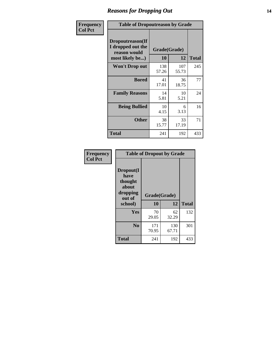### *Reasons for Dropping Out* **14**

| <b>Frequency</b> | <b>Table of Dropoutreason by Grade</b>                                   |                    |              |              |
|------------------|--------------------------------------------------------------------------|--------------------|--------------|--------------|
| <b>Col Pct</b>   | Dropoutreason(If<br>I dropped out the<br>reason would<br>most likely be) | Grade(Grade)<br>10 | 12           | <b>Total</b> |
|                  | <b>Won't Drop out</b>                                                    | 138<br>57.26       | 107<br>55.73 | 245          |
|                  | <b>Bored</b>                                                             | 41<br>17.01        | 36<br>18.75  | 77           |
|                  | <b>Family Reasons</b>                                                    | 14<br>5.81         | 10<br>5.21   | 24           |
|                  | <b>Being Bullied</b>                                                     | 10<br>4.15         | 6<br>3.13    | 16           |
|                  | <b>Other</b>                                                             | 38<br>15.77        | 33<br>17.19  | 71           |
|                  | <b>Total</b>                                                             | 241                | 192          | 433          |

| Frequency<br><b>Col Pct</b> | <b>Table of Dropout by Grade</b>                                       |                    |              |     |  |  |
|-----------------------------|------------------------------------------------------------------------|--------------------|--------------|-----|--|--|
|                             | Dropout(I<br>have<br>thought<br>about<br>dropping<br>out of<br>school) | Grade(Grade)<br>10 | <b>Total</b> |     |  |  |
|                             |                                                                        |                    | 12           |     |  |  |
|                             | <b>Yes</b>                                                             | 70<br>29.05        | 62<br>32.29  | 132 |  |  |
|                             | N <sub>0</sub>                                                         | 171                | 130          | 301 |  |  |
|                             |                                                                        | 70.95              | 67.71        |     |  |  |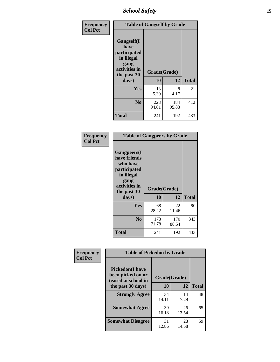*School Safety* **15**

| Frequency      | <b>Table of Gangself by Grade</b>                                                                 |                    |              |              |
|----------------|---------------------------------------------------------------------------------------------------|--------------------|--------------|--------------|
| <b>Col Pct</b> | Gangself(I<br>have<br>participated<br>in illegal<br>gang<br>activities in<br>the past 30<br>days) | Grade(Grade)<br>10 | 12           | <b>Total</b> |
|                | Yes                                                                                               | 13                 | 8            | 21           |
|                |                                                                                                   | 5.39               | 4.17         |              |
|                | N <sub>o</sub>                                                                                    | 228<br>94.61       | 184<br>95.83 | 412          |
|                | <b>Total</b>                                                                                      | 241                | 192          | 433          |

| Frequency<br><b>Col Pct</b> | <b>Table of Gangpeers by Grade</b>                                                                                             |                    |              |              |  |  |  |  |  |  |
|-----------------------------|--------------------------------------------------------------------------------------------------------------------------------|--------------------|--------------|--------------|--|--|--|--|--|--|
|                             | <b>Gangpeers</b> (I<br>have friends<br>who have<br>participated<br>in illegal<br>gang<br>activities in<br>the past 30<br>days) | Grade(Grade)<br>10 | 12           | <b>Total</b> |  |  |  |  |  |  |
|                             | <b>Yes</b>                                                                                                                     | 68<br>28.22        | 22<br>11.46  | 90           |  |  |  |  |  |  |
|                             | N <sub>0</sub>                                                                                                                 | 173<br>71.78       | 170<br>88.54 | 343          |  |  |  |  |  |  |
|                             | <b>Total</b>                                                                                                                   | 241                | 192          | 433          |  |  |  |  |  |  |

| Frequency      | <b>Table of Pickedon by Grade</b>                                  |              |             |              |  |  |  |  |  |
|----------------|--------------------------------------------------------------------|--------------|-------------|--------------|--|--|--|--|--|
| <b>Col Pct</b> | <b>Pickedon(I have</b><br>been picked on or<br>teased at school in | Grade(Grade) |             |              |  |  |  |  |  |
|                | the past 30 days)                                                  | 10           | 12          | <b>Total</b> |  |  |  |  |  |
|                | <b>Strongly Agree</b>                                              | 34<br>14.11  | 14<br>7.29  | 48           |  |  |  |  |  |
|                | <b>Somewhat Agree</b>                                              | 39<br>16.18  | 26<br>13.54 | 65           |  |  |  |  |  |
|                | <b>Somewhat Disagree</b>                                           | 31<br>12.86  | 28<br>14.58 | 59           |  |  |  |  |  |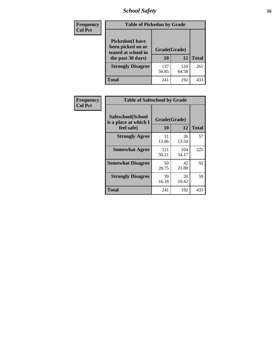# *School Safety* **16**

| Frequency      | <b>Table of Pickedon by Grade</b>                                                        |                    |              |              |
|----------------|------------------------------------------------------------------------------------------|--------------------|--------------|--------------|
| <b>Col Pct</b> | <b>Pickedon</b> (I have<br>been picked on or<br>teased at school in<br>the past 30 days) | Grade(Grade)<br>10 | 12           | <b>Total</b> |
|                | <b>Strongly Disagree</b>                                                                 | 137<br>56.85       | 124<br>64.58 | 261          |
|                | Total                                                                                    | 241                | 192          | 433          |

| <b>Frequency</b> | <b>Table of Safeschool by Grade</b>        |              |              |              |  |  |  |  |  |  |
|------------------|--------------------------------------------|--------------|--------------|--------------|--|--|--|--|--|--|
| <b>Col Pct</b>   | Safeschool(School<br>is a place at which I | Grade(Grade) |              |              |  |  |  |  |  |  |
|                  | feel safe)                                 | 10           | 12           | <b>Total</b> |  |  |  |  |  |  |
|                  | <b>Strongly Agree</b>                      | 31<br>12.86  | 26<br>13.54  | 57           |  |  |  |  |  |  |
|                  | <b>Somewhat Agree</b>                      | 121<br>50.21 | 104<br>54.17 | 225          |  |  |  |  |  |  |
|                  | <b>Somewhat Disagree</b>                   | 50<br>20.75  | 42<br>21.88  | 92           |  |  |  |  |  |  |
|                  | <b>Strongly Disagree</b>                   | 39<br>16.18  | 20<br>10.42  | 59           |  |  |  |  |  |  |
|                  | <b>Total</b>                               | 241          | 192          | 433          |  |  |  |  |  |  |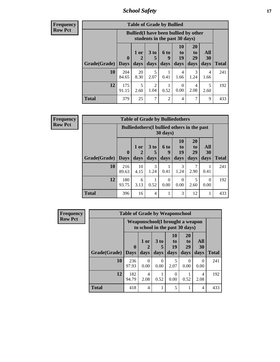*School Safety* **17**

| Frequency      |
|----------------|
| <b>Row Pct</b> |

| <b>Table of Grade by Bullied</b> |                                                                               |            |                      |                  |                |                |           |              |  |  |  |
|----------------------------------|-------------------------------------------------------------------------------|------------|----------------------|------------------|----------------|----------------|-----------|--------------|--|--|--|
|                                  | <b>Bullied</b> (I have been bullied by other<br>students in the past 30 days) |            |                      |                  |                |                |           |              |  |  |  |
|                                  | $\bf{0}$                                                                      | $1$ or     | 3 <sub>to</sub><br>5 | <b>6 to</b><br>q | 10<br>to<br>19 | 20<br>to<br>29 | All<br>30 |              |  |  |  |
| Grade(Grade)                     | <b>Days</b>                                                                   | days       | days                 | days             | days           | days           | days      | <b>Total</b> |  |  |  |
| 10                               | 204<br>84.65                                                                  | 20<br>8.30 | 5<br>2.07            | 0.41             | 4<br>1.66      | 3<br>1.24      | 4<br>1.66 | 241          |  |  |  |
| 12                               | 175<br>91.15                                                                  | 5<br>2.60  | 2<br>1.04            | 0.52             | 0<br>0.00      | 4<br>2.08      | 5<br>2.60 | 192          |  |  |  |
| Total                            | 379                                                                           | 25         | $\overline{7}$       | $\overline{c}$   | 4              | 7              | 9         | 433          |  |  |  |

| <b>Frequency</b><br><b>Row Pct</b> |  |
|------------------------------------|--|
|                                    |  |

| <b>Table of Grade by Bulliedothers</b> |                             |                                                                         |                         |                   |                               |                               |                          |              |  |  |  |
|----------------------------------------|-----------------------------|-------------------------------------------------------------------------|-------------------------|-------------------|-------------------------------|-------------------------------|--------------------------|--------------|--|--|--|
|                                        |                             | <b>Bulliedothers</b> (I bullied others in the past<br>$30 \text{ days}$ |                         |                   |                               |                               |                          |              |  |  |  |
| Grade(Grade)                           | $\mathbf{0}$<br><b>Days</b> | 1 or<br>2<br>days                                                       | 3 <sub>to</sub><br>days | 6 to<br>q<br>days | <b>10</b><br>to<br>19<br>days | <b>20</b><br>to<br>29<br>days | <b>All</b><br>30<br>days | <b>Total</b> |  |  |  |
| 10                                     | 216<br>89.63                | 10<br>4.15                                                              | 3<br>1.24               | 0.41              | 3<br>1.24                     | 2.90                          | 0.41                     | 241          |  |  |  |
| 12                                     | 180<br>93.75                | 6<br>3.13                                                               | 0.52                    | 0<br>0.00         | 0<br>0.00                     | 5<br>2.60                     | $\Omega$<br>0.00         | 192          |  |  |  |
| <b>Total</b>                           | 396                         | 16                                                                      | $\overline{4}$          |                   | 3                             | 12                            |                          | 433          |  |  |  |

| <b>Frequency</b> | <b>Table of Grade by Weaponschool</b> |                                                                    |                        |                   |                        |                        |                   |              |
|------------------|---------------------------------------|--------------------------------------------------------------------|------------------------|-------------------|------------------------|------------------------|-------------------|--------------|
| <b>Row Pct</b>   |                                       | Weaponschool (I brought a weapon<br>to school in the past 30 days) |                        |                   |                        |                        |                   |              |
|                  | Grade(Grade)                          | $\mathbf{0}$<br><b>Days</b>                                        | 1 or<br>days           | 3 to<br>5<br>days | 10<br>to<br>19<br>days | 20<br>to<br>29<br>days | All<br>30<br>days | <b>Total</b> |
|                  | 10                                    | 236<br>97.93                                                       | $\Omega$<br>0.00       | 0<br>0.00         | 5<br>2.07              | 0<br>0.00              | $\Omega$<br>0.00  | 241          |
|                  | 12                                    | 182<br>94.79                                                       | $\overline{4}$<br>2.08 | 0.52              | 0<br>0.00              | 0.52                   | 4<br>2.08         | 192          |
|                  | <b>Total</b>                          | 418                                                                | $\overline{4}$         |                   | 5                      |                        | $\overline{4}$    | 433          |

h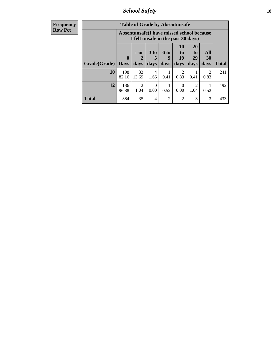*School Safety* **18**

| <b>Frequency</b> | <b>Table of Grade by Absentunsafe</b> |                                                                                 |                        |                        |                      |                  |                                     |                       |              |  |  |
|------------------|---------------------------------------|---------------------------------------------------------------------------------|------------------------|------------------------|----------------------|------------------|-------------------------------------|-----------------------|--------------|--|--|
| <b>Row Pct</b>   |                                       | Absentunsafe(I have missed school because<br>I felt unsafe in the past 30 days) |                        |                        |                      |                  |                                     |                       |              |  |  |
|                  |                                       | $\bf{0}$                                                                        | 1 or<br>2              | 3 <sub>to</sub><br>5   | 6 <sub>to</sub><br>9 | 10<br>to<br>19   | <b>20</b><br>t <sub>o</sub><br>29   | All<br>30             |              |  |  |
|                  | Grade(Grade)                          | <b>Days</b>                                                                     | days                   | days                   | days                 | days             | days                                | days                  | <b>Total</b> |  |  |
|                  | 10                                    | 198<br>82.16                                                                    | 33<br>13.69            | $\overline{4}$<br>1.66 | 0.41                 | 2<br>0.83        | 0.41                                | $\mathcal{D}$<br>0.83 | 241          |  |  |
|                  | 12                                    | 186<br>96.88                                                                    | $\mathfrak{D}$<br>1.04 | $\Omega$<br>0.00       | 0.52                 | $\Omega$<br>0.00 | $\mathcal{D}_{\mathcal{A}}$<br>1.04 | 0.52                  | 192          |  |  |
|                  | <b>Total</b>                          | 384                                                                             | 35                     | 4                      | 2                    | $\overline{c}$   | 3                                   | 3                     | 433          |  |  |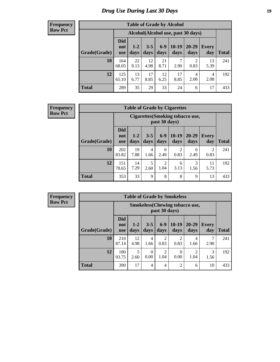# *Drug Use During Last 30 Days* **19**

#### **Frequency Row Pct**

| <b>Table of Grade by Alcohol</b> |                                 |                                    |                 |                 |                 |                        |              |              |  |  |  |
|----------------------------------|---------------------------------|------------------------------------|-----------------|-----------------|-----------------|------------------------|--------------|--------------|--|--|--|
|                                  |                                 | Alcohol(Alcohol use, past 30 days) |                 |                 |                 |                        |              |              |  |  |  |
| Grade(Grade)                     | <b>Did</b><br>not<br><b>use</b> | $1-2$<br>days                      | $3 - 5$<br>days | $6 - 9$<br>days | $10-19$<br>days | 20-29<br>days          | Every<br>day | <b>Total</b> |  |  |  |
| 10                               | 164<br>68.05                    | 22<br>9.13                         | 12<br>4.98      | 21<br>8.71      | 7<br>2.90       | $\overline{2}$<br>0.83 | 13<br>5.39   | 241          |  |  |  |
| 12                               | 125<br>65.10                    | 13<br>6.77                         | 17<br>8.85      | 12<br>6.25      | 17<br>8.85      | 4<br>2.08              | 4<br>2.08    | 192          |  |  |  |
| <b>Total</b>                     | 289                             | 35                                 | 29              | 33              | 24              | 6                      | 17           | 433          |  |  |  |

#### **Frequency Row Pct**

| <b>Table of Grade by Cigarettes</b> |                                 |                                                   |                 |                        |                 |               |                        |              |  |  |
|-------------------------------------|---------------------------------|---------------------------------------------------|-----------------|------------------------|-----------------|---------------|------------------------|--------------|--|--|
|                                     |                                 | Cigarettes (Smoking tobacco use,<br>past 30 days) |                 |                        |                 |               |                        |              |  |  |
| Grade(Grade)                        | <b>Did</b><br>not<br><b>use</b> | $1 - 2$<br>days                                   | $3 - 5$<br>days | $6-9$<br>days          | $10-19$<br>days | 20-29<br>days | Every<br>day           | <b>Total</b> |  |  |
| 10                                  | 202<br>83.82                    | 19<br>7.88                                        | 4<br>1.66       | 6<br>2.49              | 2<br>0.83       | 6<br>2.49     | $\overline{2}$<br>0.83 | 241          |  |  |
| 12                                  | 151<br>78.65                    | 14<br>7.29                                        | 5<br>2.60       | $\overline{c}$<br>1.04 | 6<br>3.13       | 3<br>1.56     | 11<br>5.73             | 192          |  |  |
| <b>Total</b>                        | 353                             | 33                                                | 9               | 8                      | 8               | 9             | 13                     | 433          |  |  |

**Frequency Row Pct**

| <b>Table of Grade by Smokeless</b> |                                 |                                                        |                  |                 |                 |                   |              |              |  |
|------------------------------------|---------------------------------|--------------------------------------------------------|------------------|-----------------|-----------------|-------------------|--------------|--------------|--|
|                                    |                                 | <b>Smokeless</b> (Chewing tobaccouse,<br>past 30 days) |                  |                 |                 |                   |              |              |  |
| Grade(Grade)                       | <b>Did</b><br>not<br><b>use</b> | $1 - 2$<br>days                                        | $3 - 5$<br>days  | $6 - 9$<br>days | $10-19$<br>days | $20 - 29$<br>days | Every<br>day | <b>Total</b> |  |
| 10                                 | 210<br>87.14                    | 12<br>4.98                                             | 4<br>1.66        | 2<br>0.83       | 2<br>0.83       | 4<br>1.66         | 2.90         | 241          |  |
| 12                                 | 180<br>93.75                    | 5<br>2.60                                              | $\Omega$<br>0.00 | 2<br>1.04       | 0<br>0.00       | 1.04              | 3<br>1.56    | 192          |  |
| <b>Total</b>                       | 390                             | 17                                                     | 4                | 4               | $\overline{2}$  | 6                 | 10           | 433          |  |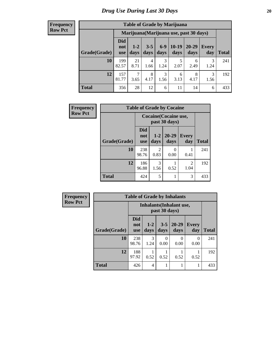#### **Frequency Row Pct**

| <b>Table of Grade by Marijuana</b> |                          |                                         |                 |               |                 |               |              |       |  |  |
|------------------------------------|--------------------------|-----------------------------------------|-----------------|---------------|-----------------|---------------|--------------|-------|--|--|
|                                    |                          | Marijuana (Marijuana use, past 30 days) |                 |               |                 |               |              |       |  |  |
| Grade(Grade)                       | Did<br>not<br><b>use</b> | $1 - 2$<br>days                         | $3 - 5$<br>days | $6-9$<br>days | $10-19$<br>days | 20-29<br>days | Every<br>day | Total |  |  |
| 10                                 | 199<br>82.57             | 21<br>8.71                              | 4<br>1.66       | 3<br>1.24     | 5<br>2.07       | 6<br>2.49     | 3<br>1.24    | 241   |  |  |
| 12                                 | 157<br>81.77             | $\mathcal{I}$<br>3.65                   | 8<br>4.17       | 3<br>1.56     | 6<br>3.13       | 8<br>4.17     | 3<br>1.56    | 192   |  |  |
| <b>Total</b>                       | 356                      | 28                                      | 12              | 6             | 11              | 14            | 6            | 433   |  |  |

| <b>Frequency</b> | <b>Table of Grade by Cocaine</b> |                          |                                        |                       |                        |              |  |  |
|------------------|----------------------------------|--------------------------|----------------------------------------|-----------------------|------------------------|--------------|--|--|
| <b>Row Pct</b>   |                                  |                          | Cocaine (Cocaine use,<br>past 30 days) |                       |                        |              |  |  |
|                  | Grade(Grade)                     | Did<br>not<br><b>use</b> | days                                   | $1-2$   20-29<br>days | <b>Every</b><br>day    | <b>Total</b> |  |  |
|                  | 10                               | 238<br>98.76             | 2<br>0.83                              | 0.00                  | 0.41                   | 241          |  |  |
|                  | 12                               | 186<br>96.88             | 3<br>1.56                              | 0.52                  | $\mathfrak{D}$<br>1.04 | 192          |  |  |
|                  | <b>Total</b>                     | 424                      | 5                                      | 1                     | 3                      | 433          |  |  |

| Frequency      | <b>Table of Grade by Inhalants</b> |                                 |                                                  |                  |                   |              |              |  |
|----------------|------------------------------------|---------------------------------|--------------------------------------------------|------------------|-------------------|--------------|--------------|--|
| <b>Row Pct</b> |                                    |                                 | <b>Inhalants</b> (Inhalant use,<br>past 30 days) |                  |                   |              |              |  |
|                | Grade(Grade)                       | <b>Did</b><br>not<br><b>use</b> | $1 - 2$<br>days                                  | $3 - 5$<br>days  | $20 - 29$<br>days | Every<br>day | <b>Total</b> |  |
|                | 10                                 | 238<br>98.76                    | 3<br>1.24                                        | $\Omega$<br>0.00 | 0<br>0.00         | 0<br>0.00    | 241          |  |
|                | 12                                 | 188<br>97.92                    | 0.52                                             | 0.52             | 0.52              | 0.52         | 192          |  |
|                | <b>Total</b>                       | 426                             | 4                                                |                  |                   |              | 433          |  |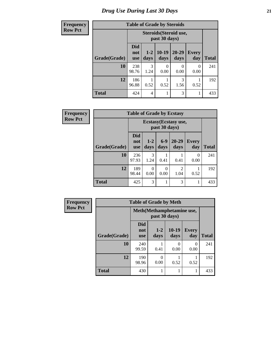| <b>Frequency</b> | <b>Table of Grade by Steroids</b> |                                         |                 |                  |                   |                     |              |  |
|------------------|-----------------------------------|-----------------------------------------|-----------------|------------------|-------------------|---------------------|--------------|--|
| <b>Row Pct</b>   |                                   | Steroids (Steroid use,<br>past 30 days) |                 |                  |                   |                     |              |  |
|                  | Grade(Grade)                      | <b>Did</b><br>not<br><b>use</b>         | $1 - 2$<br>days | $10-19$<br>days  | $20 - 29$<br>days | <b>Every</b><br>day | <b>Total</b> |  |
|                  | 10                                | 238<br>98.76                            | 3<br>1.24       | $\theta$<br>0.00 | 0<br>0.00         | 0<br>0.00           | 241          |  |
|                  | 12                                | 186<br>96.88                            | 0.52            | 0.52             | 3<br>1.56         | 0.52                | 192          |  |
|                  | <b>Total</b>                      | 424                                     | 4               | 1                | 3                 | 1                   | 433          |  |

| <b>Frequency</b> | <b>Table of Grade by Ecstasy</b> |                                 |                                        |                  |                        |              |       |  |
|------------------|----------------------------------|---------------------------------|----------------------------------------|------------------|------------------------|--------------|-------|--|
| <b>Row Pct</b>   |                                  |                                 | Ecstasy (Ecstasy use,<br>past 30 days) |                  |                        |              |       |  |
|                  | Grade(Grade)                     | <b>Did</b><br>not<br><b>use</b> | $1-2$<br>days                          | $6-9$<br>days    | $20 - 29$<br>days      | Every<br>day | Total |  |
|                  | 10                               | 236<br>97.93                    | 3<br>1.24                              | 0.41             | 0.41                   | 0<br>0.00    | 241   |  |
|                  | 12                               | 189<br>98.44                    | 0.00                                   | $\theta$<br>0.00 | $\overline{c}$<br>1.04 | 0.52         | 192   |  |
|                  | <b>Total</b>                     | 425                             | 3                                      |                  | 3                      |              | 433   |  |

| <b>Frequency</b> | <b>Table of Grade by Meth</b> |                                             |               |                  |                     |              |  |  |  |
|------------------|-------------------------------|---------------------------------------------|---------------|------------------|---------------------|--------------|--|--|--|
| <b>Row Pct</b>   |                               | Meth (Methamphetamine use,<br>past 30 days) |               |                  |                     |              |  |  |  |
|                  | Grade(Grade)                  | <b>Did</b><br>not<br><b>use</b>             | $1-2$<br>days | $10-19$<br>days  | <b>Every</b><br>day | <b>Total</b> |  |  |  |
|                  | 10                            | 240<br>99.59                                | 0.41          | $\left($<br>0.00 | 0<br>0.00           | 241          |  |  |  |
|                  | 12                            | 190<br>98.96                                | 0<br>0.00     | 0.52             | 0.52                | 192          |  |  |  |
|                  | <b>Total</b>                  | 430                                         |               |                  |                     | 433          |  |  |  |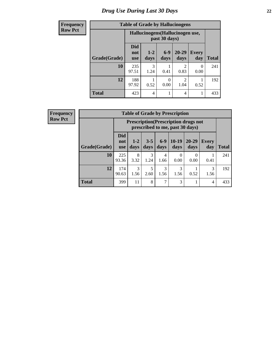# *Drug Use During Last 30 Days* **22**

| <b>Frequency</b> | <b>Table of Grade by Hallucinogens</b> |                                  |                 |                  |                        |                     |       |  |
|------------------|----------------------------------------|----------------------------------|-----------------|------------------|------------------------|---------------------|-------|--|
| <b>Row Pct</b>   |                                        | Hallucinogens (Hallucinogen use, |                 |                  |                        |                     |       |  |
|                  | Grade(Grade)                           | <b>Did</b><br>not<br><b>use</b>  | $1 - 2$<br>days | $6-9$<br>days    | $20 - 29$<br>days      | <b>Every</b><br>day | Total |  |
|                  | 10                                     | 235<br>97.51                     | 3<br>1.24       | 0.41             | $\mathfrak{D}$<br>0.83 | $\Omega$<br>0.00    | 241   |  |
|                  | 12                                     | 188<br>97.92                     | 0.52            | $\Omega$<br>0.00 | $\mathfrak{D}$<br>1.04 | 0.52                | 192   |  |
|                  | <b>Total</b>                           | 423                              | $\overline{4}$  |                  | 4                      | 1                   | 433   |  |

| <b>Frequency</b> |
|------------------|
| <b>Row Pct</b>   |

| <b>Table of Grade by Prescription</b> |                                 |                                                                                |                 |               |                 |                   |              |       |  |
|---------------------------------------|---------------------------------|--------------------------------------------------------------------------------|-----------------|---------------|-----------------|-------------------|--------------|-------|--|
|                                       |                                 | <b>Prescription</b> (Prescription drugs not<br>prescribed to me, past 30 days) |                 |               |                 |                   |              |       |  |
| Grade(Grade)                          | <b>Did</b><br>not<br><b>use</b> | $1 - 2$<br>days                                                                | $3 - 5$<br>days | $6-9$<br>days | $10-19$<br>days | $20 - 29$<br>days | Every<br>day | Total |  |
| 10                                    | 225<br>93.36                    | 8<br>3.32                                                                      | 3<br>1.24       | 4<br>1.66     | 0<br>0.00       | 0<br>0.00         | 0.41         | 241   |  |
| 12                                    | 174<br>90.63                    | 3<br>1.56                                                                      | 5<br>2.60       | 3<br>1.56     | 3<br>1.56       | 0.52              | 3<br>1.56    | 192   |  |
| <b>Total</b>                          | 399                             | 11                                                                             | 8               | 7             | 3               |                   | 4            | 433   |  |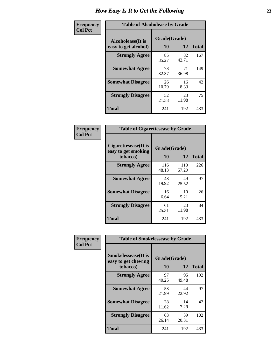| Frequency      | <b>Table of Alcoholease by Grade</b>      |                    |             |              |  |  |  |  |
|----------------|-------------------------------------------|--------------------|-------------|--------------|--|--|--|--|
| <b>Col Pct</b> | Alcoholease(It is<br>easy to get alcohol) | Grade(Grade)<br>10 | 12          | <b>Total</b> |  |  |  |  |
|                | <b>Strongly Agree</b>                     | 85<br>35.27        | 82<br>42.71 | 167          |  |  |  |  |
|                | <b>Somewhat Agree</b>                     | 78<br>32.37        | 71<br>36.98 | 149          |  |  |  |  |
|                | <b>Somewhat Disagree</b>                  | 26<br>10.79        | 16<br>8.33  | 42           |  |  |  |  |
|                | <b>Strongly Disagree</b>                  | 52<br>21.58        | 23<br>11.98 | 75           |  |  |  |  |
|                | <b>Total</b>                              | 241                | 192         | 433          |  |  |  |  |

| Frequency      | <b>Table of Cigarettesease by Grade</b>                 |                    |              |              |  |  |  |  |
|----------------|---------------------------------------------------------|--------------------|--------------|--------------|--|--|--|--|
| <b>Col Pct</b> | Cigarettesease(It is<br>easy to get smoking<br>tobacco) | Grade(Grade)<br>10 | 12           | <b>Total</b> |  |  |  |  |
|                | <b>Strongly Agree</b>                                   | 116<br>48.13       | 110<br>57.29 | 226          |  |  |  |  |
|                | <b>Somewhat Agree</b>                                   | 48<br>19.92        | 49<br>25.52  | 97           |  |  |  |  |
|                | <b>Somewhat Disagree</b>                                | 16<br>6.64         | 10<br>5.21   | 26           |  |  |  |  |
|                | <b>Strongly Disagree</b>                                | 61<br>25.31        | 23<br>11.98  | 84           |  |  |  |  |
|                | Total                                                   | 241                | 192          | 433          |  |  |  |  |

| Frequency      | <b>Table of Smokelessease by Grade</b>                         |                           |              |     |  |  |  |  |  |  |
|----------------|----------------------------------------------------------------|---------------------------|--------------|-----|--|--|--|--|--|--|
| <b>Col Pct</b> | <b>Smokelessease</b> (It is<br>easy to get chewing<br>tobacco) | Grade(Grade)<br><b>10</b> | <b>Total</b> |     |  |  |  |  |  |  |
|                | <b>Strongly Agree</b>                                          | 97<br>40.25               | 95<br>49.48  | 192 |  |  |  |  |  |  |
|                | <b>Somewhat Agree</b>                                          | 53<br>21.99               | 44<br>22.92  | 97  |  |  |  |  |  |  |
|                | <b>Somewhat Disagree</b>                                       | 28<br>11.62               | 14<br>7.29   | 42  |  |  |  |  |  |  |
|                | <b>Strongly Disagree</b>                                       | 63<br>26.14               | 39<br>20.31  | 102 |  |  |  |  |  |  |
|                | <b>Total</b>                                                   | 241                       | 192          | 433 |  |  |  |  |  |  |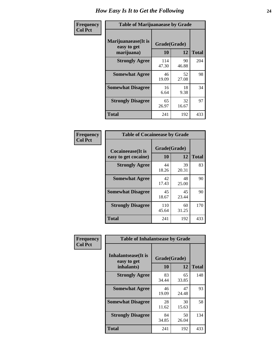| Frequency      | <b>Table of Marijuanaease by Grade</b>           |                    |             |              |  |  |  |  |
|----------------|--------------------------------------------------|--------------------|-------------|--------------|--|--|--|--|
| <b>Col Pct</b> | Marijuanaease(It is<br>easy to get<br>marijuana) | Grade(Grade)<br>10 | 12          | <b>Total</b> |  |  |  |  |
|                | <b>Strongly Agree</b>                            | 114<br>47.30       | 90<br>46.88 | 204          |  |  |  |  |
|                | <b>Somewhat Agree</b>                            | 46<br>19.09        | 52<br>27.08 | 98           |  |  |  |  |
|                | <b>Somewhat Disagree</b>                         | 16<br>6.64         | 18<br>9.38  | 34           |  |  |  |  |
|                | <b>Strongly Disagree</b>                         | 65<br>26.97        | 32<br>16.67 | 97           |  |  |  |  |
|                | <b>Total</b>                                     | 241                | 192         | 433          |  |  |  |  |

| <b>Table of Cocaineease by Grade</b>              |                    |             |              |  |  |  |  |  |  |  |
|---------------------------------------------------|--------------------|-------------|--------------|--|--|--|--|--|--|--|
| <b>Cocaineease</b> (It is<br>easy to get cocaine) | Grade(Grade)<br>10 | 12          | <b>Total</b> |  |  |  |  |  |  |  |
| <b>Strongly Agree</b>                             | 44<br>18.26        | 39<br>20.31 | 83           |  |  |  |  |  |  |  |
| <b>Somewhat Agree</b>                             | 42<br>17.43        | 48<br>25.00 | 90           |  |  |  |  |  |  |  |
| <b>Somewhat Disagree</b>                          | 45<br>18.67        | 45<br>23.44 | 90           |  |  |  |  |  |  |  |
| <b>Strongly Disagree</b>                          | 110<br>45.64       | 60<br>31.25 | 170          |  |  |  |  |  |  |  |
| <b>Total</b>                                      | 241                | 192         | 433          |  |  |  |  |  |  |  |

| Frequency      | <b>Table of Inhalantsease by Grade</b>           |                    |              |     |  |  |  |  |  |  |
|----------------|--------------------------------------------------|--------------------|--------------|-----|--|--|--|--|--|--|
| <b>Col Pct</b> | Inhalantsease(It is<br>easy to get<br>inhalants) | Grade(Grade)<br>10 | <b>Total</b> |     |  |  |  |  |  |  |
|                | <b>Strongly Agree</b>                            | 83<br>34.44        | 65<br>33.85  | 148 |  |  |  |  |  |  |
|                | <b>Somewhat Agree</b>                            | 46<br>19.09        | 47<br>24.48  | 93  |  |  |  |  |  |  |
|                | <b>Somewhat Disagree</b>                         | 28<br>11.62        | 30<br>15.63  | 58  |  |  |  |  |  |  |
|                | <b>Strongly Disagree</b>                         | 84<br>34.85        | 50<br>26.04  | 134 |  |  |  |  |  |  |
|                | <b>Total</b>                                     | 241                | 192          | 433 |  |  |  |  |  |  |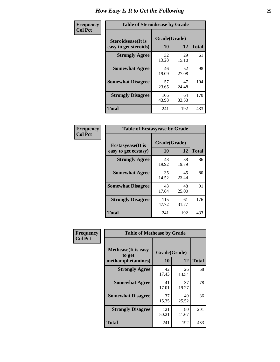| Frequency      | <b>Table of Steroidsease by Grade</b>               |                    |              |     |  |  |  |  |  |
|----------------|-----------------------------------------------------|--------------------|--------------|-----|--|--|--|--|--|
| <b>Col Pct</b> | <b>Steroidsease</b> (It is<br>easy to get steroids) | Grade(Grade)<br>10 | <b>Total</b> |     |  |  |  |  |  |
|                | <b>Strongly Agree</b>                               | 32<br>13.28        | 29<br>15.10  | 61  |  |  |  |  |  |
|                | <b>Somewhat Agree</b>                               | 46<br>19.09        | 52<br>27.08  | 98  |  |  |  |  |  |
|                | <b>Somewhat Disagree</b>                            | 57<br>23.65        | 47<br>24.48  | 104 |  |  |  |  |  |
|                | <b>Strongly Disagree</b>                            | 106<br>43.98       | 64<br>33.33  | 170 |  |  |  |  |  |
|                | <b>Total</b>                                        | 241                | 192          | 433 |  |  |  |  |  |

| Frequency      | <b>Table of Ecstasyease by Grade</b>              |                    |              |     |  |  |  |  |  |  |  |
|----------------|---------------------------------------------------|--------------------|--------------|-----|--|--|--|--|--|--|--|
| <b>Col Pct</b> | <b>Ecstasyease</b> (It is<br>easy to get ecstasy) | Grade(Grade)<br>10 | <b>Total</b> |     |  |  |  |  |  |  |  |
|                | <b>Strongly Agree</b>                             | 48<br>19.92        | 38<br>19.79  | 86  |  |  |  |  |  |  |  |
|                | <b>Somewhat Agree</b>                             | 35<br>14.52        | 45<br>23.44  | 80  |  |  |  |  |  |  |  |
|                | <b>Somewhat Disagree</b>                          | 43<br>17.84        | 48<br>25.00  | 91  |  |  |  |  |  |  |  |
|                | <b>Strongly Disagree</b>                          | 115<br>47.72       | 61<br>31.77  | 176 |  |  |  |  |  |  |  |
| <b>Total</b>   |                                                   | 241                | 192          | 433 |  |  |  |  |  |  |  |

| Frequency      | <b>Table of Methease by Grade</b>                          |                    |              |     |  |  |  |  |  |  |
|----------------|------------------------------------------------------------|--------------------|--------------|-----|--|--|--|--|--|--|
| <b>Col Pct</b> | <b>Methease</b> (It is easy<br>to get<br>methamphetamines) | Grade(Grade)<br>10 | <b>Total</b> |     |  |  |  |  |  |  |
|                | <b>Strongly Agree</b>                                      | 42<br>17.43        | 26<br>13.54  | 68  |  |  |  |  |  |  |
|                | <b>Somewhat Agree</b>                                      | 41<br>17.01        | 37<br>19.27  | 78  |  |  |  |  |  |  |
|                | <b>Somewhat Disagree</b>                                   | 37<br>15.35        | 49<br>25.52  | 86  |  |  |  |  |  |  |
|                | <b>Strongly Disagree</b>                                   | 121<br>50.21       | 80<br>41.67  | 201 |  |  |  |  |  |  |
|                | <b>Total</b>                                               | 241                | 192          | 433 |  |  |  |  |  |  |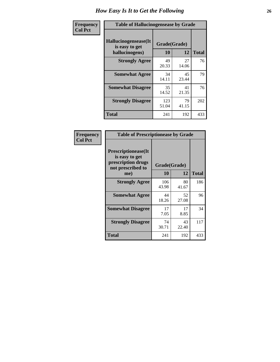| <b>Frequency</b> | <b>Table of Hallucinogensease by Grade</b>               |                    |              |     |  |  |  |  |  |
|------------------|----------------------------------------------------------|--------------------|--------------|-----|--|--|--|--|--|
| <b>Col Pct</b>   | Hallucinogensease(It<br>is easy to get<br>hallucinogens) | Grade(Grade)<br>10 | <b>Total</b> |     |  |  |  |  |  |
|                  | <b>Strongly Agree</b>                                    | 49<br>20.33        | 27<br>14.06  | 76  |  |  |  |  |  |
|                  | <b>Somewhat Agree</b>                                    | 34<br>14.11        | 45<br>23.44  | 79  |  |  |  |  |  |
|                  | <b>Somewhat Disagree</b>                                 | 35<br>14.52        | 41<br>21.35  | 76  |  |  |  |  |  |
|                  | <b>Strongly Disagree</b>                                 | 123<br>51.04       | 79<br>41.15  | 202 |  |  |  |  |  |
|                  | <b>Total</b>                                             | 241                | 192          | 433 |  |  |  |  |  |

| Frequency<br>  Col Pct |
|------------------------|
|                        |

| <b>Table of Prescriptionease by Grade</b>                                                      |              |                    |              |  |  |  |  |  |  |  |
|------------------------------------------------------------------------------------------------|--------------|--------------------|--------------|--|--|--|--|--|--|--|
| <b>Prescriptionease(It</b><br>is easy to get<br>prescription drugs<br>not prescribed to<br>me) | 10           | Grade(Grade)<br>12 | <b>Total</b> |  |  |  |  |  |  |  |
| <b>Strongly Agree</b>                                                                          | 106<br>43.98 | 80<br>41.67        | 186          |  |  |  |  |  |  |  |
| <b>Somewhat Agree</b>                                                                          | 44<br>18.26  | 52<br>27.08        | 96           |  |  |  |  |  |  |  |
| <b>Somewhat Disagree</b>                                                                       | 17<br>7.05   | 17<br>8.85         | 34           |  |  |  |  |  |  |  |
| <b>Strongly Disagree</b>                                                                       | 74<br>30.71  | 43<br>22.40        | 117          |  |  |  |  |  |  |  |
| <b>Total</b>                                                                                   | 241          | 192                | 433          |  |  |  |  |  |  |  |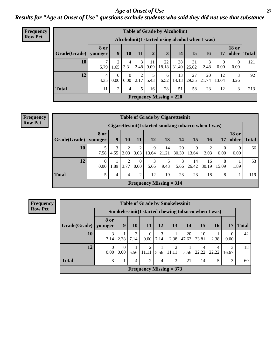*Age at Onset of Use* **27** *Results for "Age at Onset of Use" questions exclude students who said they did not use that substance*

| <b>Frequency</b> | <b>Table of Grade by Alcoholinit</b> |                        |                                                  |                      |           |            |                           |             |             |             |                      |                       |              |
|------------------|--------------------------------------|------------------------|--------------------------------------------------|----------------------|-----------|------------|---------------------------|-------------|-------------|-------------|----------------------|-----------------------|--------------|
| <b>Row Pct</b>   |                                      |                        | Alcoholinit (I started using alcohol when I was) |                      |           |            |                           |             |             |             |                      |                       |              |
|                  | Grade(Grade)                         | <b>8</b> or<br>younger | 9                                                | 10                   | 11        | 12         | 13                        | 14          | 15          | 16          | 17                   | <b>18 or</b><br>older | <b>Total</b> |
|                  | 10                                   | $\mathcal{L}$<br>5.79  | 2<br>.65                                         | 4<br>3.31            | 3<br>2.48 | 11<br>9.09 | 22<br>18.18               | 38<br>31.40 | 31<br>25.62 | 2.48        | $\mathbf{0}$<br>0.00 | $\theta$<br>0.00      | 121          |
|                  | 12                                   | $\overline{4}$<br>4.35 | $\Omega$<br>0.00                                 | $\Omega$<br>$0.00\,$ | 2<br>2.17 | 5<br>5.43  | 6<br>6.52                 | 13<br>14.13 | 27<br>29.35 | 20<br>21.74 | 12<br>13.04          | 3.26                  | 92           |
|                  | <b>Total</b>                         | 11                     | $\overline{c}$                                   | 4                    | 5         | 16         | 28                        | 51          | 58          | 23          | 12                   | 3                     | 213          |
|                  |                                      |                        |                                                  |                      |           |            | Frequency Missing $= 220$ |             |             |             |                      |                       |              |

#### **Frequency Row Pct**

| <b>Table of Grade by Cigarettesinit</b> |                        |                                                      |      |                  |                           |             |             |             |             |            |                       |              |
|-----------------------------------------|------------------------|------------------------------------------------------|------|------------------|---------------------------|-------------|-------------|-------------|-------------|------------|-----------------------|--------------|
|                                         |                        | Cigarettesinit(I started smoking tobacco when I was) |      |                  |                           |             |             |             |             |            |                       |              |
| Grade(Grade)                            | <b>8</b> or<br>younger | 9                                                    | 10   | 11               | 12                        | 13          | 14          | 15          | 16          | 17         | <b>18 or</b><br>older | <b>Total</b> |
| 10                                      | 7.58                   | 3<br>4.55                                            | 3.03 | 2<br>3.03        | 9<br>13.64                | 14<br>21.21 | 20<br>30.30 | 9<br>13.64  | 3.03        | 0<br>0.00  | $\theta$<br>0.00      | 66           |
| 12                                      | $\Omega$<br>0.00       | 1.89                                                 | 3.77 | $\theta$<br>0.00 | 3<br>5.66                 | 9.43        | 3<br>5.66   | 14<br>26.42 | 16<br>30.19 | 8<br>15.09 | 1.89                  | 53           |
| <b>Total</b>                            | 5                      | 4                                                    | 4    | $\overline{2}$   | 12                        | 19          | 23          | 23          | 18          | 8          |                       | 119          |
|                                         |                        |                                                      |      |                  | Frequency Missing $= 314$ |             |             |             |             |            |                       |              |

**Frequency Row Pct**

|                                                                                | <b>Table of Grade by Smokelessinit</b>                                                                                                   |                                                     |      |            |      |            |      |            |            |       |    |
|--------------------------------------------------------------------------------|------------------------------------------------------------------------------------------------------------------------------------------|-----------------------------------------------------|------|------------|------|------------|------|------------|------------|-------|----|
|                                                                                |                                                                                                                                          | Smokelessinit(I started chewing tobacco when I was) |      |            |      |            |      |            |            |       |    |
| Grade(Grade)   younger                                                         | 8 or<br>10<br><b>12</b><br><b>14</b><br>15<br>9<br><b>13</b><br><b>16</b><br><b>Total</b><br>11<br>17                                    |                                                     |      |            |      |            |      |            |            |       |    |
| 10                                                                             | 3<br>3<br>42<br>3<br>20<br>10<br>$\Omega$<br>$\theta$<br>0.00<br>2.38<br>2.38<br>7.14<br> 7.14<br>2.38<br>7.14<br>23.81<br>0.00<br>47.62 |                                                     |      |            |      |            |      |            |            |       |    |
| 12                                                                             | $\Omega$<br>0.00                                                                                                                         | $\Omega$<br>0.00                                    | 5.56 | 2<br>11.11 | 5.56 | 2<br>11.11 | 5.56 | 4<br>22.22 | 4<br>22.22 | 16.67 | 18 |
| <b>Total</b><br>3<br>3<br>21<br>5<br>$\overline{2}$<br>3<br>4<br>14<br>60<br>4 |                                                                                                                                          |                                                     |      |            |      |            |      |            |            |       |    |
| Frequency Missing $= 373$                                                      |                                                                                                                                          |                                                     |      |            |      |            |      |            |            |       |    |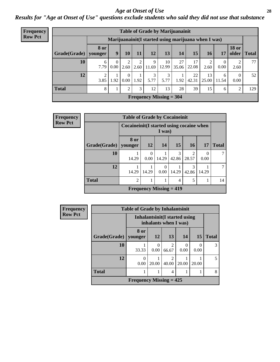### *Age at Onset of Use* **28**

*Results for "Age at Onset of Use" questions exclude students who said they did not use that substance*

| Frequency      | <b>Table of Grade by Marijuanainit</b>              |                        |                  |                  |           |            |                                |             |             |             |                  |                       |              |
|----------------|-----------------------------------------------------|------------------------|------------------|------------------|-----------|------------|--------------------------------|-------------|-------------|-------------|------------------|-----------------------|--------------|
| <b>Row Pct</b> | Marijuanainit(I started using marijuana when I was) |                        |                  |                  |           |            |                                |             |             |             |                  |                       |              |
|                | Grade(Grade)                                        | <b>8 or</b><br>younger | 9                | 10               | 11        | 12         | 13                             | 14          | 15          | 16          | 17               | <b>18 or</b><br>older | <b>Total</b> |
|                | 10                                                  | 6<br>7.79              | $\theta$<br>0.00 | 2.60             | 2<br>2.60 | 9<br>11.69 | 10<br>12.99                    | 27<br>35.06 | 17<br>22.08 | 2.60        | $\theta$<br>0.00 | 2.60                  | 77           |
|                | 12                                                  | 3.85                   | 1.92             | $\Omega$<br>0.00 | 1.92      | 5.77       | 3<br>5.77                      | 1.92        | 22<br>42.31 | 13<br>25.00 | 6<br>11.54       | $\Omega$<br>0.00      | 52           |
|                | <b>Total</b>                                        | 8                      |                  | $\overline{2}$   | 3         | 12         | 13                             | 28          | 39          | 15          | 6                | $\overline{2}$        | 129          |
|                |                                                     |                        |                  |                  |           |            | <b>Frequency Missing = 304</b> |             |             |             |                  |                       |              |

| Frequency      |                        | <b>Table of Grade by Cocaineinit</b>      |                  |                           |            |                         |                  |              |  |  |
|----------------|------------------------|-------------------------------------------|------------------|---------------------------|------------|-------------------------|------------------|--------------|--|--|
| <b>Row Pct</b> |                        | Cocaineinit (I started using cocaine when |                  | I was)                    |            |                         |                  |              |  |  |
|                | Grade(Grade)   younger | 8 or                                      | 12               | 14                        | 15         | <b>16</b>               | <b>17</b>        | <b>Total</b> |  |  |
|                | 10                     | 14.29                                     | $\Omega$<br>0.00 | 14.29                     | 3<br>42.86 | $\overline{c}$<br>28.57 | $\theta$<br>0.00 |              |  |  |
|                | 12                     | 14.29                                     | 14.29            | $\Omega$<br>0.00          | 14.29      | 3<br>42.86              | 14.29            | 7            |  |  |
|                | <b>Total</b>           | $\overline{2}$                            | 5<br>1<br>4      |                           |            |                         |                  |              |  |  |
|                |                        |                                           |                  | Frequency Missing $= 419$ |            |                         |                  |              |  |  |

| <b>Frequency</b> |              | <b>Table of Grade by Inhalantsinit</b> |                  |                                                         |       |       |              |
|------------------|--------------|----------------------------------------|------------------|---------------------------------------------------------|-------|-------|--------------|
| <b>Row Pct</b>   |              |                                        |                  | Inhalantsinit (I started using<br>inhalants when I was) |       |       |              |
|                  | Grade(Grade) | 8 or<br>younger                        | 12               | 13                                                      | 14    | 15    | <b>Total</b> |
|                  | 10           | 33.33                                  | $\Omega$<br>0.00 | $\overline{c}$<br>66.67                                 | 0.00  | 0.00  | 3            |
|                  | 12           | 0<br>0.00                              | 20.00            | $\overline{2}$<br>40.00                                 | 20.00 | 20.00 | 5            |
|                  | <b>Total</b> |                                        | 8                |                                                         |       |       |              |
|                  |              | Frequency Missing $= 425$              |                  |                                                         |       |       |              |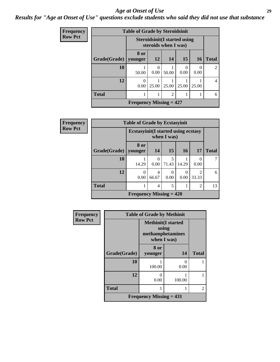### *Age at Onset of Use* **29**

### *Results for "Age at Onset of Use" questions exclude students who said they did not use that substance*

| <b>Frequency</b> | <b>Table of Grade by Steroidsinit</b> |                           |                                                              |       |                  |                  |                             |  |  |  |
|------------------|---------------------------------------|---------------------------|--------------------------------------------------------------|-------|------------------|------------------|-----------------------------|--|--|--|
| <b>Row Pct</b>   |                                       |                           | <b>Steroidsinit (I started using</b><br>steroids when I was) |       |                  |                  |                             |  |  |  |
|                  | Grade(Grade)                          | 8 or<br>younger           | 12                                                           | 14    | 15               | <b>16</b>        | <b>Total</b>                |  |  |  |
|                  | 10                                    | 50.00                     | 0<br>0.00                                                    | 50.00 | $\Omega$<br>0.00 | $\Omega$<br>0.00 | $\mathcal{D}_{\mathcal{L}}$ |  |  |  |
|                  | 12                                    | 0<br>0.00                 | 25.00                                                        | 25.00 | 25.00            | 25.00            | 4                           |  |  |  |
|                  | <b>Total</b>                          |                           | $\overline{2}$<br>1                                          |       |                  |                  |                             |  |  |  |
|                  |                                       | Frequency Missing $= 427$ |                                                              |       |                  |                  |                             |  |  |  |

| Frequency      |              | <b>Table of Grade by Ecstasyinit</b>       |                  |             |                   |                         |              |  |  |
|----------------|--------------|--------------------------------------------|------------------|-------------|-------------------|-------------------------|--------------|--|--|
| <b>Row Pct</b> |              | <b>Ecstasyinit(I started using ecstasy</b> |                  | when I was) |                   |                         |              |  |  |
|                | Grade(Grade) | 8 or<br>younger                            | 14               | 15          | 16                | 17                      | <b>Total</b> |  |  |
|                | 10           | 14.29                                      | $\Omega$<br>0.00 | 5<br>71.43  | 14.29             | $\Omega$<br>0.00        |              |  |  |
|                | 12           | 0<br>0.00                                  | 4<br>66.67       | 0<br>0.00   | $\bigcap$<br>0.00 | $\mathfrak{D}$<br>33.33 | 6            |  |  |
|                | <b>Total</b> | 5<br>$\overline{c}$<br>4                   |                  |             |                   |                         |              |  |  |
|                |              | Frequency Missing $= 420$                  |                  |             |                   |                         |              |  |  |

| <b>Frequency</b> |              | <b>Table of Grade by Methinit</b>                                     |        |              |
|------------------|--------------|-----------------------------------------------------------------------|--------|--------------|
| <b>Row Pct</b>   |              | <b>Methinit(I started</b><br>using<br>methamphetamines<br>when I was) |        |              |
|                  | Grade(Grade) | 8 or<br>younger                                                       | 14     | <b>Total</b> |
|                  | 10           | 100.00                                                                | 0.00   |              |
|                  | 12           | 0.00                                                                  | 100.00 |              |
|                  | <b>Total</b> |                                                                       |        | 2            |
|                  |              | Frequency Missing $= 431$                                             |        |              |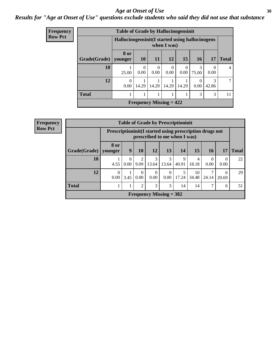### Age at Onset of Use **30**

### *Results for "Age at Onset of Use" questions exclude students who said they did not use that substance*

| Frequency      |              | <b>Table of Grade by Hallucinogensinit</b>      |                                                                |                  |             |                  |            |                          |    |  |  |
|----------------|--------------|-------------------------------------------------|----------------------------------------------------------------|------------------|-------------|------------------|------------|--------------------------|----|--|--|
| <b>Row Pct</b> |              | Hallucinogensinit(I started using hallucinogens |                                                                |                  | when I was) |                  |            |                          |    |  |  |
|                | Grade(Grade) | 8 or<br>younger                                 | <b>10</b><br>11<br>12<br>15<br>17<br><b>16</b><br><b>Total</b> |                  |             |                  |            |                          |    |  |  |
|                | 10           | 25.00                                           | $\Omega$<br>0.00                                               | $\Omega$<br>0.00 | 0<br>0.00   | $\Omega$<br>0.00 | 3<br>75.00 | $\left( \right)$<br>0.00 | 4  |  |  |
|                | 12           | $\Omega$<br>0.00                                | 14.29                                                          | 14.29            | 14.29       | 14.29            | 0.00       | $\mathcal{R}$<br>42.86   | ℸ  |  |  |
|                | <b>Total</b> |                                                 |                                                                |                  |             |                  | 3          | 3                        | 11 |  |  |
|                |              |                                                 | Frequency Missing $= 422$                                      |                  |             |                  |            |                          |    |  |  |

| <b>Frequency</b> |              |                        |                                                                                         |                        |            |                           | <b>Table of Grade by Prescriptioninit</b> |             |       |                  |              |
|------------------|--------------|------------------------|-----------------------------------------------------------------------------------------|------------------------|------------|---------------------------|-------------------------------------------|-------------|-------|------------------|--------------|
| <b>Row Pct</b>   |              |                        | Prescriptioninit(I started using prescription drugs not<br>prescribed to me when I was) |                        |            |                           |                                           |             |       |                  |              |
|                  | Grade(Grade) | <b>8 or</b><br>vounger | 9                                                                                       | 10                     | 12         | 13                        | 14                                        | 15          | 16    | 17               | <b>Total</b> |
|                  | 10           | 4.55                   | 0.00                                                                                    | $\mathfrak{D}$<br>9.09 | 3<br>13.64 | 3<br>13.64                | <b>Q</b><br>40.91                         | 4<br>18.18  | 0.00  | $\Omega$<br>0.00 | 22           |
|                  | 12           | 0<br>0.00              | 3.45                                                                                    | 0<br>0.00              | 0<br>0.00  | $\theta$<br>0.00          | 17.24                                     | 10<br>34.48 | 24.14 | 6<br>20.69       | 29           |
|                  | <b>Total</b> |                        |                                                                                         | $\overline{2}$         | 3          | 3                         | 14                                        | 14          | 7     | 6                | 51           |
|                  |              |                        |                                                                                         |                        |            | Frequency Missing $=$ 382 |                                           |             |       |                  |              |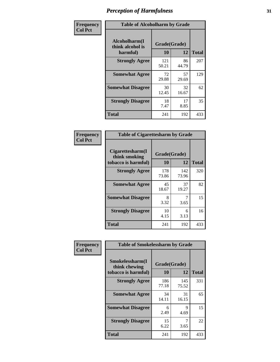| Frequency      | <b>Table of Alcoholharm by Grade</b>          |                    |             |              |
|----------------|-----------------------------------------------|--------------------|-------------|--------------|
| <b>Col Pct</b> | Alcoholharm(I<br>think alcohol is<br>harmful) | Grade(Grade)<br>10 | 12          | <b>Total</b> |
|                | <b>Strongly Agree</b>                         | 121<br>50.21       | 86<br>44.79 | 207          |
|                | <b>Somewhat Agree</b>                         | 72<br>29.88        | 57<br>29.69 | 129          |
|                | <b>Somewhat Disagree</b>                      | 30<br>12.45        | 32<br>16.67 | 62           |
|                | <b>Strongly Disagree</b>                      | 18<br>7.47         | 17<br>8.85  | 35           |
|                | <b>Total</b>                                  | 241                | 192         | 433          |

| <b>Table of Cigarettesharm by Grade</b>                  |                    |              |              |  |  |  |  |  |  |
|----------------------------------------------------------|--------------------|--------------|--------------|--|--|--|--|--|--|
| Cigarettesharm(I<br>think smoking<br>tobacco is harmful) | Grade(Grade)<br>10 | 12           | <b>Total</b> |  |  |  |  |  |  |
| <b>Strongly Agree</b>                                    | 178<br>73.86       | 142<br>73.96 | 320          |  |  |  |  |  |  |
| <b>Somewhat Agree</b>                                    | 45<br>18.67        | 37<br>19.27  | 82           |  |  |  |  |  |  |
| <b>Somewhat Disagree</b>                                 | 8<br>3.32          | 7<br>3.65    | 15           |  |  |  |  |  |  |
| <b>Strongly Disagree</b>                                 | 10<br>4.15         | 6<br>3.13    | 16           |  |  |  |  |  |  |
| <b>Total</b>                                             | 241                | 192          | 433          |  |  |  |  |  |  |

| Frequency      | <b>Table of Smokelessharm by Grade</b>                  |                           |              |              |
|----------------|---------------------------------------------------------|---------------------------|--------------|--------------|
| <b>Col Pct</b> | Smokelessharm(I<br>think chewing<br>tobacco is harmful) | Grade(Grade)<br><b>10</b> | 12           | <b>Total</b> |
|                | <b>Strongly Agree</b>                                   | 186<br>77.18              | 145<br>75.52 | 331          |
|                | <b>Somewhat Agree</b>                                   | 34<br>14.11               | 31<br>16.15  | 65           |
|                | <b>Somewhat Disagree</b>                                | 6<br>2.49                 | 9<br>4.69    | 15           |
|                | <b>Strongly Disagree</b>                                | 15<br>6.22                | 3.65         | 22           |
|                | <b>Total</b>                                            | 241                       | 192          | 433          |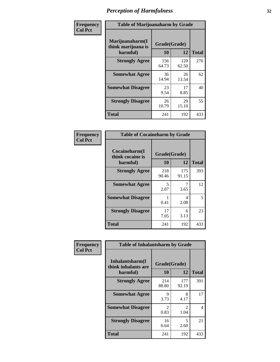| Frequency      |                                                   | <b>Table of Marijuanaharm by Grade</b> |              |              |  |
|----------------|---------------------------------------------------|----------------------------------------|--------------|--------------|--|
| <b>Col Pct</b> | Marijuanaharm(I<br>think marijuana is<br>harmful) | Grade(Grade)<br>10                     | 12           | <b>Total</b> |  |
|                | <b>Strongly Agree</b>                             | 156<br>64.73                           | 120<br>62.50 | 276          |  |
|                | <b>Somewhat Agree</b>                             | 36<br>14.94                            | 26<br>13.54  | 62           |  |
|                | <b>Somewhat Disagree</b>                          | 23<br>9.54                             | 17<br>8.85   | 40           |  |
|                | <b>Strongly Disagree</b>                          | 26<br>10.79                            | 29<br>15.10  | 55           |  |
|                | <b>Total</b>                                      | 241                                    | 192          | 433          |  |

| <b>Table of Cocaineharm by Grade</b>          |                    |              |              |  |  |
|-----------------------------------------------|--------------------|--------------|--------------|--|--|
| Cocaineharm(I<br>think cocaine is<br>harmful) | Grade(Grade)<br>10 | 12           | <b>Total</b> |  |  |
| <b>Strongly Agree</b>                         | 218<br>90.46       | 175<br>91.15 | 393          |  |  |
| <b>Somewhat Agree</b>                         | 5<br>2.07          | 3.65         | 12           |  |  |
| <b>Somewhat Disagree</b>                      | 1<br>0.41          | 4<br>2.08    | 5            |  |  |
| <b>Strongly Disagree</b>                      | 17<br>7.05         | 6<br>3.13    | 23           |  |  |
| <b>Total</b>                                  | 241                | 192          | 433          |  |  |

| Frequency      | <b>Table of Inhalantsharm by Grade</b>             |                    |              |              |
|----------------|----------------------------------------------------|--------------------|--------------|--------------|
| <b>Col Pct</b> | Inhalantsharm(I<br>think inhalants are<br>harmful) | Grade(Grade)<br>10 | 12           | <b>Total</b> |
|                | <b>Strongly Agree</b>                              | 214<br>88.80       | 177<br>92.19 | 391          |
|                | <b>Somewhat Agree</b>                              | 9<br>3.73          | 8<br>4.17    | 17           |
|                | <b>Somewhat Disagree</b>                           | 2<br>0.83          | 2<br>1.04    | 4            |
|                | <b>Strongly Disagree</b>                           | 16<br>6.64         | 5<br>2.60    | 21           |
|                | <b>Total</b>                                       | 241                | 192          | 433          |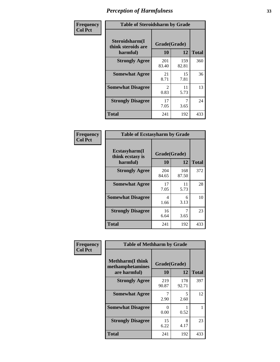| Frequency      | <b>Table of Steroidsharm by Grade</b>            |                                     |              |              |
|----------------|--------------------------------------------------|-------------------------------------|--------------|--------------|
| <b>Col Pct</b> | Steroidsharm(I<br>think steroids are<br>harmful) | Grade(Grade)<br>10                  | 12           | <b>Total</b> |
|                | <b>Strongly Agree</b>                            | 201<br>83.40                        | 159<br>82.81 | 360          |
|                | <b>Somewhat Agree</b>                            | 21<br>8.71                          | 15<br>7.81   | 36           |
|                | <b>Somewhat Disagree</b>                         | $\mathcal{D}_{\mathcal{L}}$<br>0.83 | 11<br>5.73   | 13           |
|                | <b>Strongly Disagree</b>                         | 17<br>7.05                          | 3.65         | 24           |
|                | <b>Total</b>                                     | 241                                 | 192          | 433          |

| <b>Table of Ecstasyharm by Grade</b>                |                          |              |     |  |  |
|-----------------------------------------------------|--------------------------|--------------|-----|--|--|
| $E$ cstasyharm $(I$<br>think ecstasy is<br>harmful) | Grade(Grade)<br>10<br>12 |              |     |  |  |
| <b>Strongly Agree</b>                               | 204<br>84.65             | 168<br>87.50 | 372 |  |  |
| <b>Somewhat Agree</b>                               | 17<br>7.05               | 11<br>5.73   | 28  |  |  |
| <b>Somewhat Disagree</b>                            | 4<br>1.66                | 6<br>3.13    | 10  |  |  |
| <b>Strongly Disagree</b>                            | 16<br>6.64               | 7<br>3.65    | 23  |  |  |
| <b>Total</b>                                        | 241                      | 192          | 433 |  |  |

| Frequency      | <b>Table of Methharm by Grade</b>                            |                    |              |              |
|----------------|--------------------------------------------------------------|--------------------|--------------|--------------|
| <b>Col Pct</b> | <b>Methharm</b> (I think<br>methamphetamines<br>are harmful) | Grade(Grade)<br>10 | 12           | <b>Total</b> |
|                | <b>Strongly Agree</b>                                        | 219<br>90.87       | 178<br>92.71 | 397          |
|                | <b>Somewhat Agree</b>                                        | 7<br>2.90          | 5<br>2.60    | 12           |
|                | <b>Somewhat Disagree</b>                                     | 0<br>0.00          | 0.52         |              |
|                | <b>Strongly Disagree</b>                                     | 15<br>6.22         | 8<br>4.17    | 23           |
|                | <b>Total</b>                                                 | 241                | 192          | 433          |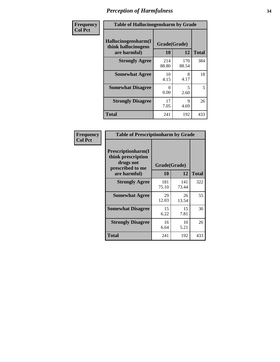| Frequency      | <b>Table of Hallucinogensharm by Grade</b>                 |                    |                                  |              |
|----------------|------------------------------------------------------------|--------------------|----------------------------------|--------------|
| <b>Col Pct</b> | Hallucinogensharm(I<br>think hallucinogens<br>are harmful) | Grade(Grade)<br>10 | 12                               | <b>Total</b> |
|                | <b>Strongly Agree</b>                                      | 214<br>88.80       | 170<br>88.54                     | 384          |
|                | <b>Somewhat Agree</b>                                      | 10<br>4.15         | 8<br>4.17                        | 18           |
|                | <b>Somewhat Disagree</b>                                   | $\Omega$<br>0.00   | $\overline{\phantom{0}}$<br>2.60 | 5            |
|                | <b>Strongly Disagree</b>                                   | 17<br>7.05         | 9<br>4.69                        | 26           |
|                | <b>Total</b>                                               | 241                | 192                              | 433          |

| <b>Table of Prescriptionharm by Grade</b>                                         |              |              |              |  |
|-----------------------------------------------------------------------------------|--------------|--------------|--------------|--|
| <b>Prescriptionharm(I)</b><br>think prescription<br>drugs not<br>prescribed to me | Grade(Grade) |              |              |  |
| are harmful)                                                                      | 10           | 12           | <b>Total</b> |  |
| <b>Strongly Agree</b>                                                             | 181<br>75.10 | 141<br>73.44 | 322          |  |
| <b>Somewhat Agree</b>                                                             | 29<br>12.03  | 26<br>13.54  | 55           |  |
| <b>Somewhat Disagree</b>                                                          | 15<br>6.22   | 15<br>7.81   | 30           |  |
| <b>Strongly Disagree</b>                                                          | 16<br>6.64   | 10<br>5.21   | 26           |  |
| Total                                                                             | 241          | 192          | 433          |  |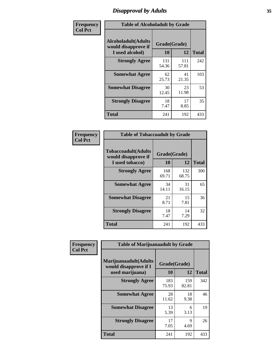# *Disapproval by Adults* **35**

| Frequency      | <b>Table of Alcoholadult by Grade</b>                         |                    |              |              |
|----------------|---------------------------------------------------------------|--------------------|--------------|--------------|
| <b>Col Pct</b> | Alcoholadult(Adults<br>would disapprove if<br>I used alcohol) | Grade(Grade)<br>10 | 12           | <b>Total</b> |
|                | <b>Strongly Agree</b>                                         | 131<br>54.36       | 111<br>57.81 | 242          |
|                | <b>Somewhat Agree</b>                                         | 62<br>25.73        | 41<br>21.35  | 103          |
|                | <b>Somewhat Disagree</b>                                      | 30<br>12.45        | 23<br>11.98  | 53           |
|                | <b>Strongly Disagree</b>                                      | 18<br>7.47         | 17<br>8.85   | 35           |
|                | <b>Total</b>                                                  | 241                | 192          | 433          |

| <b>Table of Tobaccoadult by Grade</b>                                 |              |                    |              |  |
|-----------------------------------------------------------------------|--------------|--------------------|--------------|--|
| <b>Tobaccoadult</b> (Adults<br>would disapprove if<br>I used tobacco) | 10           | Grade(Grade)<br>12 | <b>Total</b> |  |
| <b>Strongly Agree</b>                                                 | 168<br>69.71 | 132<br>68.75       | 300          |  |
| <b>Somewhat Agree</b>                                                 | 34<br>14.11  | 31<br>16.15        | 65           |  |
| <b>Somewhat Disagree</b>                                              | 21<br>8.71   | 15<br>7.81         | 36           |  |
| <b>Strongly Disagree</b>                                              | 18<br>7.47   | 14<br>7.29         | 32           |  |
| <b>Total</b>                                                          | 241          | 192                | 433          |  |

| Frequency      | <b>Table of Marijuanaadult by Grade</b>                           |                    |                     |              |
|----------------|-------------------------------------------------------------------|--------------------|---------------------|--------------|
| <b>Col Pct</b> | Marijuanaadult(Adults<br>would disapprove if I<br>used marijuana) | Grade(Grade)<br>10 | 12                  | <b>Total</b> |
|                | <b>Strongly Agree</b>                                             | 183<br>75.93       | 159<br>82.81        | 342          |
|                | <b>Somewhat Agree</b>                                             | 28<br>11.62        | 18<br>9.38          | 46           |
|                | <b>Somewhat Disagree</b>                                          | 13<br>5.39         | 6<br>3.13           | 19           |
|                | <b>Strongly Disagree</b>                                          | 17<br>7.05         | $\mathbf Q$<br>4.69 | 26           |
|                | <b>Total</b>                                                      | 241                | 192                 | 433          |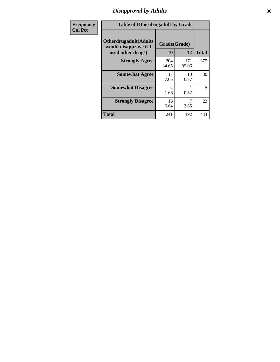# *Disapproval by Adults* **36**

| <b>Frequency</b> | <b>Table of Otherdrugadult by Grade</b>                |              |              |              |
|------------------|--------------------------------------------------------|--------------|--------------|--------------|
| <b>Col Pct</b>   | <b>Otherdrugadult</b> (Adults<br>would disapprove if I | Grade(Grade) |              |              |
|                  | used other drugs)                                      | 10           | 12           | <b>Total</b> |
|                  | <b>Strongly Agree</b>                                  | 204<br>84.65 | 171<br>89.06 | 375          |
|                  | <b>Somewhat Agree</b>                                  | 17<br>7.05   | 13<br>6.77   | 30           |
|                  | <b>Somewhat Disagree</b>                               | 4<br>1.66    | 0.52         | 5            |
|                  | <b>Strongly Disagree</b>                               | 16<br>6.64   | 3.65         | 23           |
|                  | <b>Total</b>                                           | 241          | 192          | 433          |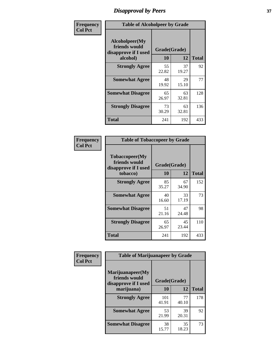# *Disapproval by Peers* **37**

| Frequency      | <b>Table of Alcoholpeer by Grade</b>                    |              |             |              |  |
|----------------|---------------------------------------------------------|--------------|-------------|--------------|--|
| <b>Col Pct</b> | Alcoholpeer(My<br>friends would<br>disapprove if I used | Grade(Grade) |             |              |  |
|                | alcohol)                                                | 10           | 12          | <b>Total</b> |  |
|                | <b>Strongly Agree</b>                                   | 55<br>22.82  | 37<br>19.27 | 92           |  |
|                | <b>Somewhat Agree</b>                                   | 48<br>19.92  | 29<br>15.10 | 77           |  |
|                | <b>Somewhat Disagree</b>                                | 65<br>26.97  | 63<br>32.81 | 128          |  |
|                | <b>Strongly Disagree</b>                                | 73<br>30.29  | 63<br>32.81 | 136          |  |
|                | Total                                                   | 241          | 192         | 433          |  |

| Frequency      | <b>Table of Tobaccopeer by Grade</b>                    |              |             |              |
|----------------|---------------------------------------------------------|--------------|-------------|--------------|
| <b>Col Pct</b> | Tobaccopeer(My<br>friends would<br>disapprove if I used | Grade(Grade) |             |              |
|                | tobacco)                                                | 10           | 12          | <b>Total</b> |
|                | <b>Strongly Agree</b>                                   | 85<br>35.27  | 67<br>34.90 | 152          |
|                | <b>Somewhat Agree</b>                                   | 40<br>16.60  | 33<br>17.19 | 73           |
|                | <b>Somewhat Disagree</b>                                | 51<br>21.16  | 47<br>24.48 | 98           |
|                | <b>Strongly Disagree</b>                                | 65<br>26.97  | 45<br>23.44 | 110          |
|                | Total                                                   | 241          | 192         | 433          |

| Frequency<br><b>Col Pct</b> | <b>Table of Marijuanapeer by Grade</b>                    |              |             |              |
|-----------------------------|-----------------------------------------------------------|--------------|-------------|--------------|
|                             | Marijuanapeer(My<br>friends would<br>disapprove if I used | Grade(Grade) |             |              |
|                             | marijuana)                                                | 10           | 12          | <b>Total</b> |
|                             | <b>Strongly Agree</b>                                     | 101<br>41.91 | 77<br>40.10 | 178          |
|                             | <b>Somewhat Agree</b>                                     | 53<br>21.99  | 39<br>20.31 | 92           |
|                             | <b>Somewhat Disagree</b>                                  | 38<br>15.77  | 35<br>18.23 | 73           |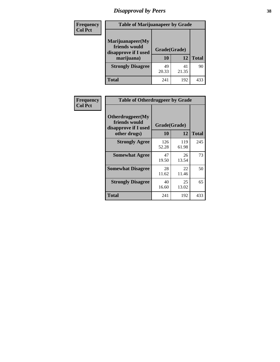# *Disapproval by Peers* **38**

| <b>Frequency</b> | <b>Table of Marijuanapeer by Grade</b>                                  |                           |             |              |  |
|------------------|-------------------------------------------------------------------------|---------------------------|-------------|--------------|--|
| <b>Col Pct</b>   | Marijuanapeer(My<br>friends would<br>disapprove if I used<br>marijuana) | Grade(Grade)<br><b>10</b> | 12          | <b>Total</b> |  |
|                  | <b>Strongly Disagree</b>                                                | 49<br>20.33               | 41<br>21.35 | 90           |  |
|                  | <b>Total</b>                                                            | 241                       | 192         | 433          |  |

| Frequency      | <b>Table of Otherdrugpeer by Grade</b>                                    |                    |              |              |
|----------------|---------------------------------------------------------------------------|--------------------|--------------|--------------|
| <b>Col Pct</b> | Otherdrugpeer(My<br>friends would<br>disapprove if I used<br>other drugs) | Grade(Grade)<br>10 | 12           | <b>Total</b> |
|                | <b>Strongly Agree</b>                                                     | 126<br>52.28       | 119<br>61.98 | 245          |
|                | <b>Somewhat Agree</b>                                                     | 47<br>19.50        | 26<br>13.54  | 73           |
|                | <b>Somewhat Disagree</b>                                                  | 28<br>11.62        | 22<br>11.46  | 50           |
|                | <b>Strongly Disagree</b>                                                  | 40<br>16.60        | 25<br>13.02  | 65           |
|                | <b>Total</b>                                                              | 241                | 192          | 433          |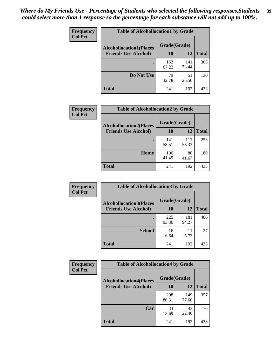| Frequency<br><b>Col Pct</b> | <b>Table of Alcohollocation1 by Grade</b> |              |              |              |
|-----------------------------|-------------------------------------------|--------------|--------------|--------------|
|                             | <b>Alcohollocation1(Places</b>            | Grade(Grade) |              |              |
|                             | <b>Friends Use Alcohol)</b>               | 10           | 12           | <b>Total</b> |
|                             |                                           | 162<br>67.22 | 141<br>73.44 | 303          |
|                             | Do Not Use                                | 79<br>32.78  | 51<br>26.56  | 130          |
|                             | <b>Total</b>                              | 241          | 192          | 433          |

| Frequency      | <b>Table of Alcohollocation2 by Grade</b>                     |                    |              |              |
|----------------|---------------------------------------------------------------|--------------------|--------------|--------------|
| <b>Col Pct</b> | <b>Alcohollocation2(Places</b><br><b>Friends Use Alcohol)</b> | Grade(Grade)<br>10 | 12           | <b>Total</b> |
|                |                                                               | 141<br>58.51       | 112<br>58.33 | 253          |
|                | Home                                                          | 100<br>41.49       | 80<br>41.67  | 180          |
|                | Total                                                         | 241                | 192          | 433          |

| Frequency<br><b>Col Pct</b> | <b>Table of Alcohollocation 3 by Grade</b>                    |                    |              |              |
|-----------------------------|---------------------------------------------------------------|--------------------|--------------|--------------|
|                             | <b>Alcohollocation3(Places</b><br><b>Friends Use Alcohol)</b> | Grade(Grade)<br>10 | 12           | <b>Total</b> |
|                             |                                                               | 225<br>93.36       | 181<br>94.27 | 406          |
|                             | <b>School</b>                                                 | 16<br>6.64         | 11<br>5.73   | 27           |
|                             | <b>Total</b>                                                  | 241                | 192          | 433          |

| <b>Frequency</b> | <b>Table of Alcohollocation4 by Grade</b> |              |              |              |
|------------------|-------------------------------------------|--------------|--------------|--------------|
| <b>Col Pct</b>   | <b>Alcohollocation4(Places</b>            | Grade(Grade) |              |              |
|                  | <b>Friends Use Alcohol)</b>               | 10           | 12           | <b>Total</b> |
|                  |                                           | 208<br>86.31 | 149<br>77.60 | 357          |
|                  | Car                                       | 33<br>13.69  | 43<br>22.40  | 76           |
|                  | Total                                     | 241          | 192          | 433          |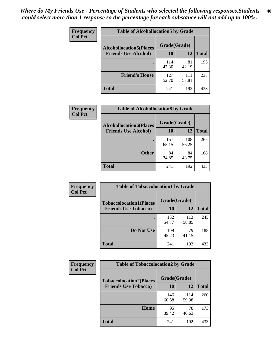| Frequency<br><b>Col Pct</b> | <b>Table of Alcohollocation5 by Grade</b> |              |              |              |
|-----------------------------|-------------------------------------------|--------------|--------------|--------------|
|                             | <b>Alcohollocation5(Places</b>            | Grade(Grade) |              |              |
|                             | <b>Friends Use Alcohol)</b>               | 10           | 12           | <b>Total</b> |
|                             |                                           | 114<br>47.30 | 81<br>42.19  | 195          |
|                             | <b>Friend's House</b>                     | 127<br>52.70 | 111<br>57.81 | 238          |
|                             | <b>Total</b>                              | 241          | 192          | 433          |

| <b>Frequency</b> | <b>Table of Alcohollocation6 by Grade</b> |              |              |              |
|------------------|-------------------------------------------|--------------|--------------|--------------|
| <b>Col Pct</b>   | <b>Alcohollocation6(Places</b>            | Grade(Grade) |              |              |
|                  | <b>Friends Use Alcohol)</b>               | <b>10</b>    | 12           | <b>Total</b> |
|                  |                                           | 157<br>65.15 | 108<br>56.25 | 265          |
|                  | <b>Other</b>                              | 84<br>34.85  | 84<br>43.75  | 168          |
|                  | <b>Total</b>                              | 241          | 192          | 433          |

| Frequency      | <b>Table of Tobaccolocation1 by Grade</b> |              |              |              |
|----------------|-------------------------------------------|--------------|--------------|--------------|
| <b>Col Pct</b> | <b>Tobaccolocation1(Places</b>            | Grade(Grade) |              |              |
|                | <b>Friends Use Tobacco)</b>               | 10           | <b>12</b>    | <b>Total</b> |
|                |                                           | 132<br>54.77 | 113<br>58.85 | 245          |
|                | Do Not Use                                | 109<br>45.23 | 79<br>41.15  | 188          |
|                | <b>Total</b>                              | 241          | 192          | 433          |

| <b>Frequency</b> | <b>Table of Tobaccolocation2 by Grade</b> |              |              |              |  |
|------------------|-------------------------------------------|--------------|--------------|--------------|--|
| <b>Col Pct</b>   | <b>Tobaccolocation2(Places</b>            | Grade(Grade) |              |              |  |
|                  | <b>Friends Use Tobacco)</b>               | 10           | 12           | <b>Total</b> |  |
|                  |                                           | 146<br>60.58 | 114<br>59.38 | 260          |  |
|                  | Home                                      | 95<br>39.42  | 78<br>40.63  | 173          |  |
|                  | <b>Total</b>                              | 241          | 192          | 433          |  |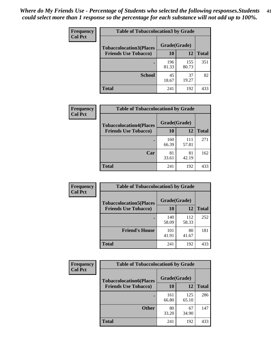| Frequency      | <b>Table of Tobaccolocation 3 by Grade</b> |              |              |              |  |
|----------------|--------------------------------------------|--------------|--------------|--------------|--|
| <b>Col Pct</b> | <b>Tobaccolocation3(Places</b>             | Grade(Grade) |              |              |  |
|                | <b>Friends Use Tobacco)</b>                | 10           | 12           | <b>Total</b> |  |
|                |                                            | 196<br>81.33 | 155<br>80.73 | 351          |  |
|                | <b>School</b>                              | 45<br>18.67  | 37<br>19.27  | 82           |  |
|                | <b>Total</b>                               | 241          | 192          | 433          |  |

| Frequency      | <b>Table of Tobaccolocation4 by Grade</b> |              |              |              |
|----------------|-------------------------------------------|--------------|--------------|--------------|
| <b>Col Pct</b> | <b>Tobaccolocation4(Places</b>            | Grade(Grade) |              |              |
|                | <b>Friends Use Tobacco)</b>               | 10           | 12           | <b>Total</b> |
|                |                                           | 160<br>66.39 | 111<br>57.81 | 271          |
|                | Car                                       | 81<br>33.61  | 81<br>42.19  | 162          |
|                | <b>Total</b>                              | 241          | 192          | 433          |

| Frequency<br><b>Col Pct</b> | <b>Table of Tobaccolocation5 by Grade</b> |              |              |              |
|-----------------------------|-------------------------------------------|--------------|--------------|--------------|
|                             | <b>Tobaccolocation5(Places</b>            | Grade(Grade) |              |              |
|                             | <b>Friends Use Tobacco)</b>               | 10           | 12           | <b>Total</b> |
|                             |                                           | 140<br>58.09 | 112<br>58.33 | 252          |
|                             | <b>Friend's House</b>                     | 101<br>41.91 | 80<br>41.67  | 181          |
|                             | <b>Total</b>                              | 241          | 192          | 433          |

| <b>Frequency</b> | <b>Table of Tobaccolocation6 by Grade</b> |              |              |              |  |
|------------------|-------------------------------------------|--------------|--------------|--------------|--|
| <b>Col Pct</b>   | <b>Tobaccolocation6(Places</b>            | Grade(Grade) |              |              |  |
|                  | <b>Friends Use Tobacco)</b>               | 10           | 12           | <b>Total</b> |  |
|                  |                                           | 161<br>66.80 | 125<br>65.10 | 286          |  |
|                  | <b>Other</b>                              | 80<br>33.20  | 67<br>34.90  | 147          |  |
|                  | <b>Total</b>                              | 241          | 192          | 433          |  |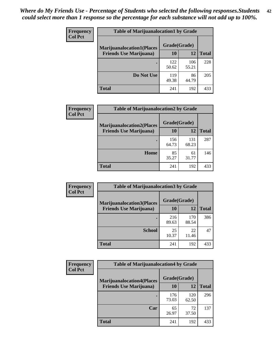| <b>Frequency</b> | <b>Table of Marijuanalocation1 by Grade</b> |              |              |              |
|------------------|---------------------------------------------|--------------|--------------|--------------|
| <b>Col Pct</b>   | <b>Marijuanalocation1(Places</b>            | Grade(Grade) |              |              |
|                  | <b>Friends Use Marijuana</b> )              | 10           | 12           | <b>Total</b> |
|                  |                                             | 122<br>50.62 | 106<br>55.21 | 228          |
|                  | Do Not Use                                  | 119<br>49.38 | 86<br>44.79  | 205          |
|                  | <b>Total</b>                                | 241          | 192          | 433          |

| <b>Frequency</b> | <b>Table of Marijuanalocation2 by Grade</b>                        |                    |              |              |
|------------------|--------------------------------------------------------------------|--------------------|--------------|--------------|
| <b>Col Pct</b>   | <b>Marijuanalocation2(Places</b><br><b>Friends Use Marijuana</b> ) | Grade(Grade)<br>10 | 12           | <b>Total</b> |
|                  |                                                                    |                    |              |              |
|                  |                                                                    | 156<br>64.73       | 131<br>68.23 | 287          |
|                  | Home                                                               | 85<br>35.27        | 61<br>31.77  | 146          |
|                  | <b>Total</b>                                                       | 241                | 192          | 433          |

| Frequency<br><b>Col Pct</b> | <b>Table of Marijuanalocation3 by Grade</b> |              |              |              |
|-----------------------------|---------------------------------------------|--------------|--------------|--------------|
|                             | <b>Marijuanalocation3(Places</b>            | Grade(Grade) |              |              |
|                             | <b>Friends Use Marijuana</b> )              | 10           | 12           | <b>Total</b> |
|                             |                                             | 216<br>89.63 | 170<br>88.54 | 386          |
|                             | <b>School</b>                               | 25<br>10.37  | 22<br>11.46  | 47           |
|                             | <b>Total</b>                                | 241          | 192          | 433          |

| <b>Frequency</b> | <b>Table of Marijuanalocation4 by Grade</b> |              |              |              |  |
|------------------|---------------------------------------------|--------------|--------------|--------------|--|
| <b>Col Pct</b>   | <b>Marijuanalocation4(Places</b>            | Grade(Grade) |              |              |  |
|                  | <b>Friends Use Marijuana</b> )              | <b>10</b>    | 12           | <b>Total</b> |  |
|                  |                                             | 176<br>73.03 | 120<br>62.50 | 296          |  |
|                  | Car                                         | 65<br>26.97  | 72<br>37.50  | 137          |  |
|                  | <b>Total</b>                                | 241          | 192          | 433          |  |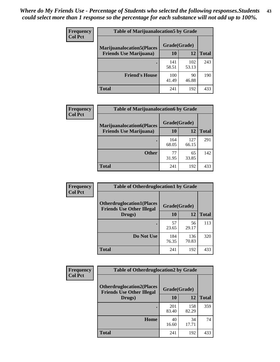| <b>Frequency</b> | <b>Table of Marijuanalocation5 by Grade</b> |              |              |              |
|------------------|---------------------------------------------|--------------|--------------|--------------|
| <b>Col Pct</b>   | <b>Marijuanalocation5</b> (Places           | Grade(Grade) |              |              |
|                  | <b>Friends Use Marijuana</b> )              | 10           | 12           | <b>Total</b> |
|                  |                                             | 141<br>58.51 | 102<br>53.13 | 243          |
|                  | <b>Friend's House</b>                       | 100<br>41.49 | 90<br>46.88  | 190          |
|                  | <b>Total</b>                                | 241          | 192          | 433          |

| <b>Frequency</b> | <b>Table of Marijuanalocation6 by Grade</b>                        |                    |              |              |
|------------------|--------------------------------------------------------------------|--------------------|--------------|--------------|
| <b>Col Pct</b>   | <b>Marijuanalocation6(Places</b><br><b>Friends Use Marijuana</b> ) | Grade(Grade)<br>10 | 12           | <b>Total</b> |
|                  |                                                                    | 164<br>68.05       | 127<br>66.15 | 291          |
|                  | <b>Other</b>                                                       | 77<br>31.95        | 65<br>33.85  | 142          |
|                  | <b>Total</b>                                                       | 241                | 192          | 433          |

| <b>Frequency</b> | <b>Table of Otherdruglocation1 by Grade</b>                          |              |              |              |
|------------------|----------------------------------------------------------------------|--------------|--------------|--------------|
| <b>Col Pct</b>   | <b>Otherdruglocation1(Places</b><br><b>Friends Use Other Illegal</b> | Grade(Grade) |              |              |
|                  | Drugs)                                                               | 10           | 12           | <b>Total</b> |
|                  |                                                                      | 57<br>23.65  | 56<br>29.17  | 113          |
|                  | Do Not Use                                                           | 184<br>76.35 | 136<br>70.83 | 320          |
|                  | <b>Total</b>                                                         | 241          | 192          | 433          |

| Frequency      | <b>Table of Otherdruglocation2 by Grade</b>                          |              |              |              |
|----------------|----------------------------------------------------------------------|--------------|--------------|--------------|
| <b>Col Pct</b> | <b>Otherdruglocation2(Places</b><br><b>Friends Use Other Illegal</b> | Grade(Grade) |              |              |
|                | Drugs)                                                               | 10           | 12           | <b>Total</b> |
|                |                                                                      | 201<br>83.40 | 158<br>82.29 | 359          |
|                | <b>Home</b>                                                          | 40<br>16.60  | 34<br>17.71  | 74           |
|                | <b>Total</b>                                                         | 241          | 192          | 433          |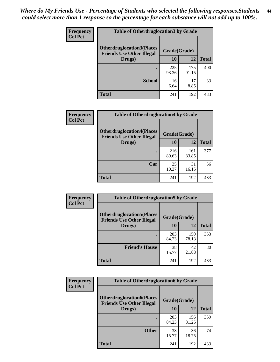| <b>Frequency</b> | <b>Table of Otherdruglocation3 by Grade</b>                           |              |              |              |
|------------------|-----------------------------------------------------------------------|--------------|--------------|--------------|
| <b>Col Pct</b>   | <b>Otherdruglocation3(Places)</b><br><b>Friends Use Other Illegal</b> | Grade(Grade) |              |              |
|                  | Drugs)                                                                | 10           | 12           | <b>Total</b> |
|                  |                                                                       | 225<br>93.36 | 175<br>91.15 | 400          |
|                  | <b>School</b>                                                         | 16<br>6.64   | 17<br>8.85   | 33           |
|                  | Total                                                                 | 241          | 192          | 433          |

| Frequency      | <b>Table of Otherdruglocation4 by Grade</b>                          |              |              |              |
|----------------|----------------------------------------------------------------------|--------------|--------------|--------------|
| <b>Col Pct</b> | <b>Otherdruglocation4(Places</b><br><b>Friends Use Other Illegal</b> | Grade(Grade) |              |              |
|                | Drugs)                                                               | 10           | 12           | <b>Total</b> |
|                |                                                                      | 216<br>89.63 | 161<br>83.85 | 377          |
|                | Car                                                                  | 25<br>10.37  | 31<br>16.15  | 56           |
|                | <b>Total</b>                                                         | 241          | 192          | 433          |

| <b>Frequency</b><br><b>Col Pct</b> | <b>Table of Otherdruglocation5 by Grade</b>                          |              |              |              |
|------------------------------------|----------------------------------------------------------------------|--------------|--------------|--------------|
|                                    | <b>Otherdruglocation5(Places</b><br><b>Friends Use Other Illegal</b> | Grade(Grade) |              |              |
|                                    | Drugs)                                                               | <b>10</b>    | 12           | <b>Total</b> |
|                                    |                                                                      | 203<br>84.23 | 150<br>78.13 | 353          |
|                                    | <b>Friend's House</b>                                                | 38<br>15.77  | 42<br>21.88  | 80           |
|                                    | <b>Total</b>                                                         | 241          | 192          | 433          |

| <b>Frequency</b> | <b>Table of Otherdruglocation6 by Grade</b>                          |              |              |              |
|------------------|----------------------------------------------------------------------|--------------|--------------|--------------|
| <b>Col Pct</b>   | <b>Otherdruglocation6(Places</b><br><b>Friends Use Other Illegal</b> | Grade(Grade) |              |              |
|                  | Drugs)                                                               | 10           | 12           | <b>Total</b> |
|                  |                                                                      | 203<br>84.23 | 156<br>81.25 | 359          |
|                  | <b>Other</b>                                                         | 38<br>15.77  | 36<br>18.75  | 74           |
|                  | <b>Total</b>                                                         | 241          | 192          | 433          |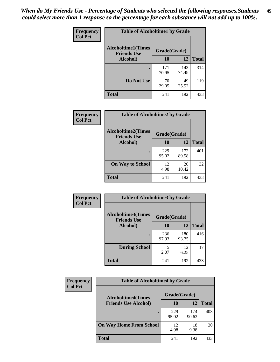| Frequency      | <b>Table of Alcoholtime1 by Grade</b>           |              |              |              |
|----------------|-------------------------------------------------|--------------|--------------|--------------|
| <b>Col Pct</b> | <b>Alcoholtime1(Times</b><br><b>Friends Use</b> | Grade(Grade) |              |              |
|                | Alcohol)                                        | 10           | 12           | <b>Total</b> |
|                |                                                 | 171<br>70.95 | 143<br>74.48 | 314          |
|                | Do Not Use                                      | 70<br>29.05  | 49<br>25.52  | 119          |
|                | <b>Total</b>                                    | 241          | 192          | 433          |

| Frequency      | <b>Table of Alcoholtime2 by Grade</b>           |              |              |              |
|----------------|-------------------------------------------------|--------------|--------------|--------------|
| <b>Col Pct</b> | <b>Alcoholtime2(Times</b><br><b>Friends Use</b> | Grade(Grade) |              |              |
|                | Alcohol)                                        | 10           | 12           | <b>Total</b> |
|                |                                                 | 229<br>95.02 | 172<br>89.58 | 401          |
|                | <b>On Way to School</b>                         | 12<br>4.98   | 20<br>10.42  | 32           |
|                | <b>Total</b>                                    | 241          | 192          | 433          |

| Frequency<br><b>Col Pct</b> | <b>Table of Alcoholtime3 by Grade</b>           |              |              |              |
|-----------------------------|-------------------------------------------------|--------------|--------------|--------------|
|                             | <b>Alcoholtime3(Times</b><br><b>Friends Use</b> | Grade(Grade) |              |              |
|                             | Alcohol)                                        | 10           | 12           | <b>Total</b> |
|                             |                                                 | 236<br>97.93 | 180<br>93.75 | 416          |
|                             | <b>During School</b>                            | 5<br>2.07    | 12<br>6.25   | 17           |
|                             | <b>Total</b>                                    | 241          | 192          | 433          |

| <b>Frequency</b><br><b>Col Pct</b> | <b>Table of Alcoholtime4 by Grade</b> |              |              |              |
|------------------------------------|---------------------------------------|--------------|--------------|--------------|
|                                    | <b>Alcoholtime4(Times</b>             | Grade(Grade) |              |              |
|                                    | <b>Friends Use Alcohol)</b>           | 10           | 12           | <b>Total</b> |
|                                    |                                       | 229<br>95.02 | 174<br>90.63 | 403          |
|                                    | <b>On Way Home From School</b>        | 12<br>4.98   | 18<br>9.38   | 30           |
|                                    | <b>Total</b>                          | 241          | 192          | 433          |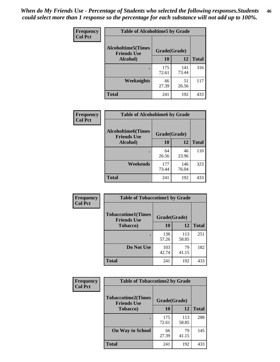*When do My Friends Use - Percentage of Students who selected the following responses.Students could select more than 1 response so the percentage for each substance will not add up to 100%.* **46**

| Frequency      | <b>Table of Alcoholtime5 by Grade</b>           |              |              |              |
|----------------|-------------------------------------------------|--------------|--------------|--------------|
| <b>Col Pct</b> | <b>Alcoholtime5(Times</b><br><b>Friends Use</b> | Grade(Grade) |              |              |
|                | Alcohol)                                        | 10           | 12           | <b>Total</b> |
|                |                                                 | 175<br>72.61 | 141<br>73.44 | 316          |
|                | Weeknights                                      | 66<br>27.39  | 51<br>26.56  | 117          |
|                | <b>Total</b>                                    | 241          | 192          | 433          |

| <b>Frequency</b> | <b>Table of Alcoholtime6 by Grade</b>           |              |              |              |
|------------------|-------------------------------------------------|--------------|--------------|--------------|
| <b>Col Pct</b>   | <b>Alcoholtime6(Times</b><br><b>Friends Use</b> | Grade(Grade) |              |              |
|                  | Alcohol)                                        | 10           | 12           | <b>Total</b> |
|                  |                                                 | 64<br>26.56  | 46<br>23.96  | 110          |
|                  | Weekends                                        | 177<br>73.44 | 146<br>76.04 | 323          |
|                  | <b>Total</b>                                    | 241          | 192          | 433          |

| Frequency      | <b>Table of Tobaccotime1 by Grade</b>           |              |              |              |
|----------------|-------------------------------------------------|--------------|--------------|--------------|
| <b>Col Pct</b> | <b>Tobaccotime1(Times</b><br><b>Friends Use</b> | Grade(Grade) |              |              |
|                | <b>Tobacco</b> )                                | 10           | 12           | <b>Total</b> |
|                | ٠                                               | 138<br>57.26 | 113<br>58.85 | 251          |
|                | Do Not Use                                      | 103<br>42.74 | 79<br>41.15  | 182          |
|                | <b>Total</b>                                    | 241          | 192          | 433          |

| <b>Frequency</b> | <b>Table of Tobaccotime2 by Grade</b>           |              |              |              |
|------------------|-------------------------------------------------|--------------|--------------|--------------|
| <b>Col Pct</b>   | <b>Tobaccotime2(Times</b><br><b>Friends Use</b> | Grade(Grade) |              |              |
|                  | <b>Tobacco</b> )                                | <b>10</b>    | 12           | <b>Total</b> |
|                  |                                                 | 175<br>72.61 | 113<br>58.85 | 288          |
|                  | <b>On Way to School</b>                         | 66<br>27.39  | 79<br>41.15  | 145          |
|                  | <b>Total</b>                                    | 241          | 192          | 433          |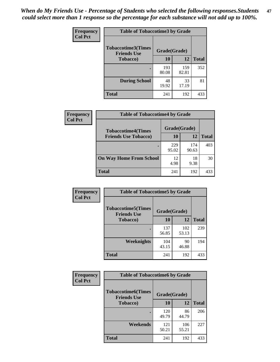*When do My Friends Use - Percentage of Students who selected the following responses.Students could select more than 1 response so the percentage for each substance will not add up to 100%.* **47**

| <b>Frequency</b> | <b>Table of Tobaccotime3 by Grade</b>           |              |              |              |  |
|------------------|-------------------------------------------------|--------------|--------------|--------------|--|
| <b>Col Pct</b>   | <b>Tobaccotime3(Times</b><br><b>Friends Use</b> | Grade(Grade) |              |              |  |
|                  | <b>Tobacco</b> )                                | 10           | 12           | <b>Total</b> |  |
|                  |                                                 | 193<br>80.08 | 159<br>82.81 | 352          |  |
|                  | <b>During School</b>                            | 48<br>19.92  | 33<br>17.19  | 81           |  |
|                  | <b>Total</b>                                    | 241          | 192          | 433          |  |

| Frequency<br><b>Col Pct</b> | <b>Table of Tobaccotime4 by Grade</b> |              |              |       |
|-----------------------------|---------------------------------------|--------------|--------------|-------|
|                             | <b>Tobaccotime4(Times</b>             | Grade(Grade) |              |       |
|                             | <b>Friends Use Tobacco)</b>           | 10           | 12           | Total |
|                             |                                       | 229<br>95.02 | 174<br>90.63 | 403   |
|                             | <b>On Way Home From School</b>        | 12<br>4.98   | 18<br>9.38   | 30    |
|                             | <b>Total</b>                          | 241          | 192          | 433   |

| Frequency      | <b>Table of Tobaccotime5 by Grade</b>                           |              |              |              |
|----------------|-----------------------------------------------------------------|--------------|--------------|--------------|
| <b>Col Pct</b> | <b>Tobaccotime5(Times</b><br>Grade(Grade)<br><b>Friends Use</b> |              |              |              |
|                | <b>Tobacco</b> )                                                | 10           | 12           | <b>Total</b> |
|                |                                                                 | 137<br>56.85 | 102<br>53.13 | 239          |
|                | Weeknights                                                      | 104<br>43.15 | 90<br>46.88  | 194          |
|                | <b>Total</b>                                                    | 241          | 192          | 433          |

| <b>Frequency</b> | <b>Table of Tobaccotime6 by Grade</b>           |              |              |              |
|------------------|-------------------------------------------------|--------------|--------------|--------------|
| <b>Col Pct</b>   | <b>Tobaccotime6(Times</b><br><b>Friends Use</b> | Grade(Grade) |              |              |
|                  | <b>Tobacco</b> )                                | 10           | 12           | <b>Total</b> |
|                  | ٠                                               | 120<br>49.79 | 86<br>44.79  | 206          |
|                  | Weekends                                        | 121<br>50.21 | 106<br>55.21 | 227          |
|                  | <b>Total</b>                                    | 241          | 192          | 433          |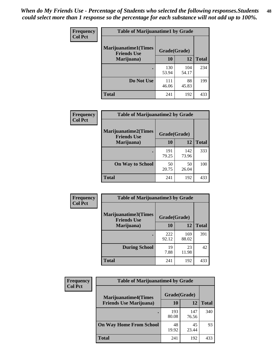| Frequency      | <b>Table of Marijuanatime1 by Grade</b>           |              |              |              |
|----------------|---------------------------------------------------|--------------|--------------|--------------|
| <b>Col Pct</b> | <b>Marijuanatime1(Times</b><br><b>Friends Use</b> | Grade(Grade) |              |              |
|                | Marijuana)                                        | 10           | 12           | <b>Total</b> |
|                |                                                   | 130<br>53.94 | 104<br>54.17 | 234          |
|                | Do Not Use                                        | 111<br>46.06 | 88<br>45.83  | 199          |
|                | <b>Total</b>                                      | 241          | 192          | 433          |

| <b>Frequency</b> | <b>Table of Marijuanatime2 by Grade</b>           |              |              |              |
|------------------|---------------------------------------------------|--------------|--------------|--------------|
| <b>Col Pct</b>   | <b>Marijuanatime2(Times</b><br><b>Friends Use</b> | Grade(Grade) |              |              |
|                  | Marijuana)                                        | 10           | 12           | <b>Total</b> |
|                  |                                                   | 191<br>79.25 | 142<br>73.96 | 333          |
|                  | <b>On Way to School</b>                           | 50<br>20.75  | 50<br>26.04  | 100          |
|                  | <b>Total</b>                                      | 241          | 192          | 433          |

| Frequency      | <b>Table of Marijuanatime3 by Grade</b>    |              |              |              |
|----------------|--------------------------------------------|--------------|--------------|--------------|
| <b>Col Pct</b> | Marijuanatime3(Times<br><b>Friends Use</b> | Grade(Grade) |              |              |
|                | Marijuana)                                 | 10           | 12           | <b>Total</b> |
|                |                                            | 222<br>92.12 | 169<br>88.02 | 391          |
|                | <b>During School</b>                       | 19<br>7.88   | 23<br>11.98  | 42           |
|                | <b>Total</b>                               | 241          | 192          | 433          |

| <b>Frequency</b> | <b>Table of Marijuanatime4 by Grade</b> |              |              |              |
|------------------|-----------------------------------------|--------------|--------------|--------------|
| <b>Col Pct</b>   | <b>Marijuanatime4</b> (Times            | Grade(Grade) |              |              |
|                  | <b>Friends Use Marijuana</b> )          | 10           | 12           | <b>Total</b> |
|                  |                                         | 193<br>80.08 | 147<br>76.56 | 340          |
|                  | <b>On Way Home From School</b>          | 48<br>19.92  | 45<br>23.44  | 93           |
|                  | <b>Total</b>                            | 241          | 192          | 433          |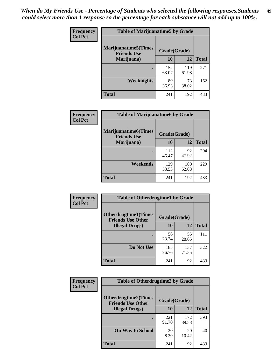| Frequency      | <b>Table of Marijuanatime5 by Grade</b>            |              |              |              |
|----------------|----------------------------------------------------|--------------|--------------|--------------|
| <b>Col Pct</b> | <b>Marijuanatime5</b> (Times<br><b>Friends Use</b> | Grade(Grade) |              |              |
|                | Marijuana)                                         | 10           | <b>12</b>    | <b>Total</b> |
|                |                                                    | 152<br>63.07 | 119<br>61.98 | 271          |
|                | Weeknights                                         | 89<br>36.93  | 73<br>38.02  | 162          |
|                | <b>Total</b>                                       | 241          | 192          | 433          |

| Frequency      | <b>Table of Marijuanatime6 by Grade</b>            |              |              |              |
|----------------|----------------------------------------------------|--------------|--------------|--------------|
| <b>Col Pct</b> | <b>Marijuanatime6</b> (Times<br><b>Friends Use</b> | Grade(Grade) |              |              |
|                | Marijuana)                                         | 10           | 12           | <b>Total</b> |
|                |                                                    | 112<br>46.47 | 92<br>47.92  | 204          |
|                | Weekends                                           | 129<br>53.53 | 100<br>52.08 | 229          |
|                | <b>Total</b>                                       | 241          | 192          | 433          |

| <b>Frequency</b> | <b>Table of Otherdrugtime1 by Grade</b>                  |              |              |              |  |
|------------------|----------------------------------------------------------|--------------|--------------|--------------|--|
| <b>Col Pct</b>   | <b>Otherdrugtime1</b> (Times<br><b>Friends Use Other</b> | Grade(Grade) |              |              |  |
|                  | <b>Illegal Drugs</b> )                                   | 10           | 12           | <b>Total</b> |  |
|                  |                                                          | 56<br>23.24  | 55<br>28.65  | 111          |  |
|                  | Do Not Use                                               | 185<br>76.76 | 137<br>71.35 | 322          |  |
|                  | <b>Total</b>                                             | 241          | 192          | 433          |  |

| <b>Frequency</b> | <b>Table of Otherdrugtime2 by Grade</b>                 |              |              |              |  |  |  |
|------------------|---------------------------------------------------------|--------------|--------------|--------------|--|--|--|
| <b>Col Pct</b>   | <b>Otherdrugtime2(Times</b><br><b>Friends Use Other</b> | Grade(Grade) |              |              |  |  |  |
|                  | <b>Illegal Drugs</b> )                                  | 10           | 12           | <b>Total</b> |  |  |  |
|                  |                                                         | 221<br>91.70 | 172<br>89.58 | 393          |  |  |  |
|                  | <b>On Way to School</b>                                 | 20<br>8.30   | 20<br>10.42  | 40           |  |  |  |
|                  | <b>Total</b>                                            | 241          | 192          | 433          |  |  |  |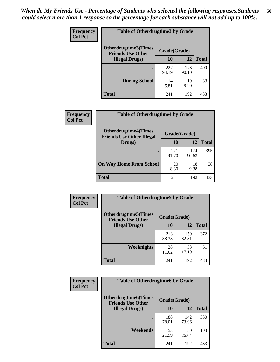| <b>Frequency</b> | <b>Table of Otherdrugtime3 by Grade</b>          |              |              |              |  |  |
|------------------|--------------------------------------------------|--------------|--------------|--------------|--|--|
| <b>Col Pct</b>   | Otherdrugtime3(Times<br><b>Friends Use Other</b> | Grade(Grade) |              |              |  |  |
|                  | <b>Illegal Drugs</b> )                           |              | 12           | <b>Total</b> |  |  |
|                  |                                                  | 227<br>94.19 | 173<br>90.10 | 400          |  |  |
|                  | <b>During School</b>                             | 14<br>5.81   | 19<br>9.90   | 33           |  |  |
|                  | Total                                            | 241          | 192          | 433          |  |  |

| <b>Frequency</b> | <b>Table of Otherdrugtime4 by Grade</b>                         |              |              |              |  |  |
|------------------|-----------------------------------------------------------------|--------------|--------------|--------------|--|--|
| <b>Col Pct</b>   | <b>Otherdrugtime4(Times</b><br><b>Friends Use Other Illegal</b> | Grade(Grade) |              |              |  |  |
|                  | Drugs)                                                          | 10           | 12           | <b>Total</b> |  |  |
|                  |                                                                 | 221<br>91.70 | 174<br>90.63 | 395          |  |  |
|                  | <b>On Way Home From School</b>                                  | 20<br>8.30   | 18<br>9.38   | 38           |  |  |
|                  | <b>Total</b>                                                    | 241          | 192          | 433          |  |  |

| <b>Frequency</b> | <b>Table of Otherdrugtime5 by Grade</b>                                  |              |              |              |  |  |
|------------------|--------------------------------------------------------------------------|--------------|--------------|--------------|--|--|
| <b>Col Pct</b>   | <b>Otherdrugtime5</b> (Times<br>Grade(Grade)<br><b>Friends Use Other</b> |              |              |              |  |  |
|                  | <b>Illegal Drugs</b> )                                                   | 10           | 12           | <b>Total</b> |  |  |
|                  |                                                                          | 213<br>88.38 | 159<br>82.81 | 372          |  |  |
|                  | Weeknights                                                               | 28<br>11.62  | 33<br>17.19  | 61           |  |  |
|                  | Total                                                                    | 241          | 192          | 433          |  |  |

| <b>Frequency</b> | <b>Table of Otherdrugtime6 by Grade</b>                                 |              |              |              |  |  |
|------------------|-------------------------------------------------------------------------|--------------|--------------|--------------|--|--|
| <b>Col Pct</b>   | <b>Otherdrugtime6(Times</b><br>Grade(Grade)<br><b>Friends Use Other</b> |              |              |              |  |  |
|                  | <b>Illegal Drugs</b> )                                                  | 10           | 12           | <b>Total</b> |  |  |
|                  |                                                                         | 188<br>78.01 | 142<br>73.96 | 330          |  |  |
|                  | Weekends                                                                | 53<br>21.99  | 50<br>26.04  | 103          |  |  |
|                  | <b>Total</b>                                                            | 241          | 192          | 433          |  |  |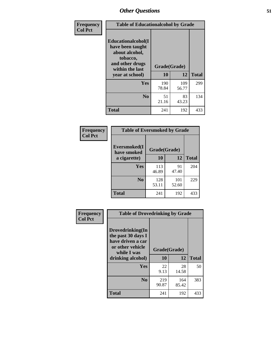| Frequency      | <b>Table of Educationalcohol by Grade</b>                                                                  |              |              |              |  |
|----------------|------------------------------------------------------------------------------------------------------------|--------------|--------------|--------------|--|
| <b>Col Pct</b> | Educationalcohol(I<br>have been taught<br>about alcohol,<br>tobacco,<br>and other drugs<br>within the last | Grade(Grade) |              |              |  |
|                | year at school)                                                                                            | 10           | 12           | <b>Total</b> |  |
|                | <b>Yes</b>                                                                                                 | 190<br>78.84 | 109<br>56.77 | 299          |  |
|                | N <sub>0</sub>                                                                                             | 51<br>21.16  | 83<br>43.23  | 134          |  |
|                | <b>Total</b>                                                                                               | 241          | 192          | 433          |  |

| Frequency      | <b>Table of Eversmoked by Grade</b> |              |              |              |  |  |  |
|----------------|-------------------------------------|--------------|--------------|--------------|--|--|--|
| <b>Col Pct</b> | Eversmoked(I<br>have smoked         | Grade(Grade) |              |              |  |  |  |
|                | a cigarette)                        | 10           | 12           | <b>Total</b> |  |  |  |
|                | Yes                                 | 113<br>46.89 | 91<br>47.40  | 204          |  |  |  |
|                | N <sub>0</sub>                      | 128<br>53.11 | 101<br>52.60 | 229          |  |  |  |
|                | <b>Total</b>                        | 241          | 192          | 433          |  |  |  |

| Frequency<br><b>Col Pct</b> | <b>Table of Drovedrinking by Grade</b>                                                         |              |              |              |  |  |
|-----------------------------|------------------------------------------------------------------------------------------------|--------------|--------------|--------------|--|--|
|                             | Drovedrinking(In<br>the past 30 days I<br>have driven a car<br>or other vehicle<br>while I was | Grade(Grade) |              |              |  |  |
|                             | drinking alcohol)                                                                              | 10           | 12           | <b>Total</b> |  |  |
|                             | <b>Yes</b>                                                                                     | 22           | 28           | 50           |  |  |
|                             |                                                                                                | 9.13         | 14.58        |              |  |  |
|                             | N <sub>0</sub>                                                                                 | 219<br>90.87 | 164<br>85.42 | 383          |  |  |
|                             | <b>Total</b>                                                                                   | 241          | 192          | 433          |  |  |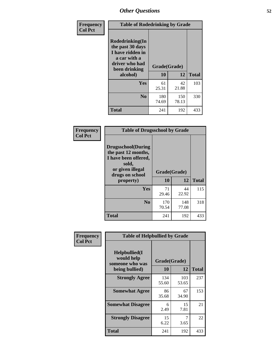| Frequency<br><b>Col Pct</b> | <b>Table of Rodedrinking by Grade</b>                                                                      |              |              |              |  |  |
|-----------------------------|------------------------------------------------------------------------------------------------------------|--------------|--------------|--------------|--|--|
|                             | Rodedrinking(In<br>the past 30 days<br>I have ridden in<br>a car with a<br>driver who had<br>been drinking | Grade(Grade) |              |              |  |  |
|                             | alcohol)                                                                                                   | 10           | 12           | <b>Total</b> |  |  |
|                             | <b>Yes</b>                                                                                                 | 61<br>25.31  | 42<br>21.88  | 103          |  |  |
|                             | N <sub>0</sub>                                                                                             | 180<br>74.69 | 150<br>78.13 | 330          |  |  |
|                             | <b>Total</b>                                                                                               | 241          | 192          | 433          |  |  |

#### **Frequency Col Pct**

| <b>Table of Drugsschool by Grade</b>                                                                                      |              |              |              |  |  |  |
|---------------------------------------------------------------------------------------------------------------------------|--------------|--------------|--------------|--|--|--|
| <b>Drugsschool</b> (During<br>the past 12 months,<br>I have been offered,<br>sold,<br>or given illegal<br>drugs on school | Grade(Grade) |              |              |  |  |  |
| property)                                                                                                                 | 10           | 12           | <b>Total</b> |  |  |  |
| Yes                                                                                                                       | 71<br>29.46  | 44<br>22.92  | 115          |  |  |  |
| N <sub>0</sub>                                                                                                            | 170<br>70.54 | 148<br>77.08 | 318          |  |  |  |
| <b>Total</b>                                                                                                              |              |              |              |  |  |  |

| Frequency      | <b>Table of Helpbullied by Grade</b>            |              |              |              |  |  |  |
|----------------|-------------------------------------------------|--------------|--------------|--------------|--|--|--|
| <b>Col Pct</b> | Helpbullied(I)<br>would help<br>someone who was | Grade(Grade) |              |              |  |  |  |
|                | being bullied)                                  | 10           | 12           | <b>Total</b> |  |  |  |
|                | <b>Strongly Agree</b>                           | 134<br>55.60 | 103<br>53.65 | 237          |  |  |  |
|                | <b>Somewhat Agree</b>                           | 86<br>35.68  | 67<br>34.90  | 153          |  |  |  |
|                | <b>Somewhat Disagree</b>                        | 6<br>2.49    | 15<br>7.81   | 21           |  |  |  |
|                | <b>Strongly Disagree</b>                        | 15<br>6.22   | 7<br>3.65    | 22           |  |  |  |
|                | <b>Total</b>                                    | 241          | 192          | 433          |  |  |  |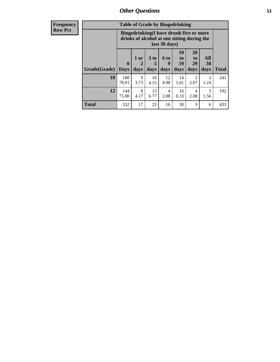| <b>Frequency</b><br><b>Row Pct</b> | <b>Table of Grade by Bingedrinking</b><br>Bingedrinking(I have drunk five or more<br>drinks of alcohol at one sitting during the<br>last 30 days) |              |                |                |                     |                                  |                        |                       |              |
|------------------------------------|---------------------------------------------------------------------------------------------------------------------------------------------------|--------------|----------------|----------------|---------------------|----------------------------------|------------------------|-----------------------|--------------|
|                                    | Grade(Grade)   Days                                                                                                                               | $\mathbf{0}$ | $1$ or<br>days | $3$ to<br>days | $6$ to<br>9<br>days | 10<br>$\mathbf{t}$<br>19<br>days | 20<br>to<br>29<br>days | All<br>30<br>days     | <b>Total</b> |
|                                    | 10                                                                                                                                                | 188<br>78.01 | 9<br>3.73      | 10<br>4.15     | 12<br>4.98          | 14<br>5.81                       | 5<br>2.07              | $\mathcal{R}$<br>1.24 | 241          |
|                                    | 12                                                                                                                                                | 144<br>75.00 | 8<br>4.17      | 13<br>6.77     | 4<br>2.08           | 16<br>8.33                       | 4<br>2.08              | 3<br>1.56             | 192          |
|                                    | <b>Total</b>                                                                                                                                      | 332          | 17             | 23             | 16                  | 30                               | 9                      | 6                     | 433          |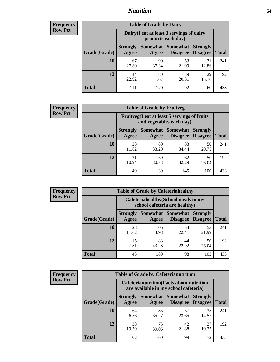### *Nutrition* **54**

| <b>Frequency</b><br>Row Pct |
|-----------------------------|
|                             |

| <b>Table of Grade by Dairy</b> |                                                                                                                                                  |                                                                 |             |             |     |  |  |  |
|--------------------------------|--------------------------------------------------------------------------------------------------------------------------------------------------|-----------------------------------------------------------------|-------------|-------------|-----|--|--|--|
|                                |                                                                                                                                                  | Dairy (I eat at least 3 servings of dairy<br>products each day) |             |             |     |  |  |  |
| Grade(Grade)                   | <b>Somewhat</b><br><b>Somewhat</b><br><b>Strongly</b><br><b>Strongly</b><br><b>Disagree</b><br><b>Disagree</b><br><b>Total</b><br>Agree<br>Agree |                                                                 |             |             |     |  |  |  |
| 10                             | 67<br>27.80                                                                                                                                      | 90<br>37.34                                                     | 53<br>21.99 | 31<br>12.86 | 241 |  |  |  |
| 12                             | 44<br>22.92                                                                                                                                      | 80<br>41.67                                                     | 39<br>20.31 | 29<br>15.10 | 192 |  |  |  |
| <b>Total</b>                   | 111                                                                                                                                              | 170                                                             | 92          | 60          | 433 |  |  |  |

| <b>Frequency</b> |  |
|------------------|--|
| <b>Row Pct</b>   |  |

| <b>Table of Grade by Fruitveg</b>                                        |                          |             |                               |                                    |              |  |  |  |
|--------------------------------------------------------------------------|--------------------------|-------------|-------------------------------|------------------------------------|--------------|--|--|--|
| Fruitveg(I eat at least 5 servings of fruits<br>and vegetables each day) |                          |             |                               |                                    |              |  |  |  |
| Grade(Grade)                                                             | <b>Strongly</b><br>Agree | Agree       | Somewhat Somewhat<br>Disagree | <b>Strongly</b><br><b>Disagree</b> | <b>Total</b> |  |  |  |
| 10                                                                       | 28<br>11.62              | 80<br>33.20 | 83<br>34.44                   | 50<br>20.75                        | 241          |  |  |  |
| 12                                                                       | 21<br>10.94              | 59<br>30.73 | 62<br>32.29                   | 50<br>26.04                        | 192          |  |  |  |
| <b>Total</b>                                                             | 49                       | 139         | 145                           | 100                                | 433          |  |  |  |

| Frequency      | <b>Table of Grade by Cafeteriahealthy</b> |                                                                       |              |                                      |                                    |              |  |  |
|----------------|-------------------------------------------|-----------------------------------------------------------------------|--------------|--------------------------------------|------------------------------------|--------------|--|--|
| <b>Row Pct</b> |                                           | Cafeteriahealthy (School meals in my<br>school cafeteria are healthy) |              |                                      |                                    |              |  |  |
|                | Grade(Grade)                              | <b>Strongly</b><br>Agree                                              | Agree        | Somewhat Somewhat<br><b>Disagree</b> | <b>Strongly</b><br><b>Disagree</b> | <b>Total</b> |  |  |
|                | 10                                        | 28<br>11.62                                                           | 106<br>43.98 | 54<br>22.41                          | 53<br>21.99                        | 241          |  |  |
|                | 12                                        | 15<br>7.81                                                            | 83<br>43.23  | 44<br>22.92                          | 50<br>26.04                        | 192          |  |  |
|                | <b>Total</b>                              | 43                                                                    | 189          | 98                                   | 103                                | 433          |  |  |

| <b>Frequency</b> |
|------------------|
| <b>Row Pct</b>   |

| <b>Table of Grade by Cafeterianutrition</b>                                               |                          |             |                                        |                                    |              |  |
|-------------------------------------------------------------------------------------------|--------------------------|-------------|----------------------------------------|------------------------------------|--------------|--|
| <b>Cafeterianutrition</b> (Facts about nutrition<br>are available in my school cafeteria) |                          |             |                                        |                                    |              |  |
| Grade(Grade)                                                                              | <b>Strongly</b><br>Agree | Agree       | Somewhat   Somewhat<br><b>Disagree</b> | <b>Strongly</b><br><b>Disagree</b> | <b>Total</b> |  |
| 10                                                                                        | 64<br>26.56              | 85<br>35.27 | 57<br>23.65                            | 35<br>14.52                        | 241          |  |
| 12                                                                                        | 38<br>19.79              | 75<br>39.06 | 42<br>21.88                            | 37<br>19.27                        | 192          |  |
| <b>Total</b>                                                                              | 102                      | 160         | 99                                     | 72                                 | 433          |  |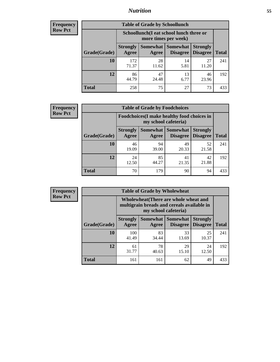### *Nutrition* **55**

| Frequency |
|-----------|
| Row Pct   |

| <b>Table of Grade by Schoollunch</b> |                                                                                                            |             |            |             |     |  |  |  |
|--------------------------------------|------------------------------------------------------------------------------------------------------------|-------------|------------|-------------|-----|--|--|--|
|                                      | Schoollunch(I eat school lunch three or<br>more times per week)                                            |             |            |             |     |  |  |  |
| Grade(Grade)                         | Somewhat   Somewhat<br><b>Strongly</b><br><b>Strongly</b><br><b>Disagree</b><br>Disagree<br>Agree<br>Agree |             |            |             |     |  |  |  |
| 10                                   | 172<br>71.37                                                                                               | 28<br>11.62 | 14<br>5.81 | 27<br>11.20 | 241 |  |  |  |
| 12                                   | 86<br>44.79                                                                                                | 47<br>24.48 | 13<br>6.77 | 46<br>23.96 | 192 |  |  |  |
| <b>Total</b>                         | 258                                                                                                        | 75          | 27         | 73          | 433 |  |  |  |

| <b>Frequency</b> |  |
|------------------|--|
| <b>Row Pct</b>   |  |

| <b>Table of Grade by Foodchoices</b>                                |                          |             |                                        |                                    |              |  |  |
|---------------------------------------------------------------------|--------------------------|-------------|----------------------------------------|------------------------------------|--------------|--|--|
| Foodchoices (I make healthy food choices in<br>my school cafeteria) |                          |             |                                        |                                    |              |  |  |
| Grade(Grade)                                                        | <b>Strongly</b><br>Agree | Agree       | <b>Somewhat   Somewhat</b><br>Disagree | <b>Strongly</b><br><b>Disagree</b> | <b>Total</b> |  |  |
| 10                                                                  | 46<br>19.09              | 94<br>39.00 | 49<br>20.33                            | 52<br>21.58                        | 241          |  |  |
| 12                                                                  | 24<br>12.50              | 85<br>44.27 | 41<br>21.35                            | 42<br>21.88                        | 192          |  |  |
| <b>Total</b>                                                        | 70                       | 179         | 90                                     | 94                                 | 433          |  |  |

| Frequency      | <b>Table of Grade by Wholewheat</b> |                                                                                                             |                              |                 |                                    |              |  |  |
|----------------|-------------------------------------|-------------------------------------------------------------------------------------------------------------|------------------------------|-----------------|------------------------------------|--------------|--|--|
| <b>Row Pct</b> |                                     | Wholewheat (There are whole wheat and<br>multigrain breads and cereals available in<br>my school cafeteria) |                              |                 |                                    |              |  |  |
|                | Grade(Grade)                        | <b>Strongly</b><br>Agree                                                                                    | Somewhat   Somewhat<br>Agree | <b>Disagree</b> | <b>Strongly</b><br><b>Disagree</b> | <b>Total</b> |  |  |
|                | 10                                  | 100<br>41.49                                                                                                | 83<br>34.44                  | 33<br>13.69     | 25<br>10.37                        | 241          |  |  |
|                | 12                                  | 61<br>31.77                                                                                                 | 78<br>40.63                  | 29<br>15.10     | 24<br>12.50                        | 192          |  |  |
|                | <b>Total</b>                        | 161                                                                                                         | 161                          | 62              | 49                                 | 433          |  |  |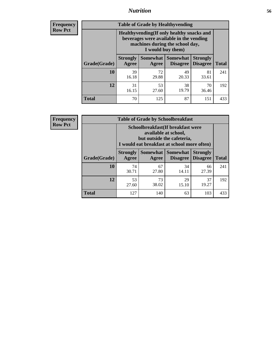### *Nutrition* **56**

**Frequency Row Pct**

| <b>Table of Grade by Healthyvending</b> |                                                                                                                                               |                          |                                    |                                    |              |  |
|-----------------------------------------|-----------------------------------------------------------------------------------------------------------------------------------------------|--------------------------|------------------------------------|------------------------------------|--------------|--|
|                                         | Healthyvending (If only healthy snacks and<br>beverages were available in the vending<br>machines during the school day,<br>I would buy them) |                          |                                    |                                    |              |  |
| Grade(Grade)                            | <b>Strongly</b><br>Agree                                                                                                                      | <b>Somewhat</b><br>Agree | <b>Somewhat</b><br><b>Disagree</b> | <b>Strongly</b><br><b>Disagree</b> | <b>Total</b> |  |
| 10                                      | 39<br>16.18                                                                                                                                   | 72<br>29.88              | 49<br>20.33                        | 81<br>33.61                        | 241          |  |
| 12                                      | 31<br>16.15                                                                                                                                   | 53<br>27.60              | 38<br>19.79                        | 70<br>36.46                        | 192          |  |
| <b>Total</b>                            | 70                                                                                                                                            | 125                      | 87                                 | 151                                | 433          |  |

**Frequency Row Pct**

| <b>Table of Grade by Schoolbreakfast</b> |                                                                                                                                        |                                           |             |             |     |  |  |
|------------------------------------------|----------------------------------------------------------------------------------------------------------------------------------------|-------------------------------------------|-------------|-------------|-----|--|--|
|                                          | Schoolbreakfast(If breakfast were<br>available at school,<br>but outside the cafeteria,<br>I would eat breakfast at school more often) |                                           |             |             |     |  |  |
| Grade(Grade)                             | Somewhat   Somewhat<br><b>Strongly</b><br><b>Strongly</b><br><b>Disagree</b><br><b>Total</b><br>Agree<br><b>Disagree</b><br>Agree      |                                           |             |             |     |  |  |
| 10                                       | 74<br>30.71                                                                                                                            | 67<br>27.80                               | 34<br>14.11 | 66<br>27.39 | 241 |  |  |
| 12                                       | 53<br>27.60                                                                                                                            | 73<br>29<br>37<br>19.27<br>38.02<br>15.10 |             |             |     |  |  |
| <b>Total</b>                             | 127                                                                                                                                    | 140                                       | 63          | 103         | 433 |  |  |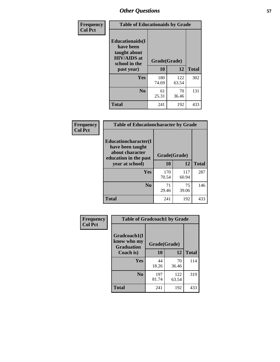| Frequency<br><b>Col Pct</b> | <b>Table of Educationaids by Grade</b>                                                                    |                    |              |              |
|-----------------------------|-----------------------------------------------------------------------------------------------------------|--------------------|--------------|--------------|
|                             | <b>Educationaids</b> (I<br>have been<br>taught about<br><b>HIV/AIDS</b> at<br>school in the<br>past year) | Grade(Grade)<br>10 | 12           | <b>Total</b> |
|                             | Yes                                                                                                       | 180<br>74.69       | 122<br>63.54 | 302          |
|                             | N <sub>0</sub>                                                                                            | 61<br>25.31        | 70<br>36.46  | 131          |
|                             | <b>Total</b>                                                                                              | 241                | 192          | 433          |

| <b>Frequency</b> | <b>Table of Educationcharacter by Grade</b>                                          |              |              |              |
|------------------|--------------------------------------------------------------------------------------|--------------|--------------|--------------|
| <b>Col Pct</b>   | Educationcharacter(I<br>have been taught<br>about character<br>education in the past | Grade(Grade) |              |              |
|                  | year at school)                                                                      | 10           | 12           | <b>Total</b> |
|                  | Yes                                                                                  | 170<br>70.54 | 117<br>60.94 | 287          |
|                  | N <sub>0</sub>                                                                       | 71<br>29.46  | 75<br>39.06  | 146          |
|                  | <b>Total</b>                                                                         | 241          | 192          | 433          |

| Frequency      | <b>Table of Gradcoach1 by Grade</b>              |              |              |              |
|----------------|--------------------------------------------------|--------------|--------------|--------------|
| <b>Col Pct</b> | Gradcoach1(I<br>know who my<br><b>Graduation</b> | Grade(Grade) |              |              |
|                | Coach is)                                        | 10           | 12           | <b>Total</b> |
|                | Yes                                              | 44<br>18.26  | 70<br>36.46  | 114          |
|                | N <sub>0</sub>                                   | 197<br>81.74 | 122<br>63.54 | 319          |
|                | <b>Total</b>                                     | 241          | 192          | 433          |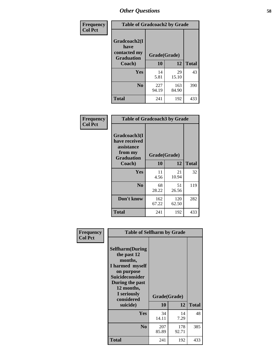| Frequency      | <b>Table of Gradcoach2 by Grade</b> |              |              |              |
|----------------|-------------------------------------|--------------|--------------|--------------|
| <b>Col Pct</b> | Gradcoach2(I<br>have                |              |              |              |
|                | contacted my<br><b>Graduation</b>   | Grade(Grade) |              |              |
|                | Coach)                              | 10           | 12           | <b>Total</b> |
|                | Yes                                 | 14<br>5.81   | 29<br>15.10  | 43           |
|                | N <sub>0</sub>                      | 227<br>94.19 | 163<br>84.90 | 390          |
|                | <b>Total</b>                        | 241          | 192          | 433          |

| <b>Frequency</b><br><b>Col Pct</b> |                                                                             | <b>Table of Gradcoach3 by Grade</b> |              |              |  |
|------------------------------------|-----------------------------------------------------------------------------|-------------------------------------|--------------|--------------|--|
|                                    | Gradcoach3(I<br>have received<br>assistance<br>from my<br><b>Graduation</b> | Grade(Grade)                        |              |              |  |
|                                    | Coach)                                                                      | 10                                  | 12           | <b>Total</b> |  |
|                                    | <b>Yes</b>                                                                  | 11<br>4.56                          | 21<br>10.94  | 32           |  |
|                                    | N <sub>0</sub>                                                              | 68<br>28.22                         | 51<br>26.56  | 119          |  |
|                                    | Don't know                                                                  | 162<br>67.22                        | 120<br>62.50 | 282          |  |
|                                    | <b>Total</b>                                                                | 241                                 | 192          | 433          |  |

| Frequency<br><b>Col Pct</b> | <b>Table of Selfharm by Grade</b>                                                                                                                                                      |                    |              |              |
|-----------------------------|----------------------------------------------------------------------------------------------------------------------------------------------------------------------------------------|--------------------|--------------|--------------|
|                             | <b>Selfharm</b> (During<br>the past 12<br>months,<br>I harmed myself<br>on purpose<br><b>Suicideconsider</b><br>During the past<br>12 months,<br>I seriously<br>considered<br>suicide) | Grade(Grade)<br>10 | 12           | <b>Total</b> |
|                             | <b>Yes</b>                                                                                                                                                                             | 34<br>14.11        | 14<br>7.29   | 48           |
|                             | N <sub>0</sub>                                                                                                                                                                         | 207<br>85.89       | 178<br>92.71 | 385          |
|                             | <b>Total</b>                                                                                                                                                                           | 241                | 192          | 433          |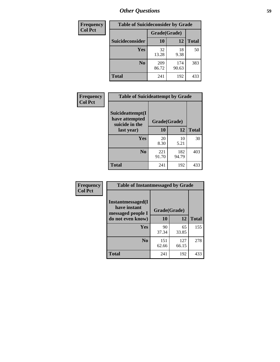| <b>Frequency</b> | <b>Table of Suicideconsider by Grade</b> |              |              |              |
|------------------|------------------------------------------|--------------|--------------|--------------|
| <b>Col Pct</b>   |                                          | Grade(Grade) |              |              |
|                  | Suicideconsider                          | <b>10</b>    | 12           | <b>Total</b> |
|                  | Yes                                      | 32<br>13.28  | 18<br>9.38   | 50           |
|                  | N <sub>0</sub>                           | 209<br>86.72 | 174<br>90.63 | 383          |
|                  | Total                                    | 241          | 192          | 433          |

| Frequency<br><b>Col Pct</b> | <b>Table of Suicideattempt by Grade</b>              |              |              |              |
|-----------------------------|------------------------------------------------------|--------------|--------------|--------------|
|                             | Suicideattempt(I<br>have attempted<br>suicide in the | Grade(Grade) |              |              |
|                             | last year)                                           | 10           | 12           | <b>Total</b> |
|                             | Yes                                                  | 20<br>8.30   | 10<br>5.21   | 30           |
|                             | $\bf No$                                             | 221<br>91.70 | 182<br>94.79 | 403          |
|                             | <b>Total</b>                                         | 241          | 192          | 433          |

| Frequency      | <b>Table of Instantmessaged by Grade</b>               |              |              |              |
|----------------|--------------------------------------------------------|--------------|--------------|--------------|
| <b>Col Pct</b> | Instantmessaged(I<br>have instant<br>messaged people I | Grade(Grade) |              |              |
|                | do not even know)                                      | 10           | 12           | <b>Total</b> |
|                | Yes                                                    | 90<br>37.34  | 65<br>33.85  | 155          |
|                | N <sub>0</sub>                                         | 151<br>62.66 | 127<br>66.15 | 278          |
|                | <b>Total</b>                                           | 241          | 192          | 433          |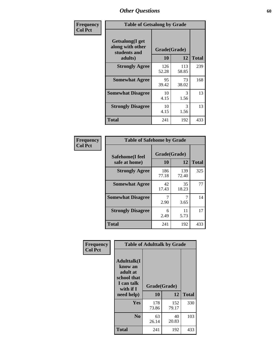| Frequency      | <b>Table of Getsalong by Grade</b>                          |              |              |              |
|----------------|-------------------------------------------------------------|--------------|--------------|--------------|
| <b>Col Pct</b> | <b>Getsalong</b> (I get<br>along with other<br>students and |              | Grade(Grade) |              |
|                | adults)                                                     | 10           | 12           | <b>Total</b> |
|                | <b>Strongly Agree</b>                                       | 126<br>52.28 | 113<br>58.85 | 239          |
|                | <b>Somewhat Agree</b>                                       | 95<br>39.42  | 73<br>38.02  | 168          |
|                | <b>Somewhat Disagree</b>                                    | 10<br>4.15   | 3<br>1.56    | 13           |
|                | <b>Strongly Disagree</b>                                    | 10<br>4.15   | 3<br>1.56    | 13           |
|                | <b>Total</b>                                                | 241          | 192          | 433          |

| Frequency<br>Col Pct |
|----------------------|
|                      |

|              | <b>Table of Safehome by Grade</b> |                    |              |     |  |  |  |  |
|--------------|-----------------------------------|--------------------|--------------|-----|--|--|--|--|
|              | Safehome(I feel<br>safe at home)  | Grade(Grade)<br>10 | <b>Total</b> |     |  |  |  |  |
|              | <b>Strongly Agree</b>             | 186<br>77.18       | 139<br>72.40 | 325 |  |  |  |  |
|              | <b>Somewhat Agree</b>             | 42<br>17.43        | 35<br>18.23  | 77  |  |  |  |  |
|              | <b>Somewhat Disagree</b>          | 2.90               | 3.65         | 14  |  |  |  |  |
|              | <b>Strongly Disagree</b>          | 6<br>2.49          | 11<br>5.73   | 17  |  |  |  |  |
| <b>Total</b> |                                   | 241                | 192          | 433 |  |  |  |  |

| Frequency      |                                                                                                   | <b>Table of Adulttalk by Grade</b> |              |              |
|----------------|---------------------------------------------------------------------------------------------------|------------------------------------|--------------|--------------|
| <b>Col Pct</b> | <b>Adulttalk(I</b><br>know an<br>adult at<br>school that<br>I can talk<br>with if I<br>need help) | Grade(Grade)<br>10                 | 12           | <b>Total</b> |
|                |                                                                                                   |                                    |              |              |
|                | <b>Yes</b>                                                                                        | 178<br>73.86                       | 152<br>79.17 | 330          |
|                | N <sub>0</sub>                                                                                    | 63<br>26.14                        | 40<br>20.83  | 103          |
|                | <b>Total</b>                                                                                      | 241                                | 192          | 433          |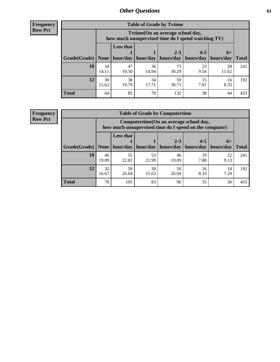**Frequency Row Pct**

| <b>Table of Grade by Tvtime</b> |             |                                                                                        |             |             |            |             |              |  |  |  |  |
|---------------------------------|-------------|----------------------------------------------------------------------------------------|-------------|-------------|------------|-------------|--------------|--|--|--|--|
|                                 |             | Tvtime(On an average school day,<br>how much unsupervised time do I spend watching TV) |             |             |            |             |              |  |  |  |  |
|                                 |             | <b>Less that</b>                                                                       |             | $2 - 3$     | $4 - 5$    | $6+$        |              |  |  |  |  |
| Grade(Grade)                    | None        | hour/day                                                                               | hour/day    | hours/day   | hours/day  | hours/day   | <b>Total</b> |  |  |  |  |
| 10                              | 34<br>14.11 | 47<br>19.50                                                                            | 36<br>14.94 | 73<br>30.29 | 23<br>9.54 | 28<br>11.62 | 241          |  |  |  |  |
| 12                              | 30<br>15.63 | 38<br>19.79                                                                            | 34<br>17.71 | 59<br>30.73 | 15<br>7.81 | 16<br>8.33  | 192          |  |  |  |  |
| <b>Total</b>                    | 64          | 85                                                                                     | 70          | 132         | 38         | 44          | 433          |  |  |  |  |

**Frequency Row Pct**

| <b>Table of Grade by Computertime</b> |             |                                                                                                   |             |                 |                 |            |                     |  |  |  |
|---------------------------------------|-------------|---------------------------------------------------------------------------------------------------|-------------|-----------------|-----------------|------------|---------------------|--|--|--|
|                                       |             | Computertime (On an average school day,<br>how much unsupervised time do I spend on the computer) |             |                 |                 |            |                     |  |  |  |
| Grade(Grade)                          | None        | <b>Less that</b><br>$2 - 3$<br>$4 - 5$<br>$6+$<br>hour/day   hour/day<br>hours/day                |             |                 |                 |            |                     |  |  |  |
| 10                                    | 46          | 55                                                                                                | 53          | hours/day<br>46 | hours/day<br>19 | 22         | <b>Total</b><br>241 |  |  |  |
|                                       | 19.09       | 22.82                                                                                             | 21.99       | 19.09           | 7.88            | 9.13       |                     |  |  |  |
| 12                                    | 32<br>16.67 | 50<br>26.04                                                                                       | 30<br>15.63 | 50<br>26.04     | 16<br>8.33      | 14<br>7.29 | 192                 |  |  |  |
| <b>Total</b>                          | 78          | 105                                                                                               | 83          | 96              | 35              | 36         | 433                 |  |  |  |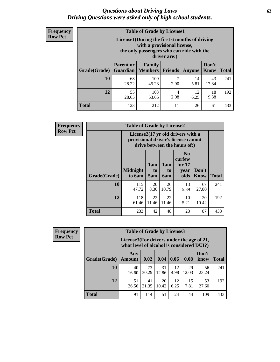#### *Questions about Driving Laws* **62** *Driving Questions were asked only of high school students.*

| <b>Frequency</b> |
|------------------|
| <b>Row Pct</b>   |

| <b>Table of Grade by License1</b> |                                     |                                                                                                                                           |                |            |                      |              |  |  |  |
|-----------------------------------|-------------------------------------|-------------------------------------------------------------------------------------------------------------------------------------------|----------------|------------|----------------------|--------------|--|--|--|
|                                   |                                     | License1(During the first 6 months of driving<br>with a provisional license,<br>the only passengers who can ride with the<br>driver are:) |                |            |                      |              |  |  |  |
| Grade(Grade)                      | <b>Parent or</b><br><b>Guardian</b> | Family<br><b>Members</b>                                                                                                                  | <b>Friends</b> | Anyone     | Don't<br><b>Know</b> | <b>Total</b> |  |  |  |
| 10                                | 68<br>28.22                         | 109<br>45.23                                                                                                                              | 7<br>2.90      | 14<br>5.81 | 43<br>17.84          | 241          |  |  |  |
| 12                                | 55<br>28.65                         | 103<br>53.65                                                                                                                              | 4<br>2.08      | 12<br>6.25 | 18<br>9.38           | 192          |  |  |  |
| <b>Total</b>                      | 123                                 | 212                                                                                                                                       | 11             | 26         | 61                   | 433          |  |  |  |

| <b>Frequency</b> | <b>Table of Grade by License2</b> |                           |                  |                  |                                                                                                          |                      |              |  |  |
|------------------|-----------------------------------|---------------------------|------------------|------------------|----------------------------------------------------------------------------------------------------------|----------------------|--------------|--|--|
| <b>Row Pct</b>   |                                   |                           |                  |                  | License2(17 yr old drivers with a<br>provisional driver's license cannot<br>drive between the hours of:) |                      |              |  |  |
|                  | Grade(Grade)                      | <b>Midnight</b><br>to 6am | 1am<br>to<br>5am | 1am<br>to<br>6am | N <sub>0</sub><br>curfew<br>for $17$<br>year<br>olds                                                     | Don't<br><b>Know</b> | <b>Total</b> |  |  |
|                  | 10                                | 115<br>47.72              | 20<br>8.30       | 26<br>10.79      | 13<br>5.39                                                                                               | 67<br>27.80          | 241          |  |  |
|                  | 12                                | 118<br>61.46              | 22<br>11.46      | 22<br>11.46      | 10<br>5.21                                                                                               | 20<br>10.42          | 192          |  |  |
|                  | <b>Total</b>                      | 233                       | 42               | 48               | 23                                                                                                       | 87                   | 433          |  |  |

| <b>Frequency</b> |              | <b>Table of Grade by License3</b><br>License3(For drivers under the age of 21,<br>what level of alcohol is considered DUI?) |             |             |            |             |               |              |
|------------------|--------------|-----------------------------------------------------------------------------------------------------------------------------|-------------|-------------|------------|-------------|---------------|--------------|
| <b>Row Pct</b>   |              |                                                                                                                             |             |             |            |             |               |              |
|                  | Grade(Grade) | Any<br><b>Amount</b>                                                                                                        | 0.02        | 0.04        | 0.06       | 0.08        | Don't<br>know | <b>Total</b> |
|                  | <b>10</b>    | 40<br>16.60                                                                                                                 | 73<br>30.29 | 31<br>12.86 | 12<br>4.98 | 29<br>12.03 | 56<br>23.24   | 241          |
|                  | 12           | 51<br>26.56                                                                                                                 | 41<br>21.35 | 20<br>10.42 | 12<br>6.25 | 15<br>7.81  | 53<br>27.60   | 192          |
|                  | <b>Total</b> | 91                                                                                                                          | 114         | 51          | 24         | 44          | 109           | 433          |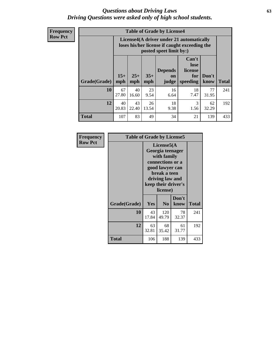#### *Questions about Driving Laws* **63** *Driving Questions were asked only of high school students.*

**Frequency Row Pct**

| <b>Table of Grade by License4</b> |              |                                                                                                                               |             |            |            |             |     |  |  |
|-----------------------------------|--------------|-------------------------------------------------------------------------------------------------------------------------------|-------------|------------|------------|-------------|-----|--|--|
|                                   |              | License4(A driver under 21 automatically<br>loses his/her license if caught exceeding the<br>posted speet limit by:)          |             |            |            |             |     |  |  |
| Grade(Grade)                      | $15+$<br>mph | Can't<br>lose<br><b>Depends</b><br>license<br>$25+$<br>$35+$<br>Don't<br>for<br>on<br>mph<br>speeding<br>know<br>mph<br>judge |             |            |            |             |     |  |  |
| 10                                | 67<br>27.80  | 40<br>16.60                                                                                                                   | 23<br>9.54  | 16<br>6.64 | 18<br>7.47 | 77<br>31.95 | 241 |  |  |
| 12                                | 40<br>20.83  | 43<br>22.40                                                                                                                   | 26<br>13.54 | 18<br>9.38 | 3<br>1.56  | 62<br>32.29 | 192 |  |  |
| <b>Total</b>                      | 107          | 83                                                                                                                            | 49          | 34         | 21         | 139         | 433 |  |  |

| Frequency      | <b>Table of Grade by License5</b> |                                                                                                                                                             |                |               |       |  |  |
|----------------|-----------------------------------|-------------------------------------------------------------------------------------------------------------------------------------------------------------|----------------|---------------|-------|--|--|
| <b>Row Pct</b> |                                   | License5(A)<br>Georgia teenager<br>with family<br>connections or a<br>good lawyer can<br>break a teen<br>driving law and<br>keep their driver's<br>license) |                |               |       |  |  |
|                | Grade(Grade)                      | <b>Yes</b>                                                                                                                                                  | N <sub>0</sub> | Don't<br>know | Total |  |  |
|                | 10                                | 43<br>17.84                                                                                                                                                 | 120<br>49.79   | 78<br>32.37   | 241   |  |  |
|                | 12                                | 63<br>32.81                                                                                                                                                 | 68<br>35.42    | 61<br>31.77   | 192   |  |  |
|                | <b>Total</b>                      | 106                                                                                                                                                         | 188            | 139           | 433   |  |  |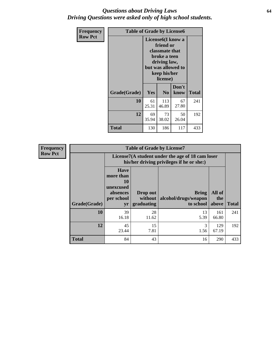#### *Questions about Driving Laws* **64** *Driving Questions were asked only of high school students.*

| <b>Frequency</b> | <b>Table of Grade by License6</b> |                                                                                                                                                 |                |               |              |  |
|------------------|-----------------------------------|-------------------------------------------------------------------------------------------------------------------------------------------------|----------------|---------------|--------------|--|
| <b>Row Pct</b>   |                                   | License <sub>6</sub> (I know a<br>friend or<br>classmate that<br>broke a teen<br>driving law,<br>but was allowed to<br>keep his/her<br>license) |                |               |              |  |
|                  | Grade(Grade)                      | Yes                                                                                                                                             | N <sub>0</sub> | Don't<br>know | <b>Total</b> |  |
|                  | 10                                | 61<br>25.31                                                                                                                                     | 113<br>46.89   | 67<br>27.80   | 241          |  |
|                  | 12                                | 69<br>35.94                                                                                                                                     | 73<br>38.02    | 50<br>26.04   | 192          |  |
|                  | <b>Total</b>                      | 130                                                                                                                                             | 186            | 117           | 433          |  |

| <b>Frequency</b> | <b>Table of Grade by License7</b> |                                                                                               |                                     |                                                   |                        |              |
|------------------|-----------------------------------|-----------------------------------------------------------------------------------------------|-------------------------------------|---------------------------------------------------|------------------------|--------------|
| <b>Row Pct</b>   |                                   | License7(A student under the age of 18 cam loser<br>his/her driving privileges if he or she:) |                                     |                                                   |                        |              |
|                  | Grade(Grade)                      | <b>Have</b><br>more than<br>10<br>unexcused<br>absences<br>per school<br>yr                   | Drop out<br>without  <br>graduating | <b>Bring</b><br>alcohol/drugs/weapon<br>to school | All of<br>the<br>above | <b>Total</b> |
|                  | 10                                | 39<br>16.18                                                                                   | 28<br>11.62                         | 13<br>5.39                                        | 161<br>66.80           | 241          |
|                  | 12                                | 45<br>23.44                                                                                   | 15<br>7.81                          | 3<br>1.56                                         | 129<br>67.19           | 192          |
|                  | <b>Total</b>                      | 84                                                                                            | 43                                  | 16                                                | 290                    | 433          |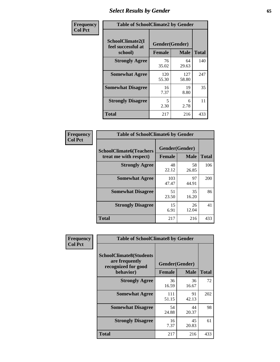# *Select Results by Gender* **65**

| Frequency      | <b>Table of SchoolClimate2 by Gender</b>          |                                 |              |              |
|----------------|---------------------------------------------------|---------------------------------|--------------|--------------|
| <b>Col Pct</b> | SchoolClimate2(I<br>feel successful at<br>school) | Gender(Gender)<br><b>Female</b> | <b>Male</b>  | <b>Total</b> |
|                | <b>Strongly Agree</b>                             | 76<br>35.02                     | 64<br>29.63  | 140          |
|                | <b>Somewhat Agree</b>                             | 120<br>55.30                    | 127<br>58.80 | 247          |
|                | <b>Somewhat Disagree</b>                          | 16<br>7.37                      | 19<br>8.80   | 35           |
|                | <b>Strongly Disagree</b>                          | 5<br>2.30                       | 6<br>2.78    | 11           |
|                | <b>Total</b>                                      | 217                             | 216          | 433          |

| Frequency      | <b>Table of SchoolClimate6 by Gender</b>                 |                                 |             |              |  |
|----------------|----------------------------------------------------------|---------------------------------|-------------|--------------|--|
| <b>Col Pct</b> | <b>SchoolClimate6(Teachers</b><br>treat me with respect) | Gender(Gender)<br><b>Female</b> | <b>Male</b> | <b>Total</b> |  |
|                | <b>Strongly Agree</b>                                    | 48<br>22.12                     | 58<br>26.85 | 106          |  |
|                | <b>Somewhat Agree</b>                                    | 103<br>47.47                    | 97<br>44.91 | 200          |  |
|                | <b>Somewhat Disagree</b>                                 | 51<br>23.50                     | 35<br>16.20 | 86           |  |
|                | <b>Strongly Disagree</b>                                 | 15<br>6.91                      | 26<br>12.04 | 41           |  |
|                | <b>Total</b>                                             | 217                             | 216         | 433          |  |

| <b>Frequency</b> | <b>Table of SchoolClimate8 by Gender</b>                                             |                                 |             |              |
|------------------|--------------------------------------------------------------------------------------|---------------------------------|-------------|--------------|
| <b>Col Pct</b>   | <b>SchoolClimate8(Students</b><br>are frequently<br>recognized for good<br>behavior) | Gender(Gender)<br><b>Female</b> | <b>Male</b> | <b>Total</b> |
|                  | <b>Strongly Agree</b>                                                                | 36                              | 36          | 72           |
|                  |                                                                                      | 16.59                           | 16.67       |              |
|                  | <b>Somewhat Agree</b>                                                                | 111<br>51.15                    | 91<br>42.13 | 202          |
|                  | <b>Somewhat Disagree</b>                                                             | 54<br>24.88                     | 44<br>20.37 | 98           |
|                  | <b>Strongly Disagree</b>                                                             | 16<br>7.37                      | 45<br>20.83 | 61           |
|                  | Total                                                                                | 217                             | 216         | 433          |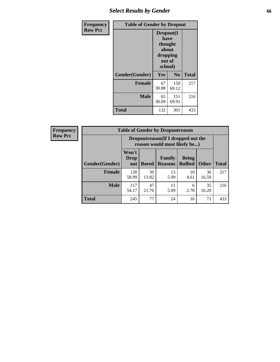# *Select Results by Gender* **66**

| Frequency      | <b>Table of Gender by Dropout</b> |                                                                        |                |              |
|----------------|-----------------------------------|------------------------------------------------------------------------|----------------|--------------|
| <b>Row Pct</b> |                                   | Dropout(I<br>have<br>thought<br>about<br>dropping<br>out of<br>school) |                |              |
|                | Gender(Gender)                    | Yes                                                                    | N <sub>0</sub> | <b>Total</b> |
|                | <b>Female</b>                     | 67<br>30.88                                                            | 150<br>69.12   | 217          |
|                | <b>Male</b>                       | 65<br>30.09                                                            | 151<br>69.91   | 216          |
|                | <b>Total</b>                      | 132                                                                    | 301            | 433          |

| <b>Frequency</b> | <b>Table of Gender by Dropoutreason</b> |                                                                     |              |                          |                                |              |              |
|------------------|-----------------------------------------|---------------------------------------------------------------------|--------------|--------------------------|--------------------------------|--------------|--------------|
| <b>Row Pct</b>   |                                         | Dropoutreason (If I dropped out the<br>reason would most likely be) |              |                          |                                |              |              |
|                  | Gender(Gender)                          | Won't<br><b>Drop</b><br>out                                         | <b>Bored</b> | Family<br><b>Reasons</b> | <b>Being</b><br><b>Bullied</b> | <b>Other</b> | <b>Total</b> |
|                  | <b>Female</b>                           | 128<br>58.99                                                        | 30<br>13.82  | 13<br>5.99               | 10<br>4.61                     | 36<br>16.59  | 217          |
|                  | <b>Male</b>                             | 117<br>54.17                                                        | 47<br>21.76  | 11<br>5.09               | 6<br>2.78                      | 35<br>16.20  | 216          |
|                  | <b>Total</b>                            | 245                                                                 | 77           | 24                       | 16                             | 71           | 433          |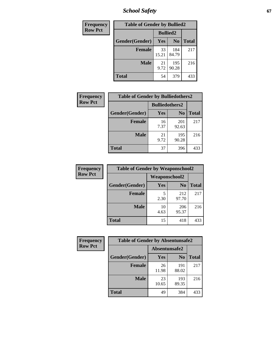*School Safety* **67**

| Frequency      | <b>Table of Gender by Bullied2</b> |                 |                |              |
|----------------|------------------------------------|-----------------|----------------|--------------|
| <b>Row Pct</b> |                                    | <b>Bullied2</b> |                |              |
|                | Gender(Gender)                     | Yes             | N <sub>0</sub> | <b>Total</b> |
|                | <b>Female</b>                      | 33<br>15.21     | 184<br>84.79   | 217          |
|                | <b>Male</b>                        | 21<br>9.72      | 195<br>90.28   | 216          |
|                | <b>Total</b>                       | 54              | 379            | 433          |

| Frequency      |                |                       | <b>Table of Gender by Bulliedothers2</b> |              |  |
|----------------|----------------|-----------------------|------------------------------------------|--------------|--|
| <b>Row Pct</b> |                | <b>Bulliedothers2</b> |                                          |              |  |
|                | Gender(Gender) | <b>Yes</b>            | N <sub>0</sub>                           | <b>Total</b> |  |
|                | <b>Female</b>  | 16<br>7.37            | 201<br>92.63                             | 217          |  |
|                | <b>Male</b>    | 21<br>9.72            | 195<br>90.28                             | 216          |  |
|                | <b>Total</b>   | 37                    | 396                                      | 433          |  |

| <b>Frequency</b> | <b>Table of Gender by Weaponschool2</b> |               |                |              |  |
|------------------|-----------------------------------------|---------------|----------------|--------------|--|
| <b>Row Pct</b>   |                                         | Weaponschool2 |                |              |  |
|                  | Gender(Gender)                          | <b>Yes</b>    | N <sub>0</sub> | <b>Total</b> |  |
|                  | <b>Female</b>                           | 5<br>2.30     | 212<br>97.70   | 217          |  |
|                  | <b>Male</b>                             | 10<br>4.63    | 206<br>95.37   | 216          |  |
|                  | <b>Total</b>                            | 15            | 418            | 433          |  |

| Frequency      | <b>Table of Gender by Absentunsafe2</b> |               |                |              |
|----------------|-----------------------------------------|---------------|----------------|--------------|
| <b>Row Pct</b> |                                         | Absentunsafe2 |                |              |
|                | Gender(Gender)                          | Yes           | N <sub>0</sub> | <b>Total</b> |
|                | <b>Female</b>                           | 26<br>11.98   | 191<br>88.02   | 217          |
|                | <b>Male</b>                             | 23<br>10.65   | 193<br>89.35   | 216          |
|                | <b>Total</b>                            | 49            | 384            | 433          |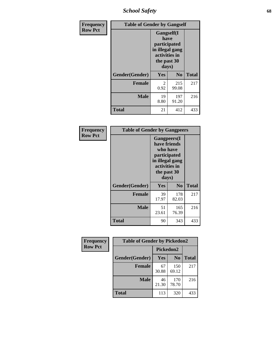*School Safety* **68**

| Frequency      | <b>Table of Gender by Gangself</b> |                                                                                                |              |              |
|----------------|------------------------------------|------------------------------------------------------------------------------------------------|--------------|--------------|
| <b>Row Pct</b> |                                    | Gangself(I<br>have<br>participated<br>in illegal gang<br>activities in<br>the past 30<br>days) |              |              |
|                | Gender(Gender)                     | Yes                                                                                            | $\bf No$     | <b>Total</b> |
|                | <b>Female</b>                      | 2<br>0.92                                                                                      | 215<br>99.08 | 217          |
|                | <b>Male</b>                        | 19<br>8.80                                                                                     | 197<br>91.20 | 216          |
|                | <b>Total</b>                       | 21                                                                                             | 412          | 433          |

| Frequency      | <b>Table of Gender by Gangpeers</b> |                                                                                                                             |                |              |
|----------------|-------------------------------------|-----------------------------------------------------------------------------------------------------------------------------|----------------|--------------|
| <b>Row Pct</b> |                                     | <b>Gangpeers</b> (I<br>have friends<br>who have<br>participated<br>in illegal gang<br>activities in<br>the past 30<br>days) |                |              |
|                | Gender(Gender)                      | <b>Yes</b>                                                                                                                  | N <sub>0</sub> | <b>Total</b> |
|                | <b>Female</b>                       | 39<br>17.97                                                                                                                 | 178<br>82.03   | 217          |
|                | <b>Male</b>                         | 51<br>23.61                                                                                                                 | 165<br>76.39   | 216          |
|                | <b>Total</b>                        | 90                                                                                                                          | 343            | 433          |

| Frequency      | <b>Table of Gender by Pickedon2</b> |             |                |              |
|----------------|-------------------------------------|-------------|----------------|--------------|
| <b>Row Pct</b> |                                     | Pickedon2   |                |              |
|                | Gender(Gender)                      | Yes         | N <sub>0</sub> | <b>Total</b> |
|                | <b>Female</b>                       | 67<br>30.88 | 150<br>69.12   | 217          |
|                | <b>Male</b>                         | 46<br>21.30 | 170<br>78.70   | 216          |
|                | <b>Total</b>                        | 113         | 320            | 433          |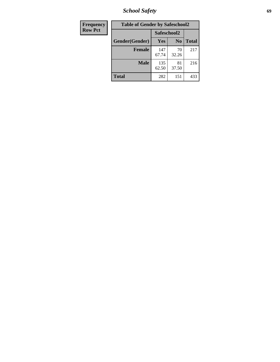*School Safety* **69**

| Frequency      | <b>Table of Gender by Safeschool2</b> |              |                |              |
|----------------|---------------------------------------|--------------|----------------|--------------|
| <b>Row Pct</b> |                                       | Safeschool2  |                |              |
|                | Gender(Gender)                        | <b>Yes</b>   | N <sub>0</sub> | <b>Total</b> |
|                | <b>Female</b>                         | 147<br>67.74 | 70<br>32.26    | 217          |
|                | <b>Male</b>                           | 135<br>62.50 | 81<br>37.50    | 216          |
|                | <b>Total</b>                          | 282          | 151            | 433          |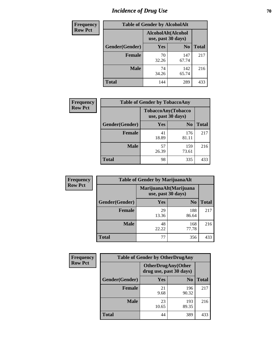# *Incidence of Drug Use* **70**

| <b>Frequency</b> | <b>Table of Gender by AlcoholAlt</b> |                                          |                |              |  |
|------------------|--------------------------------------|------------------------------------------|----------------|--------------|--|
| <b>Row Pct</b>   |                                      | AlcoholAlt(Alcohol<br>use, past 30 days) |                |              |  |
|                  | Gender(Gender)                       | <b>Yes</b>                               | N <sub>0</sub> | <b>Total</b> |  |
|                  | <b>Female</b>                        | 70<br>32.26                              | 147<br>67.74   | 217          |  |
|                  | <b>Male</b>                          | 74<br>34.26                              | 142<br>65.74   | 216          |  |
|                  | <b>Total</b>                         | 144                                      | 289            | 433          |  |

| <b>Frequency</b> | <b>Table of Gender by TobaccoAny</b> |                    |                    |              |
|------------------|--------------------------------------|--------------------|--------------------|--------------|
| <b>Row Pct</b>   |                                      | use, past 30 days) | TobaccoAny(Tobacco |              |
|                  | Gender(Gender)                       | Yes                | N <sub>0</sub>     | <b>Total</b> |
|                  | <b>Female</b>                        | 41<br>18.89        | 176<br>81.11       | 217          |
|                  | <b>Male</b>                          | 57<br>26.39        | 159<br>73.61       | 216          |
|                  | <b>Total</b>                         | 98                 | 335                | 433          |

| <b>Frequency</b> | <b>Table of Gender by MarijuanaAlt</b> |                                              |                |              |
|------------------|----------------------------------------|----------------------------------------------|----------------|--------------|
| <b>Row Pct</b>   |                                        | MarijuanaAlt(Marijuana<br>use, past 30 days) |                |              |
|                  | Gender(Gender)                         | <b>Yes</b>                                   | N <sub>0</sub> | <b>Total</b> |
|                  | <b>Female</b>                          | 29<br>13.36                                  | 188<br>86.64   | 217          |
|                  | <b>Male</b>                            | 48<br>22.22                                  | 168<br>77.78   | 216          |
|                  | <b>Total</b>                           | 77                                           | 356            | 433          |

| <b>Frequency</b> | <b>Table of Gender by OtherDrugAny</b> |                         |                           |              |
|------------------|----------------------------------------|-------------------------|---------------------------|--------------|
| <b>Row Pct</b>   |                                        | drug use, past 30 days) | <b>OtherDrugAny(Other</b> |              |
|                  | Gender(Gender)                         | <b>Yes</b>              | N <sub>0</sub>            | <b>Total</b> |
|                  | <b>Female</b>                          | 21<br>9.68              | 196<br>90.32              | 217          |
|                  | <b>Male</b>                            | 23<br>10.65             | 193<br>89.35              | 216          |
|                  | <b>Total</b>                           | 44                      | 389                       | 433          |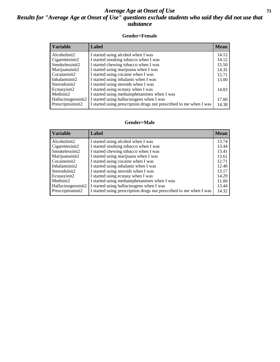#### *Average Age at Onset of Use* **71** *Results for "Average Age at Onset of Use" questions exclude students who said they did not use that substance*

#### **Gender=Female**

| <b>Variable</b>    | Label                                                              | <b>Mean</b> |
|--------------------|--------------------------------------------------------------------|-------------|
| Alcoholinit2       | I started using alcohol when I was                                 | 14.12       |
| Cigarettesinit2    | I started smoking tobacco when I was                               | 14.12       |
| Smokelessinit2     | I started chewing tobacco when I was                               | 15.50       |
| Marijuanainit2     | I started using marijuana when I was                               | 14.35       |
| Cocaineinit2       | I started using cocaine when I was                                 | 15.71       |
| Inhalantsinit2     | I started using inhalants when I was                               | 13.00       |
| Steroidsinit2      | I started using steroids when I was                                |             |
| Ecstasyinit2       | I started using ecstasy when I was                                 | 14.83       |
| Methinit2          | I started using methamphetamines when I was                        |             |
| Hallucinogensinit2 | I started using hallucinogens when I was                           | 17.00       |
| Prescription in t2 | I started using prescription drugs not prescribed to me when I was | 14.38       |

#### **Gender=Male**

| <b>Variable</b>                 | Label                                                              | <b>Mean</b> |
|---------------------------------|--------------------------------------------------------------------|-------------|
| Alcoholinit2                    | I started using alcohol when I was                                 | 13.74       |
| Cigarettesinit2                 | I started smoking tobacco when I was                               | 13.44       |
| Smokelessinit2                  | I started chewing tobacco when I was                               | 13.41       |
| Marijuanainit2                  | I started using marijuana when I was                               | 13.61       |
| Cocaineinit2                    | I started using cocaine when I was                                 | 12.71       |
| Inhalantsinit2                  | I started using inhalants when I was                               | 12.40       |
| Steroidsinit2                   | I started using steroids when I was                                | 13.17       |
| Ecstasyinit2                    | I started using ecstasy when I was                                 | 14.29       |
| Methinit2                       | I started using methamphetamines when I was                        | 11.00       |
| Hallucinogensinit2              | I started using hallucinogens when I was                           | 13.44       |
| Prescription in it <sub>2</sub> | I started using prescription drugs not prescribed to me when I was | 14.32       |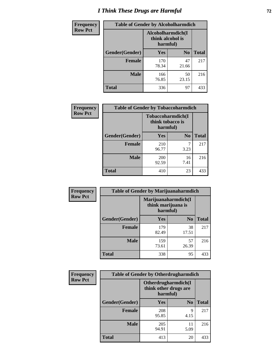# *I Think These Drugs are Harmful* **72**

| <b>Frequency</b> | <b>Table of Gender by Alcoholharmdich</b> |                                                   |                |              |
|------------------|-------------------------------------------|---------------------------------------------------|----------------|--------------|
| <b>Row Pct</b>   |                                           | Alcoholharmdich(I<br>think alcohol is<br>harmful) |                |              |
|                  | Gender(Gender)                            | Yes                                               | N <sub>0</sub> | <b>Total</b> |
|                  | <b>Female</b>                             | 170<br>78.34                                      | 47<br>21.66    | 217          |
|                  | <b>Male</b>                               | 166<br>76.85                                      | 50<br>23.15    | 216          |
|                  | <b>Total</b>                              | 336                                               | 97             | 433          |

| Frequency      | <b>Table of Gender by Tobaccoharmdich</b> |                                                   |                |              |
|----------------|-------------------------------------------|---------------------------------------------------|----------------|--------------|
| <b>Row Pct</b> |                                           | Tobaccoharmdich(I<br>think tobacco is<br>harmful) |                |              |
|                | Gender(Gender)                            | Yes                                               | N <sub>0</sub> | <b>Total</b> |
|                | <b>Female</b>                             | 210<br>96.77                                      | 7<br>3.23      | 217          |
|                | <b>Male</b>                               | 200<br>92.59                                      | 16<br>7.41     | 216          |
|                | <b>Total</b>                              | 410                                               | 23             | 433          |

| Frequency      | <b>Table of Gender by Marijuanaharmdich</b> |                                                       |                |              |  |
|----------------|---------------------------------------------|-------------------------------------------------------|----------------|--------------|--|
| <b>Row Pct</b> |                                             | Marijuanaharmdich(I<br>think marijuana is<br>harmful) |                |              |  |
|                | Gender(Gender)                              | <b>Yes</b>                                            | N <sub>0</sub> | <b>Total</b> |  |
|                | <b>Female</b>                               | 179<br>82.49                                          | 38<br>17.51    | 217          |  |
|                | <b>Male</b>                                 | 159<br>73.61                                          | 57<br>26.39    | 216          |  |
|                | <b>Total</b>                                | 338                                                   | 95             | 433          |  |

| Frequency      | <b>Table of Gender by Otherdrugharmdich</b> |                                   |                     |              |  |
|----------------|---------------------------------------------|-----------------------------------|---------------------|--------------|--|
| <b>Row Pct</b> |                                             | think other drugs are<br>harmful) | Otherdrugharmdich(I |              |  |
|                | Gender(Gender)                              | <b>Yes</b>                        | N <sub>0</sub>      | <b>Total</b> |  |
|                | <b>Female</b>                               | 208<br>95.85                      | 9<br>4.15           | 217          |  |
|                | <b>Male</b>                                 | 205<br>94.91                      | 11<br>5.09          | 216          |  |
|                | <b>Total</b>                                | 413                               | 20                  | 433          |  |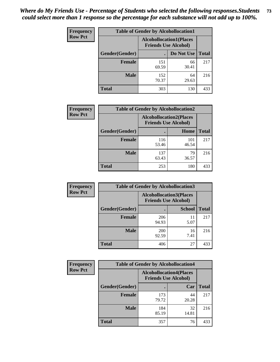| <b>Frequency</b> | <b>Table of Gender by Alcohollocation1</b> |                                                               |             |              |
|------------------|--------------------------------------------|---------------------------------------------------------------|-------------|--------------|
| <b>Row Pct</b>   |                                            | <b>Alcohollocation1(Places</b><br><b>Friends Use Alcohol)</b> |             |              |
|                  | Gender(Gender)                             |                                                               | Do Not Use  | <b>Total</b> |
|                  | <b>Female</b>                              | 151<br>69.59                                                  | 66<br>30.41 | 217          |
|                  | <b>Male</b>                                | 152<br>70.37                                                  | 64<br>29.63 | 216          |
|                  | <b>Total</b>                               | 303                                                           | 130         | 433          |

| <b>Frequency</b> | <b>Table of Gender by Alcohollocation2</b> |                                                               |              |              |
|------------------|--------------------------------------------|---------------------------------------------------------------|--------------|--------------|
| <b>Row Pct</b>   |                                            | <b>Alcohollocation2(Places</b><br><b>Friends Use Alcohol)</b> |              |              |
|                  | Gender(Gender)                             |                                                               | Home         | <b>Total</b> |
|                  | <b>Female</b>                              | 116<br>53.46                                                  | 101<br>46.54 | 217          |
|                  | <b>Male</b>                                | 137<br>63.43                                                  | 79<br>36.57  | 216          |
|                  | <b>Total</b>                               | 253                                                           | 180          | 433          |

| Frequency      | <b>Table of Gender by Alcohollocation3</b> |                                                               |               |              |
|----------------|--------------------------------------------|---------------------------------------------------------------|---------------|--------------|
| <b>Row Pct</b> |                                            | <b>Alcohollocation3(Places</b><br><b>Friends Use Alcohol)</b> |               |              |
|                | Gender(Gender)                             |                                                               | <b>School</b> | <b>Total</b> |
|                | <b>Female</b>                              | 206<br>94.93                                                  | 11<br>5.07    | 217          |
|                | <b>Male</b>                                | 200<br>92.59                                                  | 16<br>7.41    | 216          |
|                | <b>Total</b>                               | 406                                                           | 27            | 433          |

| Frequency      | <b>Table of Gender by Alcohollocation4</b> |                                                               |             |              |  |
|----------------|--------------------------------------------|---------------------------------------------------------------|-------------|--------------|--|
| <b>Row Pct</b> |                                            | <b>Alcohollocation4(Places</b><br><b>Friends Use Alcohol)</b> |             |              |  |
|                | <b>Gender</b> (Gender)                     |                                                               | Car         | <b>Total</b> |  |
|                | <b>Female</b>                              | 173<br>79.72                                                  | 44<br>20.28 | 217          |  |
|                | <b>Male</b>                                | 184<br>85.19                                                  | 32<br>14.81 | 216          |  |
|                | <b>Total</b>                               | 357                                                           | 76          | 433          |  |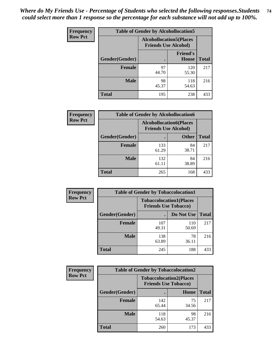| <b>Frequency</b> | <b>Table of Gender by Alcohollocation5</b> |                                                               |                                 |              |
|------------------|--------------------------------------------|---------------------------------------------------------------|---------------------------------|--------------|
| <b>Row Pct</b>   |                                            | <b>Alcohollocation5(Places</b><br><b>Friends Use Alcohol)</b> |                                 |              |
|                  | Gender(Gender)                             | ٠                                                             | <b>Friend's</b><br><b>House</b> | <b>Total</b> |
|                  | <b>Female</b>                              | 97<br>44.70                                                   | 120<br>55.30                    | 217          |
|                  | <b>Male</b>                                | 98<br>45.37                                                   | 118<br>54.63                    | 216          |
|                  | <b>Total</b>                               | 195                                                           | 238                             | 433          |

| <b>Frequency</b> | <b>Table of Gender by Alcohollocation6</b> |                                                               |              |              |
|------------------|--------------------------------------------|---------------------------------------------------------------|--------------|--------------|
| <b>Row Pct</b>   |                                            | <b>Alcohollocation6(Places</b><br><b>Friends Use Alcohol)</b> |              |              |
|                  | <b>Gender</b> (Gender)                     |                                                               | <b>Other</b> | <b>Total</b> |
|                  | <b>Female</b>                              | 133<br>61.29                                                  | 84<br>38.71  | 217          |
|                  | <b>Male</b>                                | 132<br>61.11                                                  | 84<br>38.89  | 216          |
|                  | <b>Total</b>                               | 265                                                           | 168          | 433          |

| Frequency      | <b>Table of Gender by Tobaccolocation1</b> |                                                               |              |              |  |
|----------------|--------------------------------------------|---------------------------------------------------------------|--------------|--------------|--|
| <b>Row Pct</b> |                                            | <b>Tobaccolocation1(Places</b><br><b>Friends Use Tobacco)</b> |              |              |  |
|                | Gender(Gender)                             |                                                               | Do Not Use   | <b>Total</b> |  |
|                | Female                                     | 107<br>49.31                                                  | 110<br>50.69 | 217          |  |
|                | <b>Male</b>                                | 138<br>63.89                                                  | 78<br>36.11  | 216          |  |
|                | <b>Total</b>                               | 245                                                           | 188          | 433          |  |

| <b>Frequency</b> | <b>Table of Gender by Tobaccolocation2</b> |                                                               |             |              |  |
|------------------|--------------------------------------------|---------------------------------------------------------------|-------------|--------------|--|
| <b>Row Pct</b>   |                                            | <b>Tobaccolocation2(Places</b><br><b>Friends Use Tobacco)</b> |             |              |  |
|                  | Gender(Gender)                             |                                                               | Home        | <b>Total</b> |  |
|                  | <b>Female</b>                              | 142<br>65.44                                                  | 75<br>34.56 | 217          |  |
|                  | <b>Male</b>                                | 118<br>54.63                                                  | 98<br>45.37 | 216          |  |
|                  | <b>Total</b>                               | 260                                                           | 173         | 433          |  |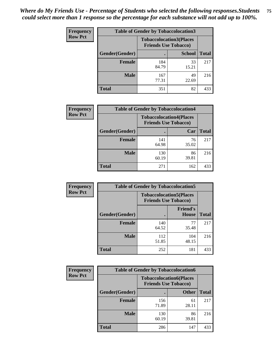| <b>Frequency</b> | <b>Table of Gender by Tobaccolocation3</b> |                                                               |               |              |
|------------------|--------------------------------------------|---------------------------------------------------------------|---------------|--------------|
| <b>Row Pct</b>   |                                            | <b>Tobaccolocation3(Places</b><br><b>Friends Use Tobacco)</b> |               |              |
|                  | Gender(Gender)                             |                                                               | <b>School</b> | <b>Total</b> |
|                  | <b>Female</b>                              | 184<br>84.79                                                  | 33<br>15.21   | 217          |
|                  | <b>Male</b>                                | 167<br>77.31                                                  | 49<br>22.69   | 216          |
|                  | Total                                      | 351                                                           | 82            | 433          |

| <b>Frequency</b> | <b>Table of Gender by Tobaccolocation4</b> |                                                               |             |              |
|------------------|--------------------------------------------|---------------------------------------------------------------|-------------|--------------|
| <b>Row Pct</b>   |                                            | <b>Tobaccolocation4(Places</b><br><b>Friends Use Tobacco)</b> |             |              |
|                  | Gender(Gender)                             |                                                               | Car         | <b>Total</b> |
|                  | <b>Female</b>                              | 141<br>64.98                                                  | 76<br>35.02 | 217          |
|                  | <b>Male</b>                                | 130<br>60.19                                                  | 86<br>39.81 | 216          |
|                  | <b>Total</b>                               | 271                                                           | 162         | 433          |

| <b>Frequency</b> | <b>Table of Gender by Tobaccolocation5</b> |                                                               |                                 |              |
|------------------|--------------------------------------------|---------------------------------------------------------------|---------------------------------|--------------|
| <b>Row Pct</b>   |                                            | <b>Tobaccolocation5(Places</b><br><b>Friends Use Tobacco)</b> |                                 |              |
|                  | Gender(Gender)                             |                                                               | <b>Friend's</b><br><b>House</b> | <b>Total</b> |
|                  | <b>Female</b>                              | 140<br>64.52                                                  | 77<br>35.48                     | 217          |
|                  | <b>Male</b>                                | 112<br>51.85                                                  | 104<br>48.15                    | 216          |
|                  | <b>Total</b>                               | 252                                                           | 181                             | 433          |

| <b>Frequency</b> | <b>Table of Gender by Tobaccolocation6</b> |                             |                                |              |
|------------------|--------------------------------------------|-----------------------------|--------------------------------|--------------|
| <b>Row Pct</b>   |                                            | <b>Friends Use Tobacco)</b> | <b>Tobaccolocation6(Places</b> |              |
|                  | Gender(Gender)                             |                             | <b>Other</b>                   | <b>Total</b> |
|                  | Female                                     | 156<br>71.89                | 61<br>28.11                    | 217          |
|                  | <b>Male</b>                                | 130<br>60.19                | 86<br>39.81                    | 216          |
|                  | <b>Total</b>                               | 286                         | 147                            | 433          |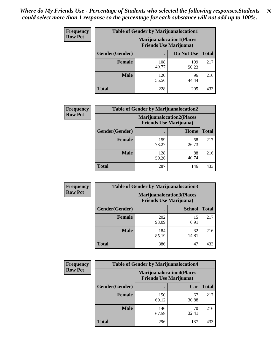| <b>Frequency</b> | <b>Table of Gender by Marijuanalocation1</b> |                                                                    |              |              |  |
|------------------|----------------------------------------------|--------------------------------------------------------------------|--------------|--------------|--|
| <b>Row Pct</b>   |                                              | <b>Marijuanalocation1(Places</b><br><b>Friends Use Marijuana</b> ) |              |              |  |
|                  | Gender(Gender)                               |                                                                    | Do Not Use   | <b>Total</b> |  |
|                  | <b>Female</b>                                | 108<br>49.77                                                       | 109<br>50.23 | 217          |  |
|                  | <b>Male</b>                                  | 120<br>55.56                                                       | 96<br>44.44  | 216          |  |
|                  | <b>Total</b>                                 | 228                                                                | 205          | 433          |  |

| <b>Frequency</b> | <b>Table of Gender by Marijuanalocation2</b> |                                                                    |             |              |
|------------------|----------------------------------------------|--------------------------------------------------------------------|-------------|--------------|
| <b>Row Pct</b>   |                                              | <b>Marijuanalocation2(Places</b><br><b>Friends Use Marijuana</b> ) |             |              |
|                  | <b>Gender</b> (Gender)                       |                                                                    | Home        | <b>Total</b> |
|                  | <b>Female</b>                                | 159<br>73.27                                                       | 58<br>26.73 | 217          |
|                  | <b>Male</b>                                  | 128<br>59.26                                                       | 88<br>40.74 | 216          |
|                  | <b>Total</b>                                 | 287                                                                | 146         | 433          |

| Frequency      | <b>Table of Gender by Marijuanalocation3</b> |              |                                                                     |              |
|----------------|----------------------------------------------|--------------|---------------------------------------------------------------------|--------------|
| <b>Row Pct</b> |                                              |              | <b>Marijuanalocation3(Places)</b><br><b>Friends Use Marijuana</b> ) |              |
|                | Gender(Gender)                               |              | <b>School</b>                                                       | <b>Total</b> |
|                | Female                                       | 202<br>93.09 | 15<br>6.91                                                          | 217          |
|                | <b>Male</b>                                  | 184<br>85.19 | 32<br>14.81                                                         | 216          |
|                | <b>Total</b>                                 | 386          | 47                                                                  | 433          |

| <b>Frequency</b> | <b>Table of Gender by Marijuanalocation4</b> |                                                                    |             |              |  |
|------------------|----------------------------------------------|--------------------------------------------------------------------|-------------|--------------|--|
| <b>Row Pct</b>   |                                              | <b>Marijuanalocation4(Places</b><br><b>Friends Use Marijuana</b> ) |             |              |  |
|                  | Gender(Gender)                               |                                                                    | Car         | <b>Total</b> |  |
|                  | <b>Female</b>                                | 150<br>69.12                                                       | 67<br>30.88 | 217          |  |
|                  | <b>Male</b>                                  | 146<br>67.59                                                       | 70<br>32.41 | 216          |  |
|                  | <b>Total</b>                                 | 296                                                                | 137         | 433          |  |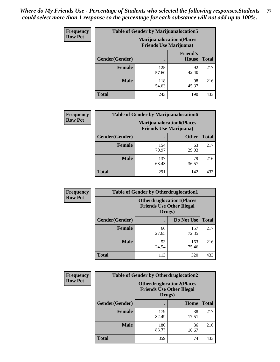| <b>Frequency</b> | <b>Table of Gender by Marijuanalocation5</b> |                                                                     |                                 |              |
|------------------|----------------------------------------------|---------------------------------------------------------------------|---------------------------------|--------------|
| <b>Row Pct</b>   |                                              | <b>Marijuanalocation5</b> (Places<br><b>Friends Use Marijuana</b> ) |                                 |              |
|                  | Gender(Gender)                               |                                                                     | <b>Friend's</b><br><b>House</b> | <b>Total</b> |
|                  | <b>Female</b>                                | 125<br>57.60                                                        | 92<br>42.40                     | 217          |
|                  | <b>Male</b>                                  | 118<br>54.63                                                        | 98<br>45.37                     | 216          |
|                  | <b>Total</b>                                 | 243                                                                 | 190                             | 433          |

| <b>Frequency</b> | <b>Table of Gender by Marijuanalocation6</b> |                                |                                  |              |
|------------------|----------------------------------------------|--------------------------------|----------------------------------|--------------|
| <b>Row Pct</b>   |                                              | <b>Friends Use Marijuana</b> ) | <b>Marijuanalocation6(Places</b> |              |
|                  | Gender(Gender)                               |                                | <b>Other</b>                     | <b>Total</b> |
|                  | <b>Female</b>                                | 154<br>70.97                   | 63<br>29.03                      | 217          |
|                  | <b>Male</b>                                  | 137<br>63.43                   | 79<br>36.57                      | 216          |
|                  | <b>Total</b>                                 | 291                            | 142                              | 433          |

| Frequency      | <b>Table of Gender by Otherdruglocation1</b> |                                                                                |              |              |
|----------------|----------------------------------------------|--------------------------------------------------------------------------------|--------------|--------------|
| <b>Row Pct</b> |                                              | <b>Otherdruglocation1(Places</b><br><b>Friends Use Other Illegal</b><br>Drugs) |              |              |
|                | Gender(Gender)                               |                                                                                | Do Not Use   | <b>Total</b> |
|                | <b>Female</b>                                | 60<br>27.65                                                                    | 157<br>72.35 | 217          |
|                | <b>Male</b>                                  | 53<br>24.54                                                                    | 163<br>75.46 | 216          |
|                | <b>Total</b>                                 | 113                                                                            | 320          | 433          |

| <b>Frequency</b> | <b>Table of Gender by Otherdruglocation2</b> |                                                                                |             |              |
|------------------|----------------------------------------------|--------------------------------------------------------------------------------|-------------|--------------|
| <b>Row Pct</b>   |                                              | <b>Otherdruglocation2(Places</b><br><b>Friends Use Other Illegal</b><br>Drugs) |             |              |
|                  | Gender(Gender)                               |                                                                                | Home        | <b>Total</b> |
|                  | Female                                       | 179<br>82.49                                                                   | 38<br>17.51 | 217          |
|                  | <b>Male</b>                                  | 180<br>83.33                                                                   | 36<br>16.67 | 216          |
|                  | <b>Total</b>                                 | 359                                                                            | 74          | 433          |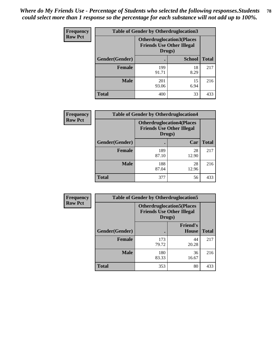| <b>Frequency</b> | <b>Table of Gender by Otherdruglocation3</b> |                                                                                |               |              |
|------------------|----------------------------------------------|--------------------------------------------------------------------------------|---------------|--------------|
| <b>Row Pct</b>   |                                              | <b>Otherdruglocation3(Places</b><br><b>Friends Use Other Illegal</b><br>Drugs) |               |              |
|                  | Gender(Gender)                               |                                                                                | <b>School</b> | <b>Total</b> |
|                  | <b>Female</b>                                | 199<br>91.71                                                                   | 18<br>8.29    | 217          |
|                  | <b>Male</b>                                  | 201<br>93.06                                                                   | 15<br>6.94    | 216          |
|                  | <b>Total</b>                                 | 400                                                                            | 33            | 433          |

| Frequency      | <b>Table of Gender by Otherdruglocation4</b> |                                            |                                  |              |
|----------------|----------------------------------------------|--------------------------------------------|----------------------------------|--------------|
| <b>Row Pct</b> |                                              | <b>Friends Use Other Illegal</b><br>Drugs) | <b>Otherdruglocation4(Places</b> |              |
|                | Gender(Gender)                               |                                            | Car                              | <b>Total</b> |
|                | <b>Female</b>                                | 189<br>87.10                               | 28<br>12.90                      | 217          |
|                | <b>Male</b>                                  | 188<br>87.04                               | 28<br>12.96                      | 216          |
|                | <b>Total</b>                                 | 377                                        | 56                               | 433          |

| Frequency      | <b>Table of Gender by Otherdruglocation5</b> |                                                                                |                                 |              |
|----------------|----------------------------------------------|--------------------------------------------------------------------------------|---------------------------------|--------------|
| <b>Row Pct</b> |                                              | <b>Otherdruglocation5(Places</b><br><b>Friends Use Other Illegal</b><br>Drugs) |                                 |              |
|                | Gender(Gender)                               |                                                                                | <b>Friend's</b><br><b>House</b> | <b>Total</b> |
|                | <b>Female</b>                                | 173<br>79.72                                                                   | 44<br>20.28                     | 217          |
|                | <b>Male</b>                                  | 180<br>83.33                                                                   | 36<br>16.67                     | 216          |
|                | <b>Total</b>                                 | 353                                                                            | 80                              | 433          |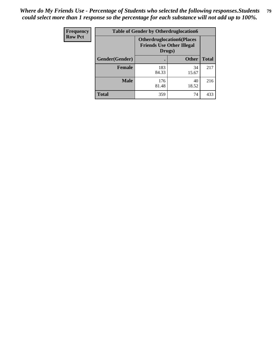| Frequency      | <b>Table of Gender by Otherdruglocation6</b> |                                                                                |              |              |
|----------------|----------------------------------------------|--------------------------------------------------------------------------------|--------------|--------------|
| <b>Row Pct</b> |                                              | <b>Otherdruglocation6(Places</b><br><b>Friends Use Other Illegal</b><br>Drugs) |              |              |
|                | Gender(Gender)                               |                                                                                | <b>Other</b> | <b>Total</b> |
|                | Female                                       | 183<br>84.33                                                                   | 34<br>15.67  | 217          |
|                | <b>Male</b>                                  | 176<br>81.48                                                                   | 40<br>18.52  | 216          |
|                | <b>Total</b>                                 | 359                                                                            | 74           | 433          |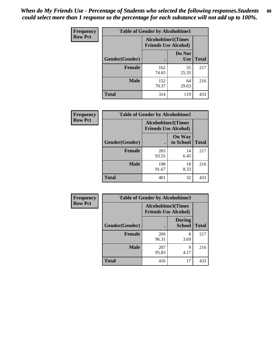| <b>Frequency</b> | <b>Table of Gender by Alcoholtime1</b> |                                                          |                      |              |
|------------------|----------------------------------------|----------------------------------------------------------|----------------------|--------------|
| <b>Row Pct</b>   |                                        | <b>Alcoholtime1(Times</b><br><b>Friends Use Alcohol)</b> |                      |              |
|                  | Gender(Gender)                         | ٠                                                        | Do Not<br><b>Use</b> | <b>Total</b> |
|                  | <b>Female</b>                          | 162<br>74.65                                             | 55<br>25.35          | 217          |
|                  | <b>Male</b>                            | 152<br>70.37                                             | 64<br>29.63          | 216          |
|                  | <b>Total</b>                           | 314                                                      | 119                  | 433          |

| Frequency      | <b>Table of Gender by Alcoholtime2</b> |                                                          |                            |              |
|----------------|----------------------------------------|----------------------------------------------------------|----------------------------|--------------|
| <b>Row Pct</b> |                                        | <b>Alcoholtime2(Times</b><br><b>Friends Use Alcohol)</b> |                            |              |
|                | Gender(Gender)                         |                                                          | <b>On Way</b><br>to School | <b>Total</b> |
|                | <b>Female</b>                          | 203<br>93.55                                             | 14<br>6.45                 | 217          |
|                | <b>Male</b>                            | 198<br>91.67                                             | 18<br>8.33                 | 216          |
|                | Total                                  | 401                                                      | 32                         | 433          |

| <b>Frequency</b> | <b>Table of Gender by Alcoholtime3</b> |                                                          |                                |              |
|------------------|----------------------------------------|----------------------------------------------------------|--------------------------------|--------------|
| <b>Row Pct</b>   |                                        | <b>Alcoholtime3(Times</b><br><b>Friends Use Alcohol)</b> |                                |              |
|                  | Gender(Gender)                         |                                                          | <b>During</b><br><b>School</b> | <b>Total</b> |
|                  | Female                                 | 209<br>96.31                                             | 8<br>3.69                      | 217          |
|                  | <b>Male</b>                            | 207<br>95.83                                             | 9<br>4.17                      | 216          |
|                  | <b>Total</b>                           | 416                                                      | 17                             | 433          |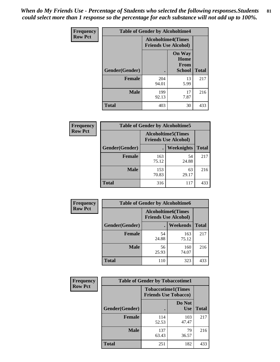*When do My Friends Use - Percentage of Students who selected the following responses.Students could select more than 1 response so the percentage for each substance will not add up to 100%.* **81**

| <b>Frequency</b> | <b>Table of Gender by Alcoholtime4</b> |                                                          |                                                |              |
|------------------|----------------------------------------|----------------------------------------------------------|------------------------------------------------|--------------|
| <b>Row Pct</b>   |                                        | <b>Alcoholtime4(Times</b><br><b>Friends Use Alcohol)</b> |                                                |              |
|                  | Gender(Gender)                         |                                                          | <b>On Way</b><br>Home<br>From<br><b>School</b> | <b>Total</b> |
|                  | <b>Female</b>                          | 204<br>94.01                                             | 13<br>5.99                                     | 217          |
|                  | <b>Male</b>                            | 199<br>92.13                                             | 17<br>7.87                                     | 216          |
|                  | <b>Total</b>                           | 403                                                      | 30                                             | 433          |

| <b>Frequency</b> | <b>Table of Gender by Alcoholtime5</b> |                                                           |             |              |
|------------------|----------------------------------------|-----------------------------------------------------------|-------------|--------------|
| <b>Row Pct</b>   |                                        | <b>Alcoholtime5</b> (Times<br><b>Friends Use Alcohol)</b> |             |              |
|                  | Gender(Gender)                         |                                                           | Weeknights  | <b>Total</b> |
|                  | <b>Female</b>                          | 163<br>75.12                                              | 54<br>24.88 | 217          |
|                  | <b>Male</b>                            | 153<br>70.83                                              | 63<br>29.17 | 216          |
|                  | <b>Total</b>                           | 316                                                       | 117         | 433          |

| <b>Frequency</b> | <b>Table of Gender by Alcoholtime6</b> |             |                                                          |              |
|------------------|----------------------------------------|-------------|----------------------------------------------------------|--------------|
| <b>Row Pct</b>   |                                        |             | <b>Alcoholtime6(Times</b><br><b>Friends Use Alcohol)</b> |              |
|                  | Gender(Gender)                         |             | Weekends                                                 | <b>Total</b> |
|                  | Female                                 | 54<br>24.88 | 163<br>75.12                                             | 217          |
|                  | <b>Male</b>                            | 56<br>25.93 | 160<br>74.07                                             | 216          |
|                  | <b>Total</b>                           | 110         | 323                                                      | 433          |

| <b>Frequency</b> | <b>Table of Gender by Tobaccotime1</b> |                                                          |                      |              |
|------------------|----------------------------------------|----------------------------------------------------------|----------------------|--------------|
| <b>Row Pct</b>   |                                        | <b>Tobaccotime1(Times</b><br><b>Friends Use Tobacco)</b> |                      |              |
|                  | Gender(Gender)                         |                                                          | Do Not<br><b>Use</b> | <b>Total</b> |
|                  | <b>Female</b>                          | 114<br>52.53                                             | 103<br>47.47         | 217          |
|                  | <b>Male</b>                            | 137<br>63.43                                             | 79<br>36.57          | 216          |
|                  | <b>Total</b>                           | 251                                                      | 182                  | 433          |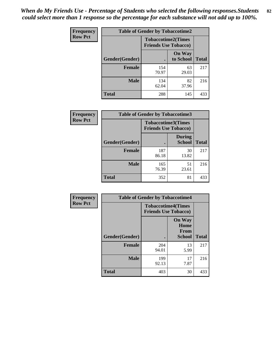*When do My Friends Use - Percentage of Students who selected the following responses.Students could select more than 1 response so the percentage for each substance will not add up to 100%.* **82**

| Frequency      | <b>Table of Gender by Tobaccotime2</b> |                                                          |                            |              |
|----------------|----------------------------------------|----------------------------------------------------------|----------------------------|--------------|
| <b>Row Pct</b> |                                        | <b>Tobaccotime2(Times</b><br><b>Friends Use Tobacco)</b> |                            |              |
|                | Gender(Gender)                         | $\bullet$                                                | <b>On Way</b><br>to School | <b>Total</b> |
|                | <b>Female</b>                          | 154<br>70.97                                             | 63<br>29.03                | 217          |
|                | <b>Male</b>                            | 134<br>62.04                                             | 82<br>37.96                | 216          |
|                | <b>Total</b>                           | 288                                                      | 145                        | 433          |

| Frequency      | <b>Table of Gender by Tobaccotime3</b> |                             |                                |              |
|----------------|----------------------------------------|-----------------------------|--------------------------------|--------------|
| <b>Row Pct</b> |                                        | <b>Friends Use Tobacco)</b> | <b>Tobaccotime3(Times</b>      |              |
|                | Gender(Gender)                         |                             | <b>During</b><br><b>School</b> | <b>Total</b> |
|                | <b>Female</b>                          | 187<br>86.18                | 30<br>13.82                    | 217          |
|                | <b>Male</b>                            | 165<br>76.39                | 51<br>23.61                    | 216          |
|                | <b>Total</b>                           | 352                         | 81                             | 433          |

| <b>Frequency</b> | <b>Table of Gender by Tobaccotime4</b> |                                                          |                                                |              |
|------------------|----------------------------------------|----------------------------------------------------------|------------------------------------------------|--------------|
| <b>Row Pct</b>   |                                        | <b>Tobaccotime4(Times</b><br><b>Friends Use Tobacco)</b> |                                                |              |
|                  | Gender(Gender)                         |                                                          | <b>On Way</b><br>Home<br>From<br><b>School</b> | <b>Total</b> |
|                  | <b>Female</b>                          | 204<br>94.01                                             | 13<br>5.99                                     | 217          |
|                  | <b>Male</b>                            | 199<br>92.13                                             | 17<br>7.87                                     | 216          |
|                  | <b>Total</b>                           | 403                                                      | 30                                             | 433          |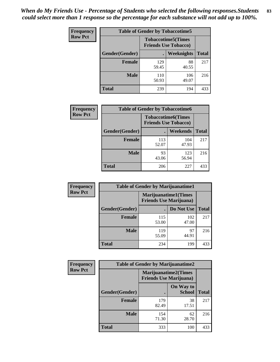| <b>Frequency</b> | <b>Table of Gender by Tobaccotime5</b> |              |                                                          |              |  |
|------------------|----------------------------------------|--------------|----------------------------------------------------------|--------------|--|
| <b>Row Pct</b>   |                                        |              | <b>Tobaccotime5(Times</b><br><b>Friends Use Tobacco)</b> |              |  |
|                  | <b>Gender</b> (Gender)                 |              | Weeknights                                               | <b>Total</b> |  |
|                  | Female                                 | 129<br>59.45 | 88<br>40.55                                              | 217          |  |
|                  | <b>Male</b>                            | 110<br>50.93 | 106<br>49.07                                             | 216          |  |
|                  | <b>Total</b>                           | 239          | 194                                                      | 433          |  |

| Frequency      | <b>Table of Gender by Tobaccotime6</b> |                                                          |              |              |
|----------------|----------------------------------------|----------------------------------------------------------|--------------|--------------|
| <b>Row Pct</b> |                                        | <b>Tobaccotime6(Times</b><br><b>Friends Use Tobacco)</b> |              |              |
|                | Gender(Gender)                         |                                                          | Weekends     | <b>Total</b> |
|                | Female                                 | 113<br>52.07                                             | 104<br>47.93 | 217          |
|                | <b>Male</b>                            | 93<br>43.06                                              | 123<br>56.94 | 216          |
|                | <b>Total</b>                           | 206                                                      | 227          | 433          |

| Frequency      | <b>Table of Gender by Marijuanatime1</b> |                                                        |              |              |
|----------------|------------------------------------------|--------------------------------------------------------|--------------|--------------|
| <b>Row Pct</b> |                                          | Marijuanatime1(Times<br><b>Friends Use Marijuana</b> ) |              |              |
|                | Gender(Gender)                           |                                                        | Do Not Use   | <b>Total</b> |
|                | <b>Female</b>                            | 115<br>53.00                                           | 102<br>47.00 | 217          |
|                | <b>Male</b>                              | 119<br>55.09                                           | 97<br>44.91  | 216          |
|                | <b>Total</b>                             | 234                                                    | 199          | 433          |

| <b>Frequency</b> | <b>Table of Gender by Marijuanatime2</b> |                                                        |                            |              |
|------------------|------------------------------------------|--------------------------------------------------------|----------------------------|--------------|
| <b>Row Pct</b>   |                                          | Marijuanatime2(Times<br><b>Friends Use Marijuana</b> ) |                            |              |
|                  | Gender(Gender)                           |                                                        | On Way to<br><b>School</b> | <b>Total</b> |
|                  | <b>Female</b>                            | 179<br>82.49                                           | 38<br>17.51                | 217          |
|                  | <b>Male</b>                              | 154<br>71.30                                           | 62<br>28.70                | 216          |
|                  | <b>Total</b>                             | 333                                                    | 100                        | 433          |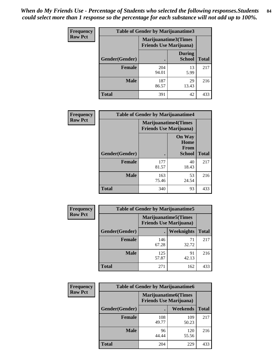| Frequency      | <b>Table of Gender by Marijuanatime3</b> |                                                        |                                |              |
|----------------|------------------------------------------|--------------------------------------------------------|--------------------------------|--------------|
| <b>Row Pct</b> |                                          | Marijuanatime3(Times<br><b>Friends Use Marijuana</b> ) |                                |              |
|                | <b>Gender</b> (Gender)                   |                                                        | <b>During</b><br><b>School</b> | <b>Total</b> |
|                | <b>Female</b>                            | 204<br>94.01                                           | 13<br>5.99                     | 217          |
|                | <b>Male</b>                              | 187<br>86.57                                           | 29<br>13.43                    | 216          |
|                | <b>Total</b>                             | 391                                                    | 42                             | 433          |

| Frequency      | <b>Table of Gender by Marijuanatime4</b> |                                |                                                       |              |
|----------------|------------------------------------------|--------------------------------|-------------------------------------------------------|--------------|
| <b>Row Pct</b> |                                          | <b>Friends Use Marijuana</b> ) | <b>Marijuanatime4</b> (Times                          |              |
|                | Gender(Gender)                           |                                | <b>On Way</b><br>Home<br><b>From</b><br><b>School</b> | <b>Total</b> |
|                | <b>Female</b>                            | 177<br>81.57                   | 40<br>18.43                                           | 217          |
|                | <b>Male</b>                              | 163<br>75.46                   | 53<br>24.54                                           | 216          |
|                | <b>Total</b>                             | 340                            | 93                                                    | 433          |

| Frequency      | <b>Table of Gender by Marijuanatime5</b> |                                                                |                   |              |  |
|----------------|------------------------------------------|----------------------------------------------------------------|-------------------|--------------|--|
| <b>Row Pct</b> |                                          | <b>Marijuanatime5</b> (Times<br><b>Friends Use Marijuana</b> ) |                   |              |  |
|                | Gender(Gender)                           |                                                                | <b>Weeknights</b> | <b>Total</b> |  |
|                | <b>Female</b>                            | 146<br>67.28                                                   | 71<br>32.72       | 217          |  |
|                | <b>Male</b>                              | 125<br>57.87                                                   | 91<br>42.13       | 216          |  |
|                | <b>Total</b>                             | 271                                                            | 162               | 433          |  |

| <b>Frequency</b> | <b>Table of Gender by Marijuanatime6</b> |                                                               |                 |              |  |
|------------------|------------------------------------------|---------------------------------------------------------------|-----------------|--------------|--|
| <b>Row Pct</b>   |                                          | <b>Marijuanatime6(Times</b><br><b>Friends Use Marijuana</b> ) |                 |              |  |
|                  | Gender(Gender)                           |                                                               | <b>Weekends</b> | <b>Total</b> |  |
|                  | <b>Female</b>                            | 108<br>49.77                                                  | 109<br>50.23    | 217          |  |
|                  | <b>Male</b>                              | 96<br>44.44                                                   | 120<br>55.56    | 216          |  |
|                  | <b>Total</b>                             | 204                                                           | 229             | 433          |  |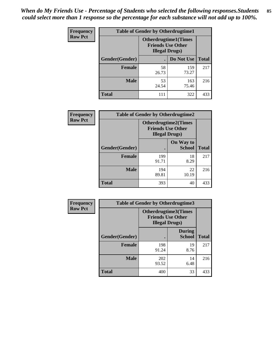*When do My Friends Use - Percentage of Students who selected the following responses.Students could select more than 1 response so the percentage for each substance will not add up to 100%.* **85**

| <b>Frequency</b> | <b>Table of Gender by Otherdrugtime1</b> |                                                                                    |              |              |
|------------------|------------------------------------------|------------------------------------------------------------------------------------|--------------|--------------|
| <b>Row Pct</b>   |                                          | <b>Otherdrugtime1</b> (Times<br><b>Friends Use Other</b><br><b>Illegal Drugs</b> ) |              |              |
|                  | Gender(Gender)                           |                                                                                    | Do Not Use   | <b>Total</b> |
|                  | <b>Female</b>                            | 58<br>26.73                                                                        | 159<br>73.27 | 217          |
|                  | <b>Male</b>                              | 53<br>24.54                                                                        | 163<br>75.46 | 216          |
|                  | <b>Total</b>                             | 111                                                                                | 322          | 433          |

| Frequency      | <b>Table of Gender by Otherdrugtime2</b> |                                                                                   |                            |              |
|----------------|------------------------------------------|-----------------------------------------------------------------------------------|----------------------------|--------------|
| <b>Row Pct</b> |                                          | <b>Otherdrugtime2(Times</b><br><b>Friends Use Other</b><br><b>Illegal Drugs</b> ) |                            |              |
|                | <b>Gender</b> (Gender)                   |                                                                                   | On Way to<br><b>School</b> | <b>Total</b> |
|                | <b>Female</b>                            | 199<br>91.71                                                                      | 18<br>8.29                 | 217          |
|                | <b>Male</b>                              | 194<br>89.81                                                                      | 22<br>10.19                | 216          |
|                | <b>Total</b>                             | 393                                                                               | 40                         | 433          |

| Frequency      | <b>Table of Gender by Otherdrugtime3</b> |                        |                                                         |              |
|----------------|------------------------------------------|------------------------|---------------------------------------------------------|--------------|
| <b>Row Pct</b> |                                          | <b>Illegal Drugs</b> ) | <b>Otherdrugtime3(Times</b><br><b>Friends Use Other</b> |              |
|                | Gender(Gender)                           |                        | <b>During</b><br><b>School</b>                          | <b>Total</b> |
|                | <b>Female</b>                            | 198<br>91.24           | 19<br>8.76                                              | 217          |
|                | <b>Male</b>                              | 202<br>93.52           | 14<br>6.48                                              | 216          |
|                | <b>Total</b>                             | 400                    | 33                                                      | 433          |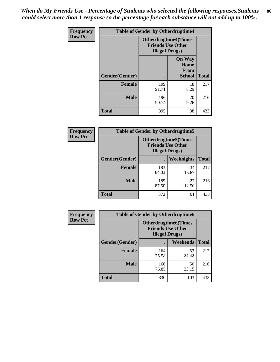*When do My Friends Use - Percentage of Students who selected the following responses.Students could select more than 1 response so the percentage for each substance will not add up to 100%.* **86**

| <b>Frequency</b> | <b>Table of Gender by Otherdrugtime4</b> |                                                    |                                                       |              |
|------------------|------------------------------------------|----------------------------------------------------|-------------------------------------------------------|--------------|
| <b>Row Pct</b>   |                                          | <b>Friends Use Other</b><br><b>Illegal Drugs</b> ) | <b>Otherdrugtime4(Times</b>                           |              |
|                  | <b>Gender</b> (Gender)                   |                                                    | <b>On Way</b><br>Home<br><b>From</b><br><b>School</b> | <b>Total</b> |
|                  | Female                                   | 199<br>91.71                                       | 18<br>8.29                                            | 217          |
|                  | <b>Male</b>                              | 196<br>90.74                                       | 20<br>9.26                                            | 216          |
|                  | Total                                    | 395                                                | 38                                                    | 433          |

| Frequency      | <b>Table of Gender by Otherdrugtime5</b> |                                                                                    |             |              |
|----------------|------------------------------------------|------------------------------------------------------------------------------------|-------------|--------------|
| <b>Row Pct</b> |                                          | <b>Otherdrugtime5</b> (Times<br><b>Friends Use Other</b><br><b>Illegal Drugs</b> ) |             |              |
|                | Gender(Gender)                           |                                                                                    | Weeknights  | <b>Total</b> |
|                | <b>Female</b>                            | 183<br>84.33                                                                       | 34<br>15.67 | 217          |
|                | <b>Male</b>                              | 189<br>87.50                                                                       | 27<br>12.50 | 216          |
|                | <b>Total</b>                             | 372                                                                                | 61          | 433          |

| <b>Frequency</b> | <b>Table of Gender by Otherdrugtime6</b> |                                                                                   |             |              |
|------------------|------------------------------------------|-----------------------------------------------------------------------------------|-------------|--------------|
| <b>Row Pct</b>   |                                          | <b>Otherdrugtime6(Times</b><br><b>Friends Use Other</b><br><b>Illegal Drugs</b> ) |             |              |
|                  | Gender(Gender)                           |                                                                                   | Weekends    | <b>Total</b> |
|                  | <b>Female</b>                            | 164<br>75.58                                                                      | 53<br>24.42 | 217          |
|                  | <b>Male</b>                              | 166<br>76.85                                                                      | 50<br>23.15 | 216          |
|                  | <b>Total</b>                             | 330                                                                               | 103         | 433          |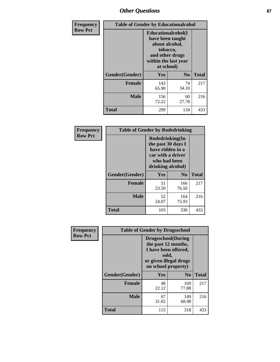# *Other Questions* **87**

| <b>Frequency</b> | <b>Table of Gender by Educationalcohol</b> |                                                                                                                                       |                |              |  |
|------------------|--------------------------------------------|---------------------------------------------------------------------------------------------------------------------------------------|----------------|--------------|--|
| <b>Row Pct</b>   |                                            | <b>Educationalcohol</b> (I<br>have been taught<br>about alcohol,<br>tobacco,<br>and other drugs<br>within the last year<br>at school) |                |              |  |
|                  | Gender(Gender)                             | <b>Yes</b>                                                                                                                            | N <sub>0</sub> | <b>Total</b> |  |
|                  | <b>Female</b>                              | 143<br>65.90                                                                                                                          | 74<br>34.10    | 217          |  |
|                  | <b>Male</b>                                | 156<br>72.22                                                                                                                          | 60<br>27.78    | 216          |  |
|                  | <b>Total</b>                               | 299                                                                                                                                   | 134            | 433          |  |

| Frequency      | <b>Table of Gender by Rodedrinking</b> |                                                                                                                     |                |              |  |
|----------------|----------------------------------------|---------------------------------------------------------------------------------------------------------------------|----------------|--------------|--|
| <b>Row Pct</b> |                                        | Rodedrinking(In<br>the past 30 days I<br>have ridden in a<br>car with a driver<br>who had been<br>drinking alcohol) |                |              |  |
|                | Gender(Gender)                         | Yes                                                                                                                 | N <sub>0</sub> | <b>Total</b> |  |
|                | <b>Female</b>                          | 51<br>23.50                                                                                                         | 166<br>76.50   | 217          |  |
|                | <b>Male</b>                            | 52<br>24.07                                                                                                         | 164<br>75.93   | 216          |  |
|                | <b>Total</b>                           | 103                                                                                                                 | 330            | 433          |  |

| Frequency      | <b>Table of Gender by Drugsschool</b> |                                                                                                                                     |                |              |  |
|----------------|---------------------------------------|-------------------------------------------------------------------------------------------------------------------------------------|----------------|--------------|--|
| <b>Row Pct</b> |                                       | <b>Drugsschool</b> (During<br>the past 12 months,<br>I have been offered,<br>sold,<br>or given illegal drugs<br>on school property) |                |              |  |
|                | Gender(Gender)                        | <b>Yes</b>                                                                                                                          | N <sub>0</sub> | <b>Total</b> |  |
|                | <b>Female</b>                         | 48<br>22.12                                                                                                                         | 169<br>77.88   | 217          |  |
|                | <b>Male</b>                           | 67<br>31.02                                                                                                                         | 149<br>68.98   | 216          |  |
|                | <b>Total</b>                          | 115                                                                                                                                 | 318            | 433          |  |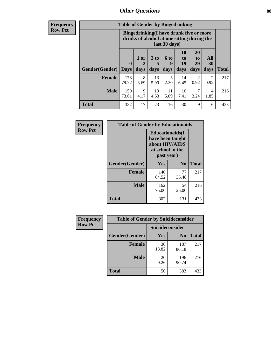# *Other Questions* **88**

**Frequency Row Pct**

| <b>Table of Gender by Bingedrinking</b> |                            |                                                                                                                |                   |                   |                        |                               |                        |              |
|-----------------------------------------|----------------------------|----------------------------------------------------------------------------------------------------------------|-------------------|-------------------|------------------------|-------------------------------|------------------------|--------------|
|                                         |                            | <b>Bingedrinking(I have drunk five or more</b><br>drinks of alcohol at one sitting during the<br>last 30 days) |                   |                   |                        |                               |                        |              |
| <b>Gender</b> (Gender)                  | $\mathbf 0$<br><b>Days</b> | 1 or<br>2<br>days                                                                                              | 3 to<br>5<br>days | 6 to<br>q<br>days | 10<br>to<br>19<br>days | <b>20</b><br>to<br>29<br>days | All<br>30<br>days      | <b>Total</b> |
| <b>Female</b>                           | 173<br>79.72               | 8<br>3.69                                                                                                      | 13<br>5.99        | 5<br>2.30         | 14<br>6.45             | 2<br>0.92                     | $\mathfrak{D}$<br>0.92 | 217          |
|                                         |                            |                                                                                                                |                   |                   |                        |                               |                        |              |
| <b>Male</b>                             | 159<br>73.61               | 9<br>4.17                                                                                                      | 10<br>4.63        | 11<br>5.09        | 16<br>7.41             | 7<br>3.24                     | 4<br>1.85              | 216          |

| Frequency      | <b>Table of Gender by Educationaids</b> |                                                                                                 |             |              |  |  |
|----------------|-----------------------------------------|-------------------------------------------------------------------------------------------------|-------------|--------------|--|--|
| <b>Row Pct</b> |                                         | <b>Educationaids</b> (I<br>have been taught<br>about HIV/AIDS<br>at school in the<br>past year) |             |              |  |  |
|                | Gender(Gender)                          | Yes                                                                                             | $\bf N_0$   | <b>Total</b> |  |  |
|                | <b>Female</b>                           | 140<br>64.52                                                                                    | 77<br>35.48 | 217          |  |  |
|                | <b>Male</b>                             | 162<br>75.00                                                                                    | 54<br>25.00 | 216          |  |  |
|                | <b>Total</b>                            | 302                                                                                             | 131         | 433          |  |  |

| <b>Frequency</b> | <b>Table of Gender by Suicideconsider</b> |                 |                |              |  |
|------------------|-------------------------------------------|-----------------|----------------|--------------|--|
| <b>Row Pct</b>   |                                           | Suicideconsider |                |              |  |
|                  | Gender(Gender)                            | Yes             | N <sub>0</sub> | <b>Total</b> |  |
|                  | <b>Female</b>                             | 30<br>13.82     | 187<br>86.18   | 217          |  |
|                  | <b>Male</b>                               | 20<br>9.26      | 196<br>90.74   | 216          |  |
|                  | Total                                     | 50              | 383            | 433          |  |